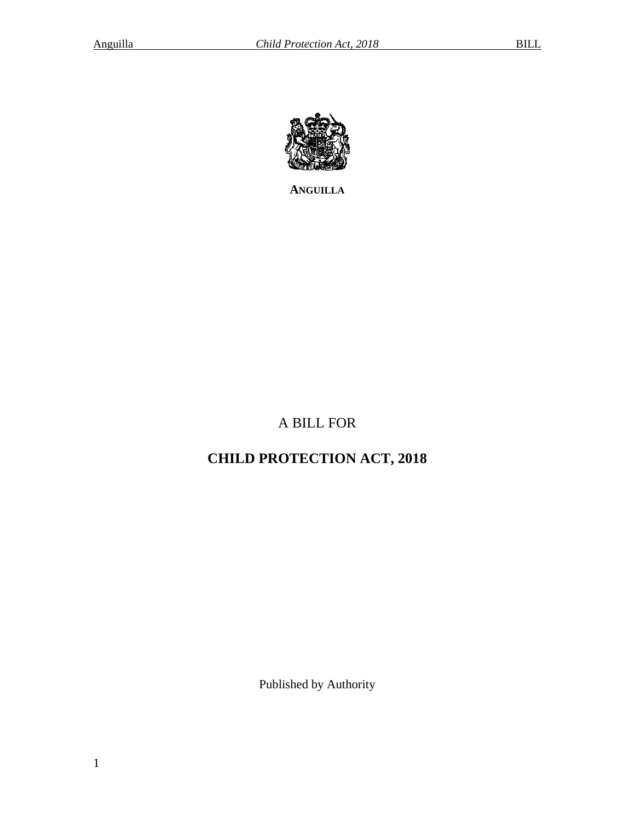

**ANGUILLA**

# A BILL FOR

# **CHILD PROTECTION ACT, 2018**

Published by Authority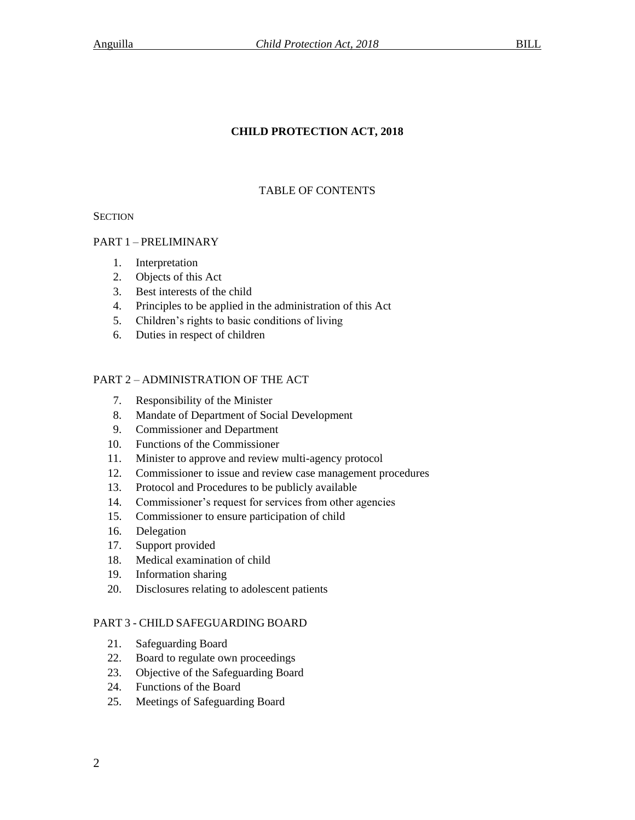# **CHILD PROTECTION ACT, 2018**

# TABLE OF CONTENTS

**SECTION** 

# PART 1 – PRELIMINARY

- 1. Interpretation
- 2. Objects of this Act
- 3. Best interests of the child
- 4. Principles to be applied in the administration of this Act
- 5. Children's rights to basic conditions of living
- 6. Duties in respect of children

# PART 2 – ADMINISTRATION OF THE ACT

- 7. Responsibility of the Minister
- 8. Mandate of Department of Social Development
- 9. Commissioner and Department
- 10. Functions of the Commissioner
- 11. Minister to approve and review multi-agency protocol
- 12. Commissioner to issue and review case management procedures
- 13. Protocol and Procedures to be publicly available
- 14. Commissioner's request for services from other agencies
- 15. Commissioner to ensure participation of child
- 16. Delegation
- 17. Support provided
- 18. Medical examination of child
- 19. Information sharing
- 20. Disclosures relating to adolescent patients

# PART 3 - CHILD SAFEGUARDING BOARD

- 21. Safeguarding Board
- 22. Board to regulate own proceedings
- 23. Objective of the Safeguarding Board
- 24. Functions of the Board
- 25. Meetings of Safeguarding Board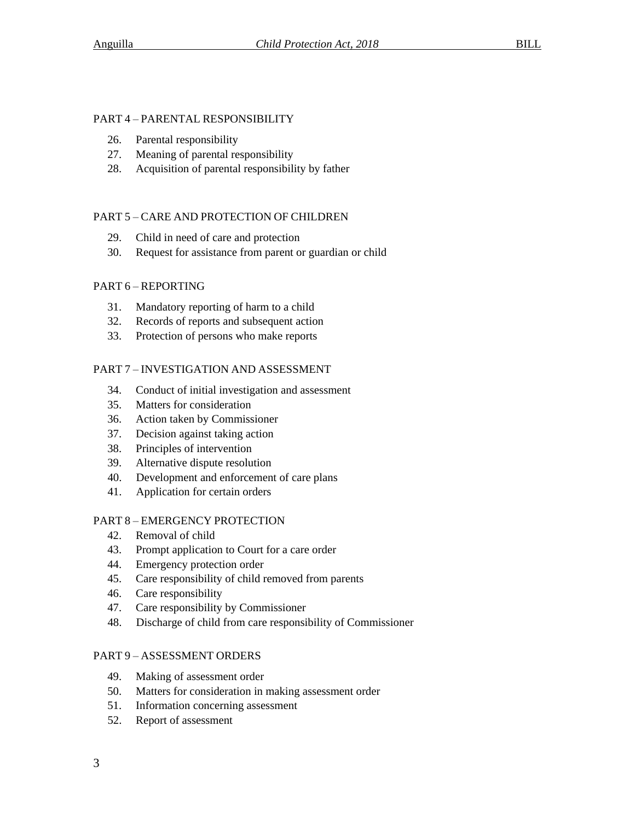# PART 4 – PARENTAL RESPONSIBILITY

- 26. Parental responsibility
- 27. Meaning of parental responsibility
- 28. Acquisition of parental responsibility by father

# PART 5 – CARE AND PROTECTION OF CHILDREN

- 29. Child in need of care and protection
- 30. Request for assistance from parent or guardian or child

# PART 6 – REPORTING

- 31. Mandatory reporting of harm to a child
- 32. Records of reports and subsequent action
- 33. Protection of persons who make reports

# PART 7 – INVESTIGATION AND ASSESSMENT

- 34. Conduct of initial investigation and assessment
- 35. Matters for consideration
- 36. Action taken by Commissioner
- 37. Decision against taking action
- 38. Principles of intervention
- 39. Alternative dispute resolution
- 40. Development and enforcement of care plans
- 41. Application for certain orders

# PART 8 – EMERGENCY PROTECTION

- 42. Removal of child
- 43. Prompt application to Court for a care order
- 44. Emergency protection order
- 45. Care responsibility of child removed from parents
- 46. Care responsibility
- 47. Care responsibility by Commissioner
- 48. Discharge of child from care responsibility of Commissioner

# PART 9 – ASSESSMENT ORDERS

- 49. Making of assessment order
- 50. Matters for consideration in making assessment order
- 51. Information concerning assessment
- 52. Report of assessment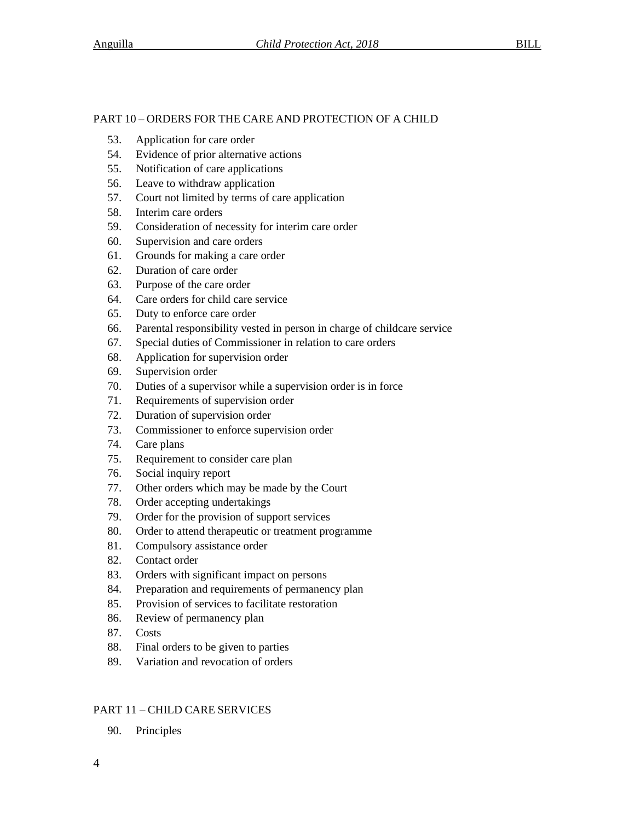# PART 10 – ORDERS FOR THE CARE AND PROTECTION OF A CHILD

- 53. Application for care order
- 54. Evidence of prior alternative actions
- 55. Notification of care applications
- 56. Leave to withdraw application
- 57. Court not limited by terms of care application
- 58. Interim care orders
- 59. Consideration of necessity for interim care order
- 60. Supervision and care orders
- 61. Grounds for making a care order
- 62. Duration of care order
- 63. Purpose of the care order
- 64. Care orders for child care service
- 65. Duty to enforce care order
- 66. Parental responsibility vested in person in charge of childcare service
- 67. Special duties of Commissioner in relation to care orders
- 68. Application for supervision order
- 69. Supervision order
- 70. Duties of a supervisor while a supervision order is in force
- 71. Requirements of supervision order
- 72. Duration of supervision order
- 73. Commissioner to enforce supervision order
- 74. Care plans
- 75. Requirement to consider care plan
- 76. Social inquiry report
- 77. Other orders which may be made by the Court
- 78. Order accepting undertakings
- 79. Order for the provision of support services
- 80. Order to attend therapeutic or treatment programme
- 81. Compulsory assistance order
- 82. Contact order
- 83. Orders with significant impact on persons
- 84. Preparation and requirements of permanency plan
- 85. Provision of services to facilitate restoration
- 86. Review of permanency plan
- 87. Costs
- 88. Final orders to be given to parties
- 89. Variation and revocation of orders

# PART 11 – CHILD CARE SERVICES

90. Principles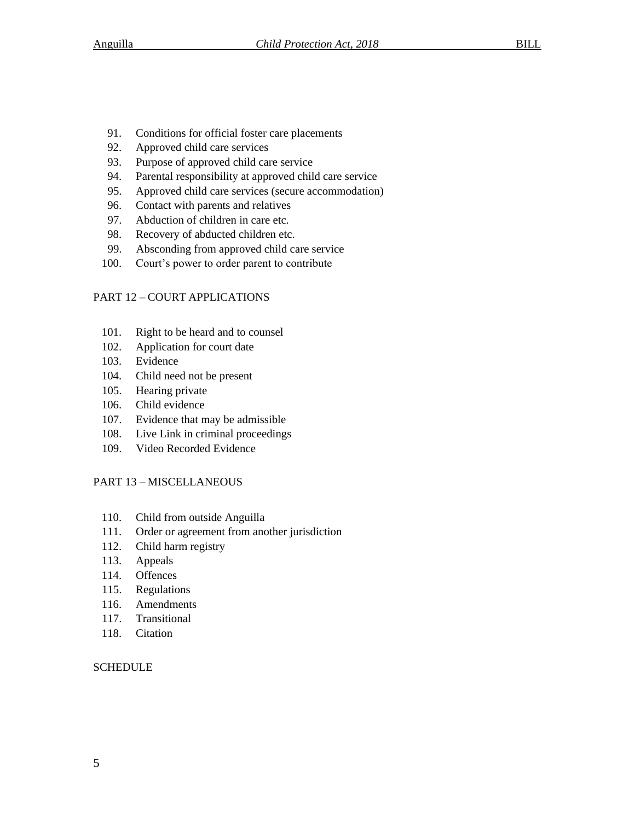- 91. Conditions for official foster care placements
- 92. Approved child care services
- 93. Purpose of approved child care service
- 94. Parental responsibility at approved child care service
- 95. Approved child care services (secure accommodation)
- 96. Contact with parents and relatives
- 97. Abduction of children in care etc.
- 98. Recovery of abducted children etc.
- 99. Absconding from approved child care service
- 100. Court's power to order parent to contribute

# PART 12 – COURT APPLICATIONS

- 101. Right to be heard and to counsel
- 102. Application for court date
- 103. Evidence
- 104. Child need not be present
- 105. Hearing private
- 106. Child evidence
- 107. Evidence that may be admissible
- 108. Live Link in criminal proceedings
- 109. Video Recorded Evidence

# PART 13 – MISCELLANEOUS

- 110. Child from outside Anguilla
- 111. Order or agreement from another jurisdiction
- 112. Child harm registry
- 113. Appeals
- 114. Offences
- 115. Regulations
- 116. Amendments
- 117. Transitional
- 118. Citation

# **SCHEDULE**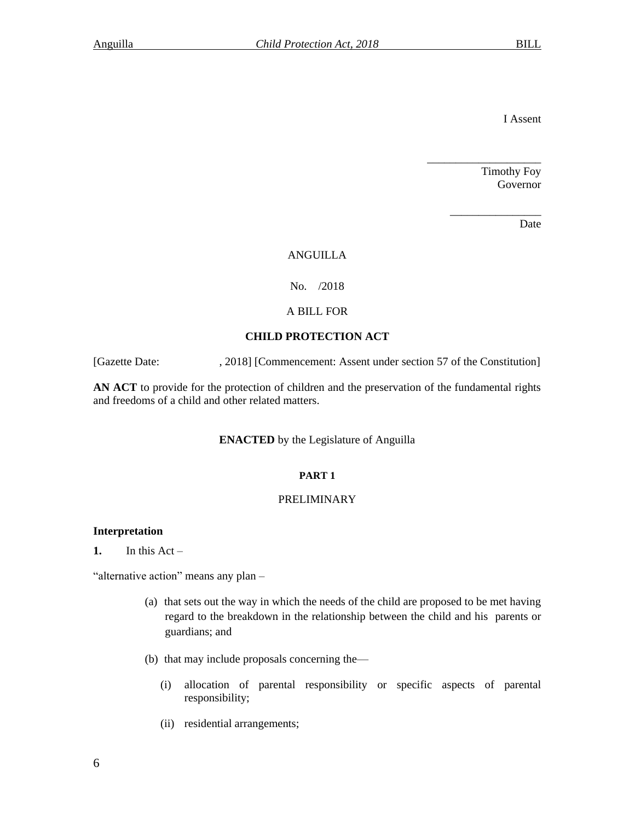I Assent

Timothy Foy Governor

\_\_\_\_\_\_\_\_\_\_\_\_\_\_\_\_

\_\_\_\_\_\_\_\_\_\_\_\_\_\_\_\_\_\_\_\_

Date

# ANGUILLA

# No. /2018

# A BILL FOR

# **CHILD PROTECTION ACT**

[Gazette Date: , 2018] [Commencement: Assent under section 57 of the Constitution]

**AN ACT** to provide for the protection of children and the preservation of the fundamental rights and freedoms of a child and other related matters.

# **ENACTED** by the Legislature of Anguilla

# **PART 1**

#### PRELIMINARY

### **Interpretation**

1. In this  $Act -$ 

"alternative action" means any plan -

- (a) that sets out the way in which the needs of the child are proposed to be met having regard to the breakdown in the relationship between the child and his parents or guardians; and
- (b) that may include proposals concerning the—
	- (i) allocation of parental responsibility or specific aspects of parental responsibility;
	- (ii) residential arrangements;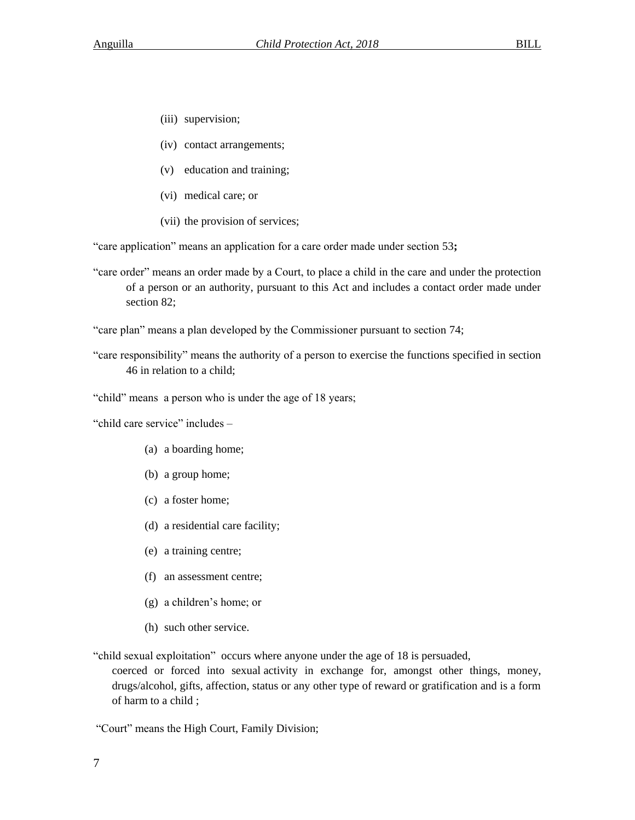- (iii) supervision;
- (iv) contact arrangements;
- (v) education and training;
- (vi) medical care; or
- (vii) the provision of services;

"care application" means an application for a care order made under section 53**;**

"care order" means an order made by a Court, to place a child in the care and under the protection of a person or an authority, pursuant to this Act and includes a contact order made under section 82;

"care plan" means a plan developed by the Commissioner pursuant to section 74;

"care responsibility" means the authority of a person to exercise the functions specified in section 46 in relation to a child;

"child" means a person who is under the age of 18 years;

"child care service" includes –

- (a) a boarding home;
- (b) a group home;
- (c) a foster home;
- (d) a residential care facility;
- (e) a training centre;
- (f) an assessment centre;
- (g) a children's home; or
- (h) such other service.

"child sexual exploitation" occurs where anyone under the age of 18 is persuaded,

coerced or forced into sexual activity in exchange for, amongst other things, money, drugs/alcohol, gifts, affection, status or any other type of reward or gratification and is a form of harm to a child ;

"Court" means the High Court, Family Division;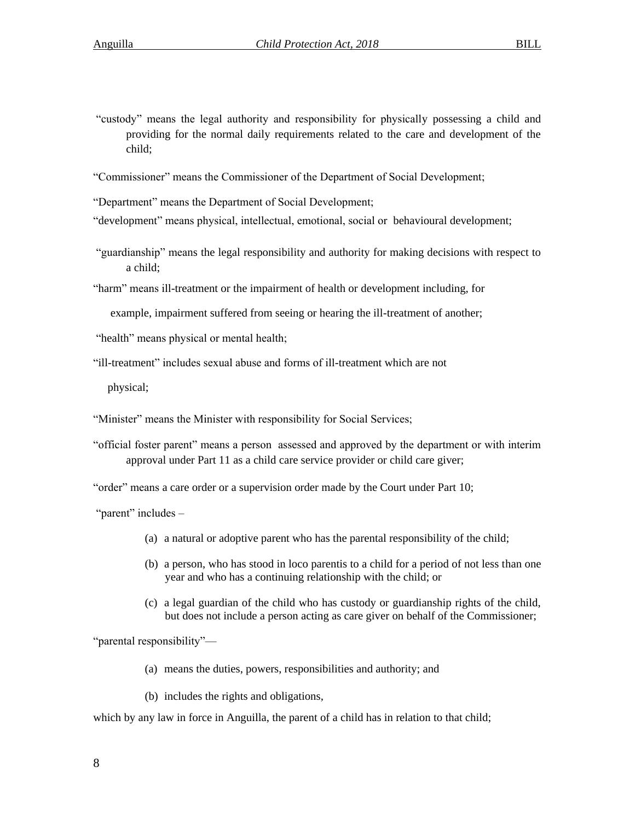"custody" means the legal authority and responsibility for physically possessing a child and providing for the normal daily requirements related to the care and development of the child;

"Commissioner" means the Commissioner of the Department of Social Development;

"Department" means the Department of Social Development;

"development" means physical, intellectual, emotional, social or behavioural development;

"guardianship" means the legal responsibility and authority for making decisions with respect to a child;

"harm" means ill-treatment or the impairment of health or development including, for

example, impairment suffered from seeing or hearing the ill-treatment of another;

"health" means physical or mental health;

"ill-treatment" includes sexual abuse and forms of ill-treatment which are not

physical;

"Minister" means the Minister with responsibility for Social Services;

"official foster parent" means a person assessed and approved by the department or with interim approval under Part 11 as a child care service provider or child care giver;

"order" means a care order or a supervision order made by the Court under Part 10;

"parent" includes -

- (a) a natural or adoptive parent who has the parental responsibility of the child;
- (b) a person, who has stood in loco parentis to a child for a period of not less than one year and who has a continuing relationship with the child; or
- (c) a legal guardian of the child who has custody or guardianship rights of the child, but does not include a person acting as care giver on behalf of the Commissioner;

"parental responsibility"—

(a) means the duties, powers, responsibilities and authority; and

(b) includes the rights and obligations,

which by any law in force in Anguilla, the parent of a child has in relation to that child;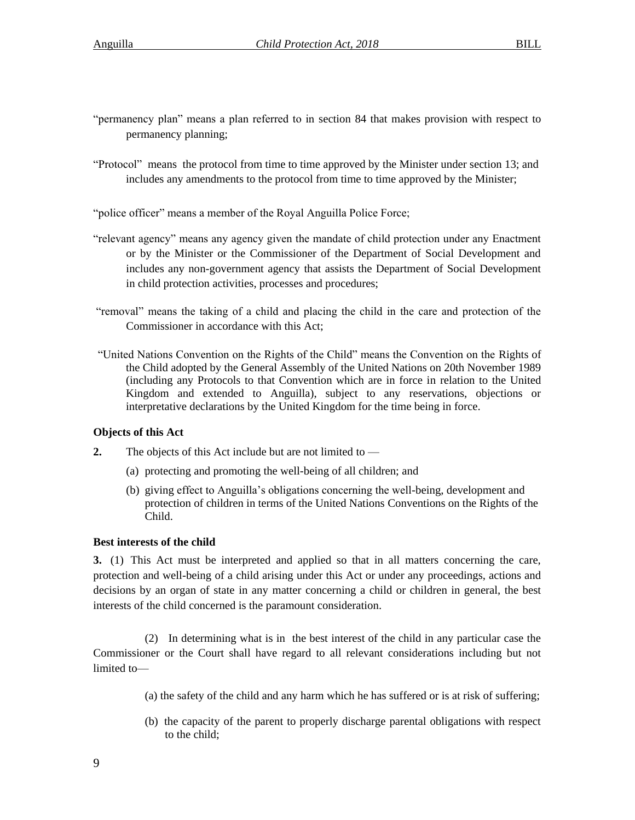- "permanency plan" means a plan referred to in section 84 that makes provision with respect to permanency planning;
- "Protocol" means the protocol from time to time approved by the Minister under section 13; and includes any amendments to the protocol from time to time approved by the Minister;

"police officer" means a member of the Royal Anguilla Police Force;

- "relevant agency" means any agency given the mandate of child protection under any Enactment or by the Minister or the Commissioner of the Department of Social Development and includes any non-government agency that assists the Department of Social Development in child protection activities, processes and procedures;
- "removal" means the taking of a child and placing the child in the care and protection of the Commissioner in accordance with this Act;
- "United Nations Convention on the Rights of the Child" means the Convention on the Rights of the Child adopted by the General Assembly of the United Nations on 20th November 1989 (including any Protocols to that Convention which are in force in relation to the United Kingdom and extended to Anguilla), subject to any reservations, objections or interpretative declarations by the United Kingdom for the time being in force.

# **Objects of this Act**

- **2.** The objects of this Act include but are not limited to
	- (a) protecting and promoting the well-being of all children; and
	- (b) giving effect to Anguilla's obligations concerning the well-being, development and protection of children in terms of the United Nations Conventions on the Rights of the Child.

# **Best interests of the child**

**3.** (1) This Act must be interpreted and applied so that in all matters concerning the care, protection and well-being of a child arising under this Act or under any proceedings, actions and decisions by an organ of state in any matter concerning a child or children in general, the best interests of the child concerned is the paramount consideration.

(2) In determining what is in the best interest of the child in any particular case the Commissioner or the Court shall have regard to all relevant considerations including but not limited to—

- (a) the safety of the child and any harm which he has suffered or is at risk of suffering;
- (b) the capacity of the parent to properly discharge parental obligations with respect to the child;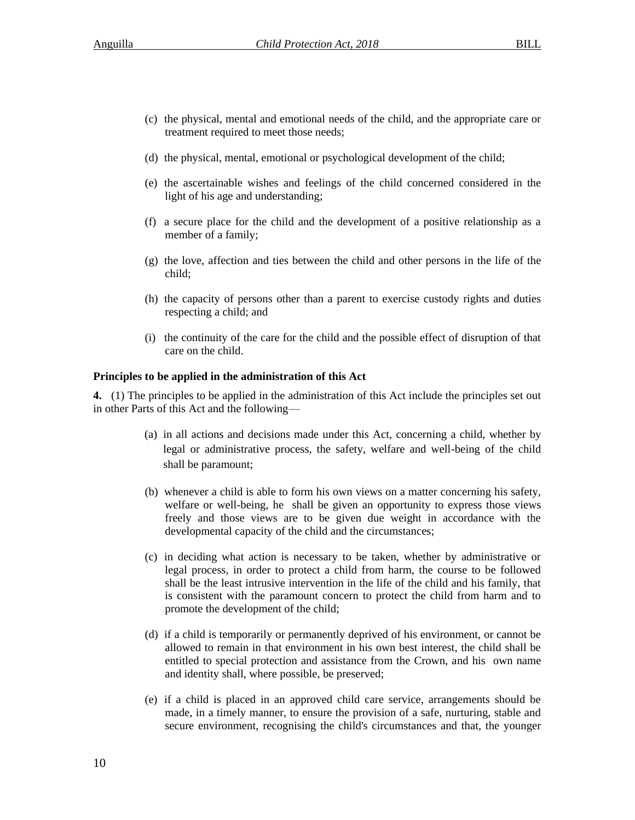- (c) the physical, mental and emotional needs of the child, and the appropriate care or treatment required to meet those needs;
- (d) the physical, mental, emotional or psychological development of the child;
- (e) the ascertainable wishes and feelings of the child concerned considered in the light of his age and understanding;
- (f) a secure place for the child and the development of a positive relationship as a member of a family;
- (g) the love, affection and ties between the child and other persons in the life of the child;
- (h) the capacity of persons other than a parent to exercise custody rights and duties respecting a child; and
- (i) the continuity of the care for the child and the possible effect of disruption of that care on the child.

# **Principles to be applied in the administration of this Act**

**4.** (1) The principles to be applied in the administration of this Act include the principles set out in other Parts of this Act and the following—

- (a) in all actions and decisions made under this Act, concerning a child, whether by legal or administrative process, the safety, welfare and well-being of the child shall be paramount;
- (b) whenever a child is able to form his own views on a matter concerning his safety, welfare or well-being, he shall be given an opportunity to express those views freely and those views are to be given due weight in accordance with the developmental capacity of the child and the circumstances;
- (c) in deciding what action is necessary to be taken, whether by administrative or legal process, in order to protect a child from harm, the course to be followed shall be the least intrusive intervention in the life of the child and his family, that is consistent with the paramount concern to protect the child from harm and to promote the development of the child;
- (d) if a child is temporarily or permanently deprived of his environment, or cannot be allowed to remain in that environment in his own best interest, the child shall be entitled to special protection and assistance from the Crown, and his own name and identity shall, where possible, be preserved;
- (e) if a child is placed in an approved child care service, arrangements should be made, in a timely manner, to ensure the provision of a safe, nurturing, stable and secure environment, recognising the child's circumstances and that, the younger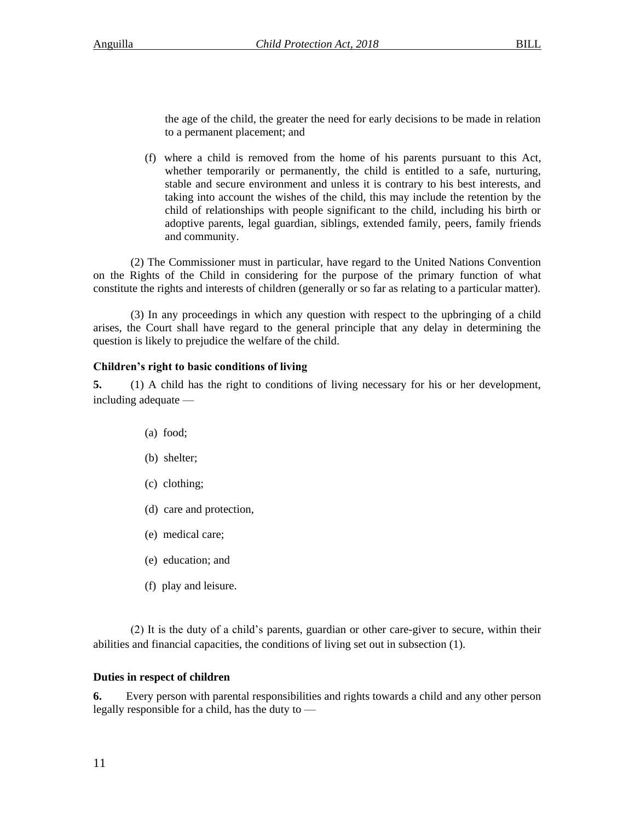the age of the child, the greater the need for early decisions to be made in relation to a permanent placement; and

(f) where a child is removed from the home of his parents pursuant to this Act, whether temporarily or permanently, the child is entitled to a safe, nurturing, stable and secure environment and unless it is contrary to his best interests, and taking into account the wishes of the child, this may include the retention by the child of relationships with people significant to the child, including his birth or adoptive parents, legal guardian, siblings, extended family, peers, family friends and community.

(2) The Commissioner must in particular, have regard to the United Nations Convention on the Rights of the Child in considering for the purpose of the primary function of what constitute the rights and interests of children (generally or so far as relating to a particular matter).

(3) In any proceedings in which any question with respect to the upbringing of a child arises, the Court shall have regard to the general principle that any delay in determining the question is likely to prejudice the welfare of the child.

# **Children's right to basic conditions of living**

**5.** (1) A child has the right to conditions of living necessary for his or her development, including adequate —

- (a) food;
- (b) shelter;
- (c) clothing;
- (d) care and protection,
- (e) medical care;
- (e) education; and
- (f) play and leisure.

(2) It is the duty of a child's parents, guardian or other care-giver to secure, within their abilities and financial capacities, the conditions of living set out in subsection (1).

# **Duties in respect of children**

**6.** Every person with parental responsibilities and rights towards a child and any other person legally responsible for a child, has the duty to —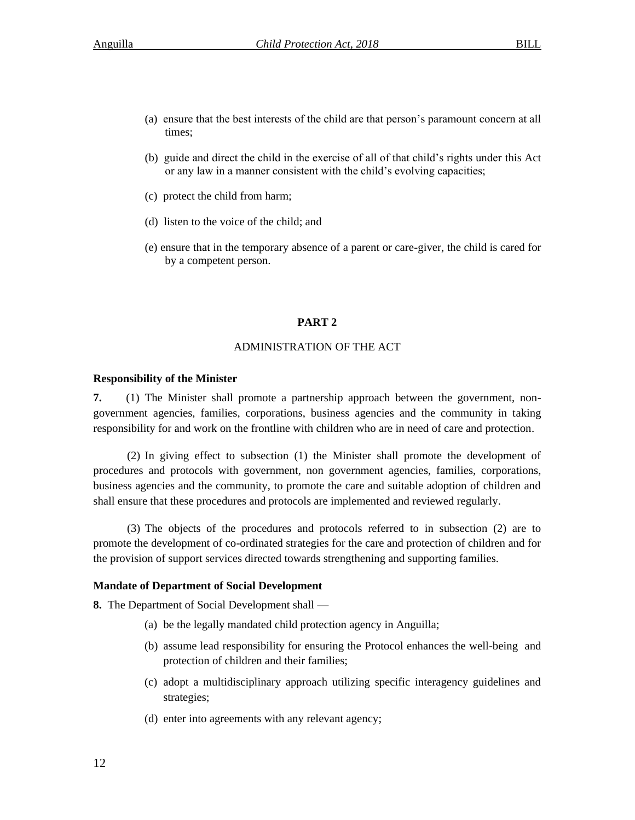- (a) ensure that the best interests of the child are that person's paramount concern at all times;
- (b) guide and direct the child in the exercise of all of that child's rights under this Act or any law in a manner consistent with the child's evolving capacities;
- (c) protect the child from harm;
- (d) listen to the voice of the child; and
- (e) ensure that in the temporary absence of a parent or care-giver, the child is cared for by a competent person.

#### **PART 2**

#### ADMINISTRATION OF THE ACT

#### **Responsibility of the Minister**

**7.** (1) The Minister shall promote a partnership approach between the government, nongovernment agencies, families, corporations, business agencies and the community in taking responsibility for and work on the frontline with children who are in need of care and protection.

(2) In giving effect to subsection (1) the Minister shall promote the development of procedures and protocols with government, non government agencies, families, corporations, business agencies and the community, to promote the care and suitable adoption of children and shall ensure that these procedures and protocols are implemented and reviewed regularly.

(3) The objects of the procedures and protocols referred to in subsection (2) are to promote the development of co-ordinated strategies for the care and protection of children and for the provision of support services directed towards strengthening and supporting families.

#### **Mandate of Department of Social Development**

**8.** The Department of Social Development shall —

- (a) be the legally mandated child protection agency in Anguilla;
- (b) assume lead responsibility for ensuring the Protocol enhances the well-being and protection of children and their families;
- (c) adopt a multidisciplinary approach utilizing specific interagency guidelines and strategies;
- (d) enter into agreements with any relevant agency;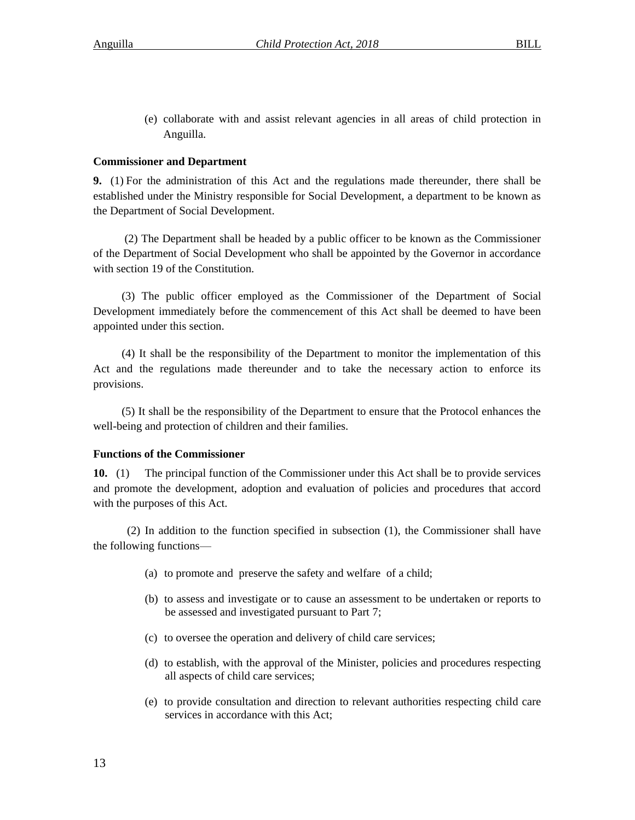(e) collaborate with and assist relevant agencies in all areas of child protection in Anguilla.

# **Commissioner and Department**

**9.** (1) For the administration of this Act and the regulations made thereunder, there shall be established under the Ministry responsible for Social Development, a department to be known as the Department of Social Development.

(2) The Department shall be headed by a public officer to be known as the Commissioner of the Department of Social Development who shall be appointed by the Governor in accordance with section 19 of the Constitution.

(3) The public officer employed as the Commissioner of the Department of Social Development immediately before the commencement of this Act shall be deemed to have been appointed under this section.

(4) It shall be the responsibility of the Department to monitor the implementation of this Act and the regulations made thereunder and to take the necessary action to enforce its provisions.

(5) It shall be the responsibility of the Department to ensure that the Protocol enhances the well-being and protection of children and their families.

# **Functions of the Commissioner**

**10.** (1) The principal function of the Commissioner under this Act shall be to provide services and promote the development, adoption and evaluation of policies and procedures that accord with the purposes of this Act.

(2) In addition to the function specified in subsection (1), the Commissioner shall have the following functions—

- (a) to promote and preserve the safety and welfare of a child;
- (b) to assess and investigate or to cause an assessment to be undertaken or reports to be assessed and investigated pursuant to Part 7;
- (c) to oversee the operation and delivery of child care services;
- (d) to establish, with the approval of the Minister, policies and procedures respecting all aspects of child care services;
- (e) to provide consultation and direction to relevant authorities respecting child care services in accordance with this Act;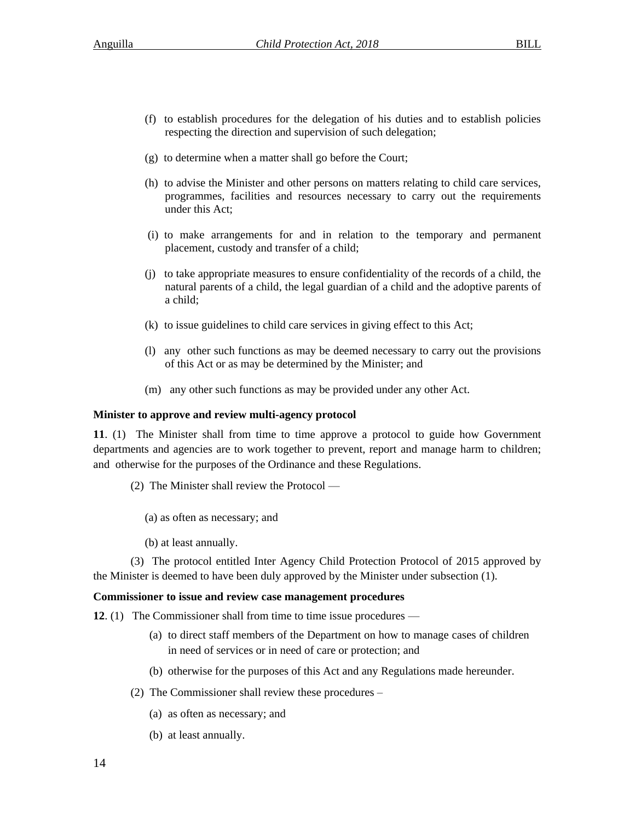- (f) to establish procedures for the delegation of his duties and to establish policies respecting the direction and supervision of such delegation;
- (g) to determine when a matter shall go before the Court;
- (h) to advise the Minister and other persons on matters relating to child care services, programmes, facilities and resources necessary to carry out the requirements under this Act;
- (i) to make arrangements for and in relation to the temporary and permanent placement, custody and transfer of a child;
- (j) to take appropriate measures to ensure confidentiality of the records of a child, the natural parents of a child, the legal guardian of a child and the adoptive parents of a child;
- (k) to issue guidelines to child care services in giving effect to this Act;
- (l) any other such functions as may be deemed necessary to carry out the provisions of this Act or as may be determined by the Minister; and
- (m) any other such functions as may be provided under any other Act.

# **Minister to approve and review multi-agency protocol**

**11**. (1) The Minister shall from time to time approve a protocol to guide how Government departments and agencies are to work together to prevent, report and manage harm to children; and otherwise for the purposes of the Ordinance and these Regulations.

- (2) The Minister shall review the Protocol
	- (a) as often as necessary; and
	- (b) at least annually.

(3) The protocol entitled Inter Agency Child Protection Protocol of 2015 approved by the Minister is deemed to have been duly approved by the Minister under subsection (1).

# **Commissioner to issue and review case management procedures**

**12**. (1) The Commissioner shall from time to time issue procedures —

- (a) to direct staff members of the Department on how to manage cases of children in need of services or in need of care or protection; and
- (b) otherwise for the purposes of this Act and any Regulations made hereunder.
- (2) The Commissioner shall review these procedures
	- (a) as often as necessary; and
	- (b) at least annually.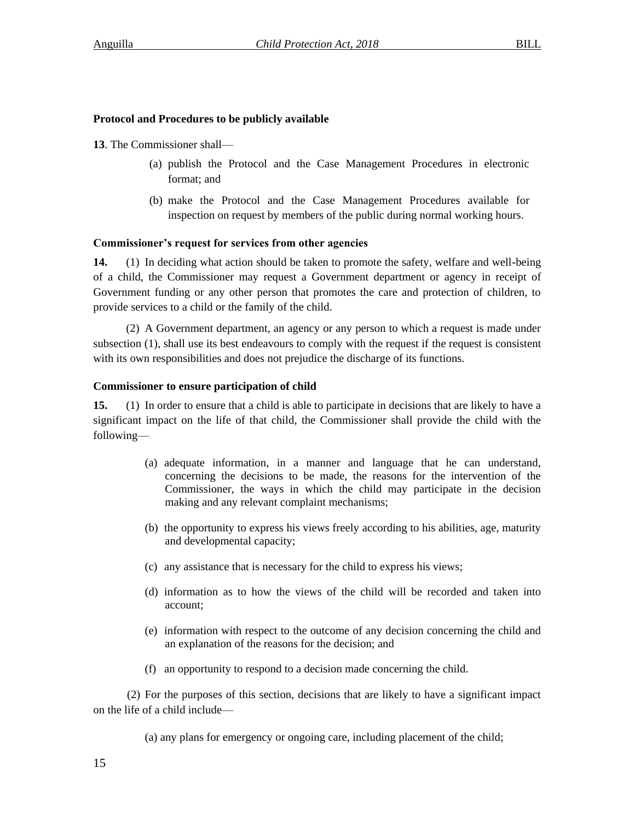# **Protocol and Procedures to be publicly available**

**13**. The Commissioner shall—

- (a) publish the Protocol and the Case Management Procedures in electronic format; and
- (b) make the Protocol and the Case Management Procedures available for inspection on request by members of the public during normal working hours.

# **Commissioner's request for services from other agencies**

**14.** (1) In deciding what action should be taken to promote the safety, welfare and well-being of a child, the Commissioner may request a Government department or agency in receipt of Government funding or any other person that promotes the care and protection of children, to provide services to a child or the family of the child.

(2) A Government department, an agency or any person to which a request is made under subsection (1), shall use its best endeavours to comply with the request if the request is consistent with its own responsibilities and does not prejudice the discharge of its functions.

# **Commissioner to ensure participation of child**

**15.** (1) In order to ensure that a child is able to participate in decisions that are likely to have a significant impact on the life of that child, the Commissioner shall provide the child with the following—

- (a) adequate information, in a manner and language that he can understand, concerning the decisions to be made, the reasons for the intervention of the Commissioner, the ways in which the child may participate in the decision making and any relevant complaint mechanisms;
- (b) the opportunity to express his views freely according to his abilities, age, maturity and developmental capacity;
- (c) any assistance that is necessary for the child to express his views;
- (d) information as to how the views of the child will be recorded and taken into account;
- (e) information with respect to the outcome of any decision concerning the child and an explanation of the reasons for the decision; and
- (f) an opportunity to respond to a decision made concerning the child.

(2) For the purposes of this section, decisions that are likely to have a significant impact on the life of a child include—

(a) any plans for emergency or ongoing care, including placement of the child;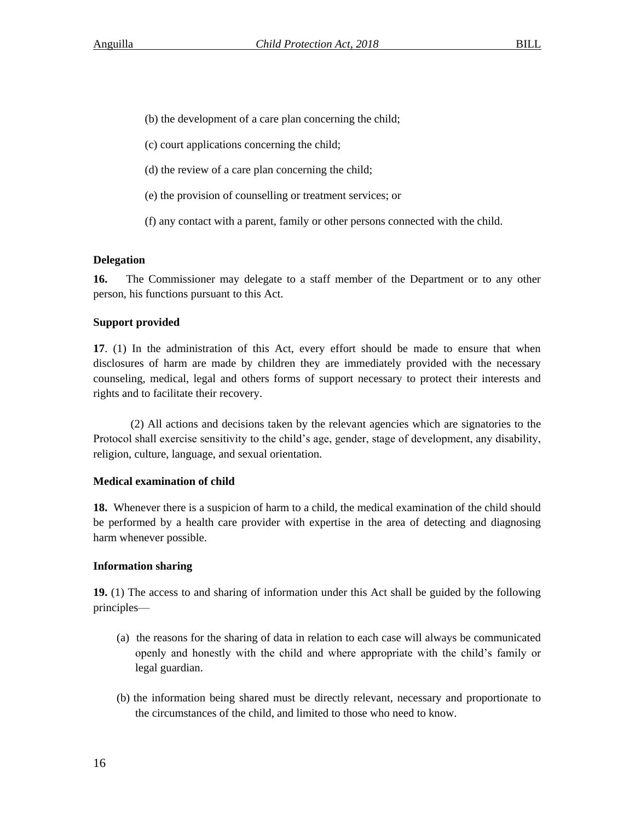- (b) the development of a care plan concerning the child;
- (c) court applications concerning the child;
- (d) the review of a care plan concerning the child;
- (e) the provision of counselling or treatment services; or
- (f) any contact with a parent, family or other persons connected with the child.

# **Delegation**

**16.** The Commissioner may delegate to a staff member of the Department or to any other person, his functions pursuant to this Act.

# **Support provided**

**17**. (1) In the administration of this Act, every effort should be made to ensure that when disclosures of harm are made by children they are immediately provided with the necessary counseling, medical, legal and others forms of support necessary to protect their interests and rights and to facilitate their recovery.

(2) All actions and decisions taken by the relevant agencies which are signatories to the Protocol shall exercise sensitivity to the child's age, gender, stage of development, any disability, religion, culture, language, and sexual orientation.

# **Medical examination of child**

**18.** Whenever there is a suspicion of harm to a child, the medical examination of the child should be performed by a health care provider with expertise in the area of detecting and diagnosing harm whenever possible.

# **Information sharing**

**19.** (1) The access to and sharing of information under this Act shall be guided by the following principles—

- (a) the reasons for the sharing of data in relation to each case will always be communicated openly and honestly with the child and where appropriate with the child's family or legal guardian.
- (b) the information being shared must be directly relevant, necessary and proportionate to the circumstances of the child, and limited to those who need to know.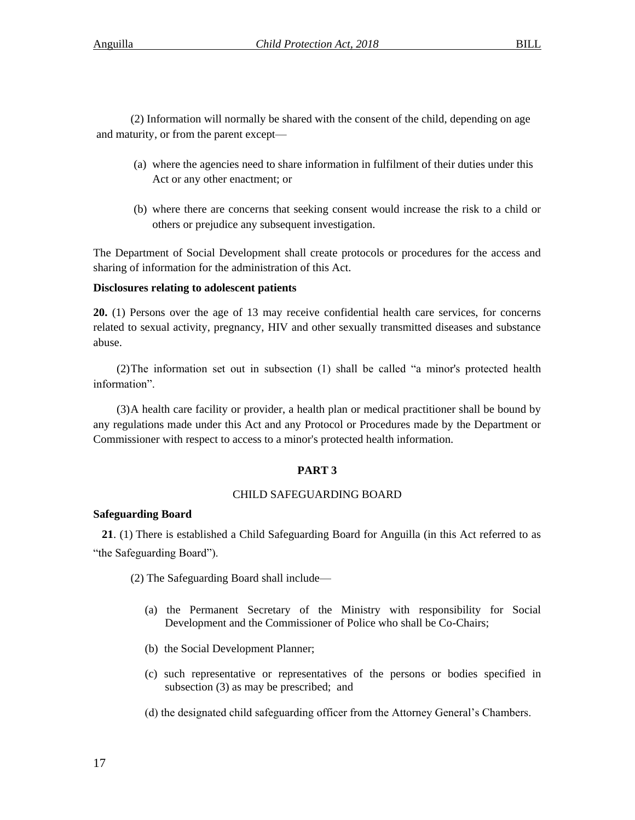(2) Information will normally be shared with the consent of the child, depending on age and maturity, or from the parent except—

- (a) where the agencies need to share information in fulfilment of their duties under this Act or any other enactment; or
- (b) where there are concerns that seeking consent would increase the risk to a child or others or prejudice any subsequent investigation.

The Department of Social Development shall create protocols or procedures for the access and sharing of information for the administration of this Act.

# **Disclosures relating to adolescent patients**

**20.** (1) Persons over the age of 13 may receive confidential health care services, for concerns related to sexual activity, pregnancy, HIV and other sexually transmitted diseases and substance abuse.

(2)The information set out in subsection (1) shall be called "a minor's protected health information".

(3)A health care facility or provider, a health plan or medical practitioner shall be bound by any regulations made under this Act and any Protocol or Procedures made by the Department or Commissioner with respect to access to a minor's protected health information.

# **PART 3**

# CHILD SAFEGUARDING BOARD

# **Safeguarding Board**

 **21**. (1) There is established a Child Safeguarding Board for Anguilla (in this Act referred to as "the Safeguarding Board").

(2) The Safeguarding Board shall include—

- (a) the Permanent Secretary of the Ministry with responsibility for Social Development and the Commissioner of Police who shall be Co-Chairs;
- (b) the Social Development Planner;
- (c) such representative or representatives of the persons or bodies specified in subsection (3) as may be prescribed; and
- (d) the designated child safeguarding officer from the Attorney General's Chambers.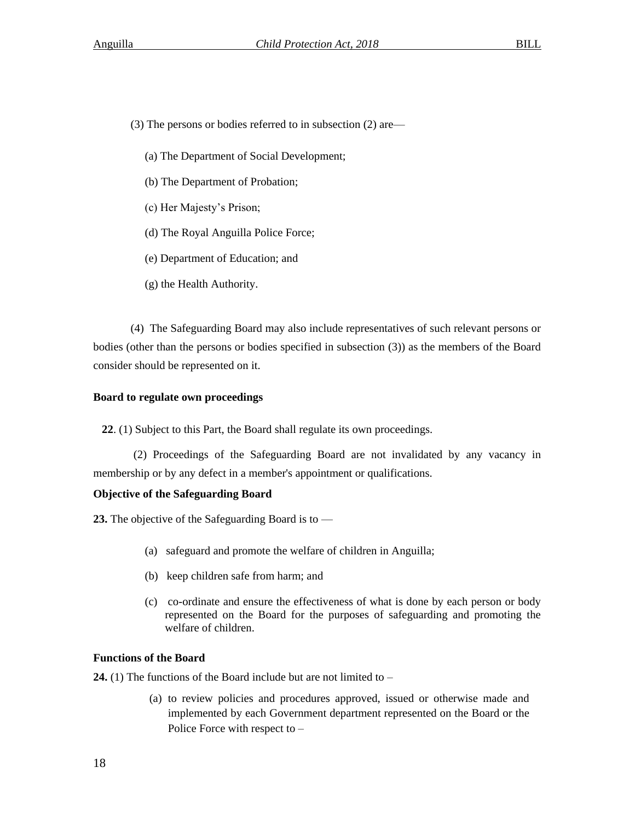(3) The persons or bodies referred to in subsection (2) are—

- (a) The Department of Social Development;
- (b) The Department of Probation;
- (c) Her Majesty's Prison;
- (d) The Royal Anguilla Police Force;
- (e) Department of Education; and
- (g) the Health Authority.

(4) The Safeguarding Board may also include representatives of such relevant persons or bodies (other than the persons or bodies specified in subsection (3)) as the members of the Board consider should be represented on it.

# **Board to regulate own proceedings**

**22**. (1) Subject to this Part, the Board shall regulate its own proceedings.

(2) Proceedings of the Safeguarding Board are not invalidated by any vacancy in membership or by any defect in a member's appointment or qualifications.

# **Objective of the Safeguarding Board**

**23.** The objective of the Safeguarding Board is to —

- (a) safeguard and promote the welfare of children in Anguilla;
- (b) keep children safe from harm; and
- (c) co-ordinate and ensure the effectiveness of what is done by each person or body represented on the Board for the purposes of safeguarding and promoting the welfare of children.

# **Functions of the Board**

**24.** (1) The functions of the Board include but are not limited to –

(a) to review policies and procedures approved, issued or otherwise made and implemented by each Government department represented on the Board or the Police Force with respect to –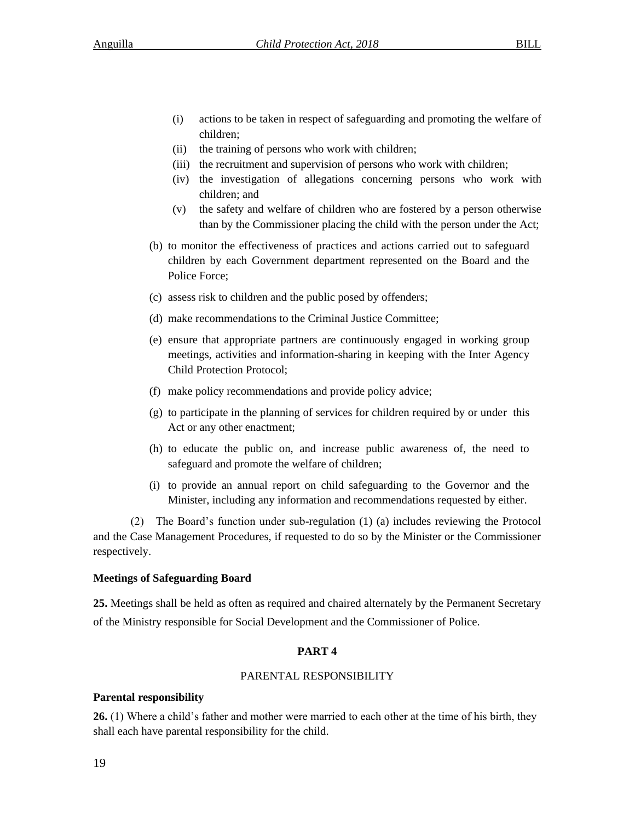- (i) actions to be taken in respect of safeguarding and promoting the welfare of children;
- (ii) the training of persons who work with children;
- (iii) the recruitment and supervision of persons who work with children;
- (iv) the investigation of allegations concerning persons who work with children; and
- (v) the safety and welfare of children who are fostered by a person otherwise than by the Commissioner placing the child with the person under the Act;
- (b) to monitor the effectiveness of practices and actions carried out to safeguard children by each Government department represented on the Board and the Police Force;
- (c) assess risk to children and the public posed by offenders;
- (d) make recommendations to the Criminal Justice Committee;
- (e) ensure that appropriate partners are continuously engaged in working group meetings, activities and information-sharing in keeping with the Inter Agency Child Protection Protocol;
- (f) make policy recommendations and provide policy advice;
- (g) to participate in the planning of services for children required by or under this Act or any other enactment;
- (h) to educate the public on, and increase public awareness of, the need to safeguard and promote the welfare of children;
- (i) to provide an annual report on child safeguarding to the Governor and the Minister, including any information and recommendations requested by either.

(2) The Board's function under sub-regulation (1) (a) includes reviewing the Protocol and the Case Management Procedures, if requested to do so by the Minister or the Commissioner respectively.

# **Meetings of Safeguarding Board**

**25.** Meetings shall be held as often as required and chaired alternately by the Permanent Secretary of the Ministry responsible for Social Development and the Commissioner of Police.

# **PART 4**

# PARENTAL RESPONSIBILITY

# **Parental responsibility**

**26.** (1) Where a child's father and mother were married to each other at the time of his birth, they shall each have parental responsibility for the child.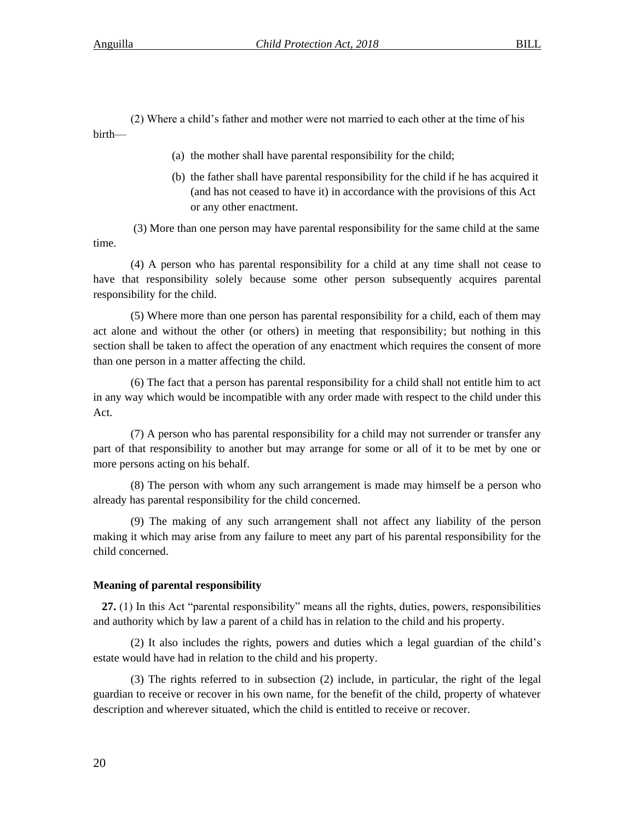(2) Where a child's father and mother were not married to each other at the time of his birth—

- (a) the mother shall have parental responsibility for the child;
- (b) the father shall have parental responsibility for the child if he has acquired it (and has not ceased to have it) in accordance with the provisions of this Act or any other enactment.

(3) More than one person may have parental responsibility for the same child at the same time.

(4) A person who has parental responsibility for a child at any time shall not cease to have that responsibility solely because some other person subsequently acquires parental responsibility for the child.

(5) Where more than one person has parental responsibility for a child, each of them may act alone and without the other (or others) in meeting that responsibility; but nothing in this section shall be taken to affect the operation of any enactment which requires the consent of more than one person in a matter affecting the child.

(6) The fact that a person has parental responsibility for a child shall not entitle him to act in any way which would be incompatible with any order made with respect to the child under this Act.

(7) A person who has parental responsibility for a child may not surrender or transfer any part of that responsibility to another but may arrange for some or all of it to be met by one or more persons acting on his behalf.

(8) The person with whom any such arrangement is made may himself be a person who already has parental responsibility for the child concerned.

(9) The making of any such arrangement shall not affect any liability of the person making it which may arise from any failure to meet any part of his parental responsibility for the child concerned.

#### **Meaning of parental responsibility**

 **27.** (1) In this Act "parental responsibility" means all the rights, duties, powers, responsibilities and authority which by law a parent of a child has in relation to the child and his property.

(2) It also includes the rights, powers and duties which a legal guardian of the child's estate would have had in relation to the child and his property.

(3) The rights referred to in subsection (2) include, in particular, the right of the legal guardian to receive or recover in his own name, for the benefit of the child, property of whatever description and wherever situated, which the child is entitled to receive or recover.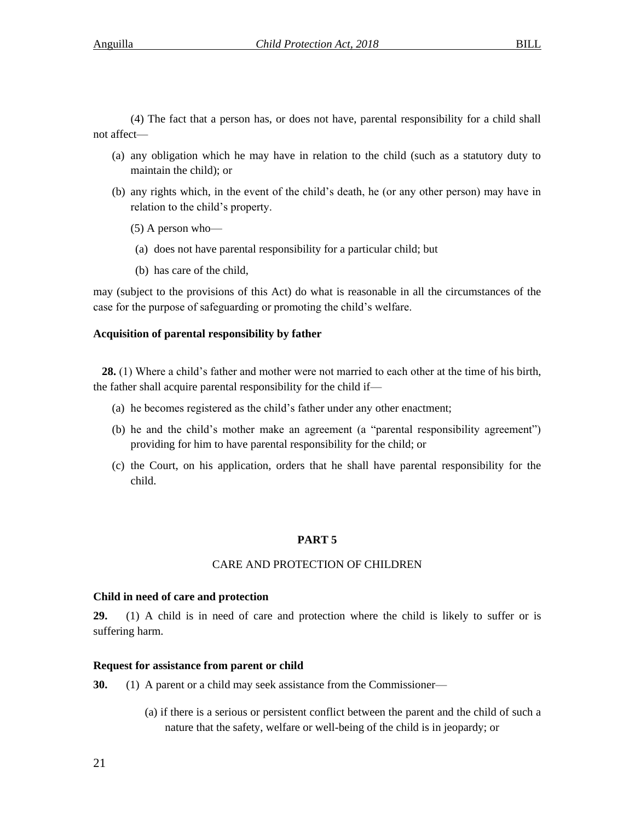(4) The fact that a person has, or does not have, parental responsibility for a child shall not affect—

- (a) any obligation which he may have in relation to the child (such as a statutory duty to maintain the child); or
- (b) any rights which, in the event of the child's death, he (or any other person) may have in relation to the child's property.
	- (5) A person who—
	- (a) does not have parental responsibility for a particular child; but
	- (b) has care of the child,

may (subject to the provisions of this Act) do what is reasonable in all the circumstances of the case for the purpose of safeguarding or promoting the child's welfare.

#### **Acquisition of parental responsibility by father**

 **28.** (1) Where a child's father and mother were not married to each other at the time of his birth, the father shall acquire parental responsibility for the child if—

- (a) he becomes registered as the child's father under any other enactment;
- (b) he and the child's mother make an agreement (a "parental responsibility agreement") providing for him to have parental responsibility for the child; or
- (c) the Court, on his application, orders that he shall have parental responsibility for the child.

#### **PART 5**

### CARE AND PROTECTION OF CHILDREN

#### **Child in need of care and protection**

**29.** (1) A child is in need of care and protection where the child is likely to suffer or is suffering harm.

#### **Request for assistance from parent or child**

**30.** (1) A parent or a child may seek assistance from the Commissioner—

(a) if there is a serious or persistent conflict between the parent and the child of such a nature that the safety, welfare or well-being of the child is in jeopardy; or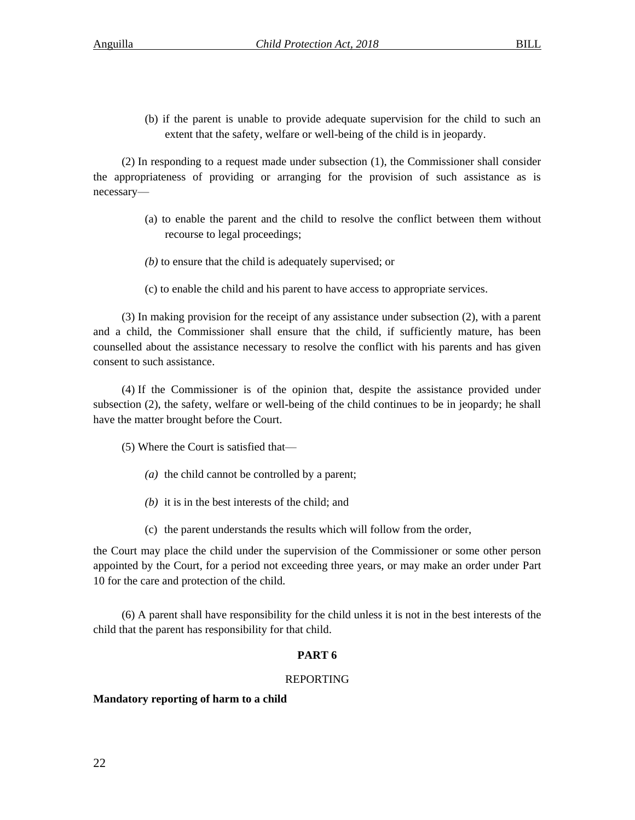(b) if the parent is unable to provide adequate supervision for the child to such an extent that the safety, welfare or well-being of the child is in jeopardy.

(2) In responding to a request made under subsection (1), the Commissioner shall consider the appropriateness of providing or arranging for the provision of such assistance as is necessary—

- (a) to enable the parent and the child to resolve the conflict between them without recourse to legal proceedings;
- *(b)* to ensure that the child is adequately supervised; or
- (c) to enable the child and his parent to have access to appropriate services.

(3) In making provision for the receipt of any assistance under subsection (2), with a parent and a child, the Commissioner shall ensure that the child, if sufficiently mature, has been counselled about the assistance necessary to resolve the conflict with his parents and has given consent to such assistance.

(4) If the Commissioner is of the opinion that, despite the assistance provided under subsection (2), the safety, welfare or well-being of the child continues to be in jeopardy; he shall have the matter brought before the Court.

(5) Where the Court is satisfied that—

- *(a)* the child cannot be controlled by a parent;
- *(b)* it is in the best interests of the child; and
- (c) the parent understands the results which will follow from the order,

the Court may place the child under the supervision of the Commissioner or some other person appointed by the Court, for a period not exceeding three years, or may make an order under Part 10 for the care and protection of the child.

(6) A parent shall have responsibility for the child unless it is not in the best interests of the child that the parent has responsibility for that child.

# **PART 6**

#### REPORTING

#### **Mandatory reporting of harm to a child**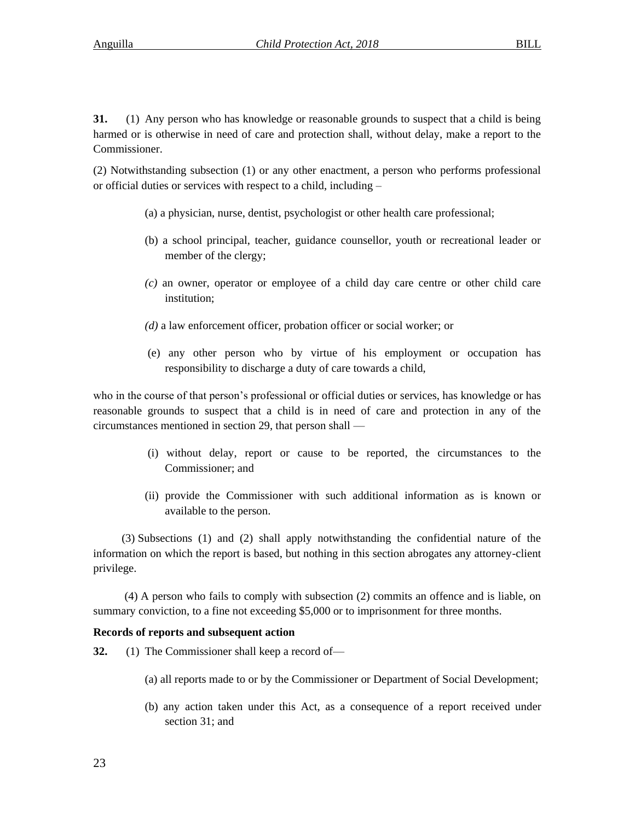**31.** (1) Any person who has knowledge or reasonable grounds to suspect that a child is being harmed or is otherwise in need of care and protection shall, without delay, make a report to the Commissioner.

(2) Notwithstanding subsection (1) or any other enactment, a person who performs professional or official duties or services with respect to a child, including –

- (a) a physician, nurse, dentist, psychologist or other health care professional;
- (b) a school principal, teacher, guidance counsellor, youth or recreational leader or member of the clergy;
- *(c)* an owner, operator or employee of a child day care centre or other child care institution;
- *(d)* a law enforcement officer, probation officer or social worker; or
- (e) any other person who by virtue of his employment or occupation has responsibility to discharge a duty of care towards a child,

who in the course of that person's professional or official duties or services, has knowledge or has reasonable grounds to suspect that a child is in need of care and protection in any of the circumstances mentioned in section 29, that person shall —

- (i) without delay, report or cause to be reported, the circumstances to the Commissioner; and
- (ii) provide the Commissioner with such additional information as is known or available to the person.

(3) Subsections (1) and (2) shall apply notwithstanding the confidential nature of the information on which the report is based, but nothing in this section abrogates any attorney-client privilege.

(4) A person who fails to comply with subsection (2) commits an offence and is liable, on summary conviction, to a fine not exceeding \$5,000 or to imprisonment for three months.

# **Records of reports and subsequent action**

- **32.** (1) The Commissioner shall keep a record of—
	- (a) all reports made to or by the Commissioner or Department of Social Development;
	- (b) any action taken under this Act, as a consequence of a report received under section 31; and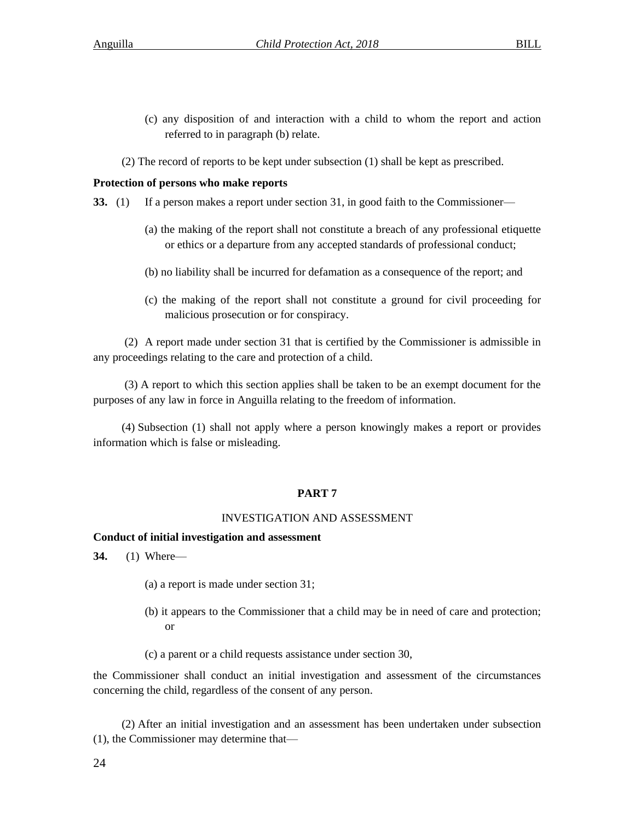- (c) any disposition of and interaction with a child to whom the report and action referred to in paragraph (b) relate.
- (2) The record of reports to be kept under subsection (1) shall be kept as prescribed.

# **Protection of persons who make reports**

- **33.** (1) If a person makes a report under section 31, in good faith to the Commissioner—
	- (a) the making of the report shall not constitute a breach of any professional etiquette or ethics or a departure from any accepted standards of professional conduct;
	- (b) no liability shall be incurred for defamation as a consequence of the report; and
	- (c) the making of the report shall not constitute a ground for civil proceeding for malicious prosecution or for conspiracy.

(2) A report made under section 31 that is certified by the Commissioner is admissible in any proceedings relating to the care and protection of a child.

(3) A report to which this section applies shall be taken to be an exempt document for the purposes of any law in force in Anguilla relating to the freedom of information.

(4) Subsection (1) shall not apply where a person knowingly makes a report or provides information which is false or misleading.

# **PART 7**

# INVESTIGATION AND ASSESSMENT

# **Conduct of initial investigation and assessment**

- **34.** (1) Where—
	- (a) a report is made under section 31;
	- (b) it appears to the Commissioner that a child may be in need of care and protection; or
	- (c) a parent or a child requests assistance under section 30,

the Commissioner shall conduct an initial investigation and assessment of the circumstances concerning the child, regardless of the consent of any person.

(2) After an initial investigation and an assessment has been undertaken under subsection (1), the Commissioner may determine that—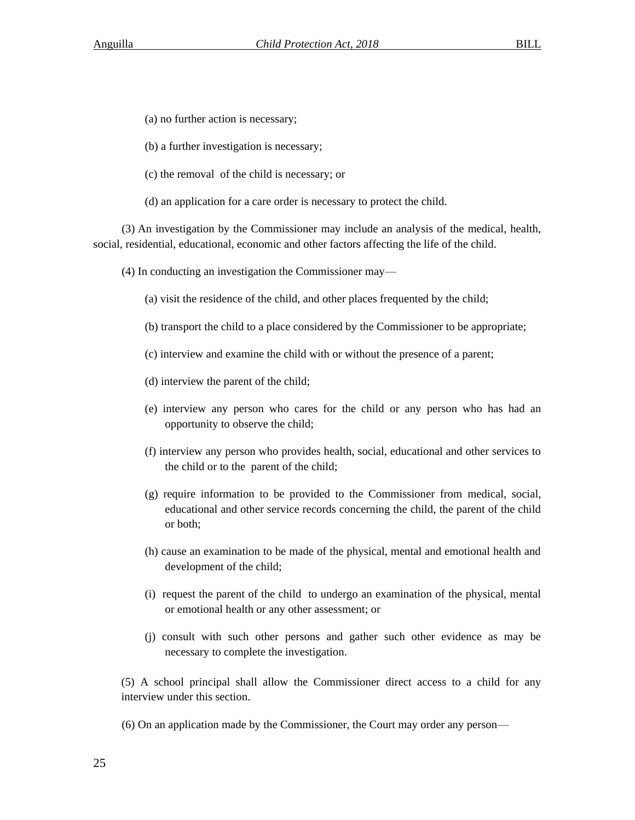- (a) no further action is necessary;
- (b) a further investigation is necessary;
- (c) the removal of the child is necessary; or
- (d) an application for a care order is necessary to protect the child.

(3) An investigation by the Commissioner may include an analysis of the medical, health, social, residential, educational, economic and other factors affecting the life of the child.

- (4) In conducting an investigation the Commissioner may—
	- (a) visit the residence of the child, and other places frequented by the child;
	- (b) transport the child to a place considered by the Commissioner to be appropriate;
	- (c) interview and examine the child with or without the presence of a parent;
	- (d) interview the parent of the child;
	- (e) interview any person who cares for the child or any person who has had an opportunity to observe the child;
	- (f) interview any person who provides health, social, educational and other services to the child or to the parent of the child;
	- (g) require information to be provided to the Commissioner from medical, social, educational and other service records concerning the child, the parent of the child or both;
	- (h) cause an examination to be made of the physical, mental and emotional health and development of the child;
	- (i) request the parent of the child to undergo an examination of the physical, mental or emotional health or any other assessment; or
	- (j) consult with such other persons and gather such other evidence as may be necessary to complete the investigation.

(5) A school principal shall allow the Commissioner direct access to a child for any interview under this section.

(6) On an application made by the Commissioner, the Court may order any person—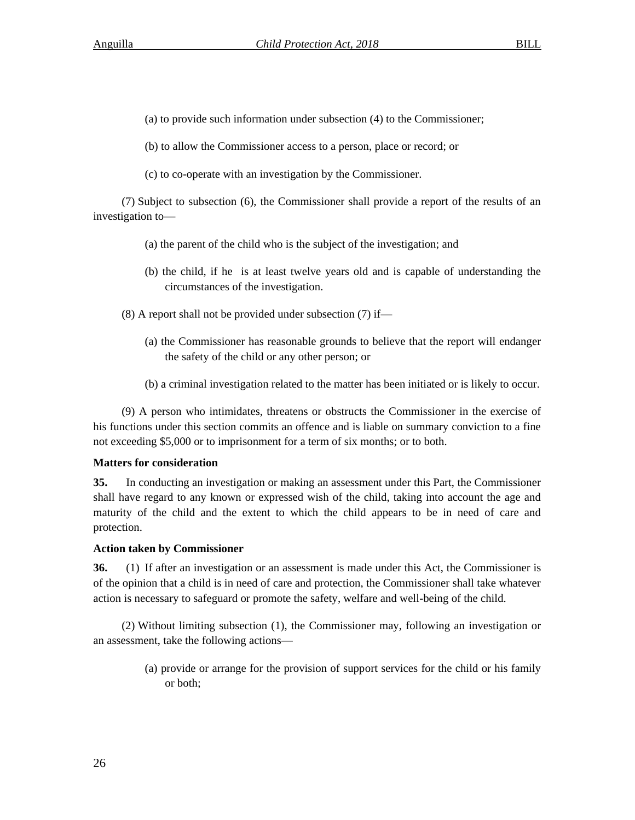- (a) to provide such information under subsection (4) to the Commissioner;
- (b) to allow the Commissioner access to a person, place or record; or
- (c) to co-operate with an investigation by the Commissioner.

(7) Subject to subsection (6), the Commissioner shall provide a report of the results of an investigation to—

- (a) the parent of the child who is the subject of the investigation; and
- (b) the child, if he is at least twelve years old and is capable of understanding the circumstances of the investigation.
- $(8)$  A report shall not be provided under subsection  $(7)$  if—
	- (a) the Commissioner has reasonable grounds to believe that the report will endanger the safety of the child or any other person; or
	- (b) a criminal investigation related to the matter has been initiated or is likely to occur.

(9) A person who intimidates, threatens or obstructs the Commissioner in the exercise of his functions under this section commits an offence and is liable on summary conviction to a fine not exceeding \$5,000 or to imprisonment for a term of six months; or to both.

# **Matters for consideration**

**35.** In conducting an investigation or making an assessment under this Part, the Commissioner shall have regard to any known or expressed wish of the child, taking into account the age and maturity of the child and the extent to which the child appears to be in need of care and protection.

# **Action taken by Commissioner**

**36.** (1) If after an investigation or an assessment is made under this Act, the Commissioner is of the opinion that a child is in need of care and protection, the Commissioner shall take whatever action is necessary to safeguard or promote the safety, welfare and well-being of the child.

(2) Without limiting subsection (1), the Commissioner may, following an investigation or an assessment, take the following actions—

> (a) provide or arrange for the provision of support services for the child or his family or both;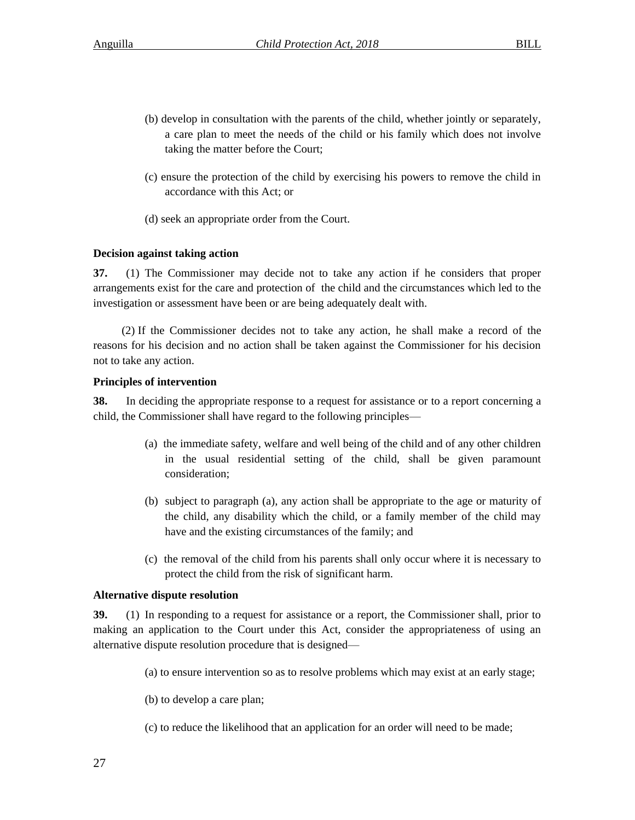- (b) develop in consultation with the parents of the child, whether jointly or separately, a care plan to meet the needs of the child or his family which does not involve taking the matter before the Court;
- (c) ensure the protection of the child by exercising his powers to remove the child in accordance with this Act; or
- (d) seek an appropriate order from the Court.

# **Decision against taking action**

**37.** (1) The Commissioner may decide not to take any action if he considers that proper arrangements exist for the care and protection of the child and the circumstances which led to the investigation or assessment have been or are being adequately dealt with.

(2) If the Commissioner decides not to take any action, he shall make a record of the reasons for his decision and no action shall be taken against the Commissioner for his decision not to take any action.

# **Principles of intervention**

**38.** In deciding the appropriate response to a request for assistance or to a report concerning a child, the Commissioner shall have regard to the following principles—

- (a) the immediate safety, welfare and well being of the child and of any other children in the usual residential setting of the child, shall be given paramount consideration;
- (b) subject to paragraph (a), any action shall be appropriate to the age or maturity of the child, any disability which the child, or a family member of the child may have and the existing circumstances of the family; and
- (c) the removal of the child from his parents shall only occur where it is necessary to protect the child from the risk of significant harm.

# **Alternative dispute resolution**

**39.** (1) In responding to a request for assistance or a report, the Commissioner shall, prior to making an application to the Court under this Act, consider the appropriateness of using an alternative dispute resolution procedure that is designed—

- (a) to ensure intervention so as to resolve problems which may exist at an early stage;
- (b) to develop a care plan;
- (c) to reduce the likelihood that an application for an order will need to be made;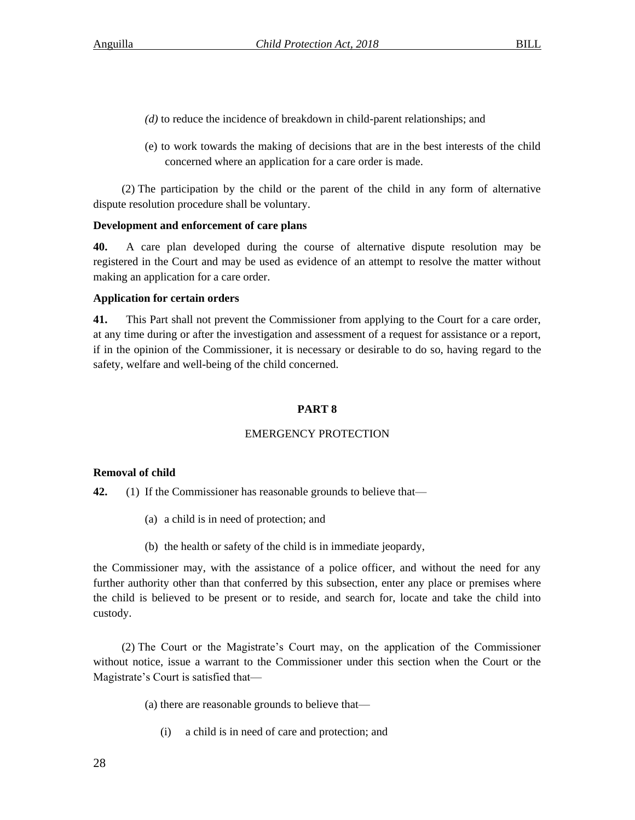- *(d)* to reduce the incidence of breakdown in child-parent relationships; and
- (e) to work towards the making of decisions that are in the best interests of the child concerned where an application for a care order is made.

(2) The participation by the child or the parent of the child in any form of alternative dispute resolution procedure shall be voluntary.

# **Development and enforcement of care plans**

**40.** A care plan developed during the course of alternative dispute resolution may be registered in the Court and may be used as evidence of an attempt to resolve the matter without making an application for a care order.

# **Application for certain orders**

**41.** This Part shall not prevent the Commissioner from applying to the Court for a care order, at any time during or after the investigation and assessment of a request for assistance or a report, if in the opinion of the Commissioner, it is necessary or desirable to do so, having regard to the safety, welfare and well-being of the child concerned.

# **PART 8**

# EMERGENCY PROTECTION

# **Removal of child**

**42.** (1) If the Commissioner has reasonable grounds to believe that—

- (a) a child is in need of protection; and
- (b) the health or safety of the child is in immediate jeopardy,

the Commissioner may, with the assistance of a police officer, and without the need for any further authority other than that conferred by this subsection, enter any place or premises where the child is believed to be present or to reside, and search for, locate and take the child into custody.

(2) The Court or the Magistrate's Court may, on the application of the Commissioner without notice, issue a warrant to the Commissioner under this section when the Court or the Magistrate's Court is satisfied that—

(a) there are reasonable grounds to believe that—

(i) a child is in need of care and protection; and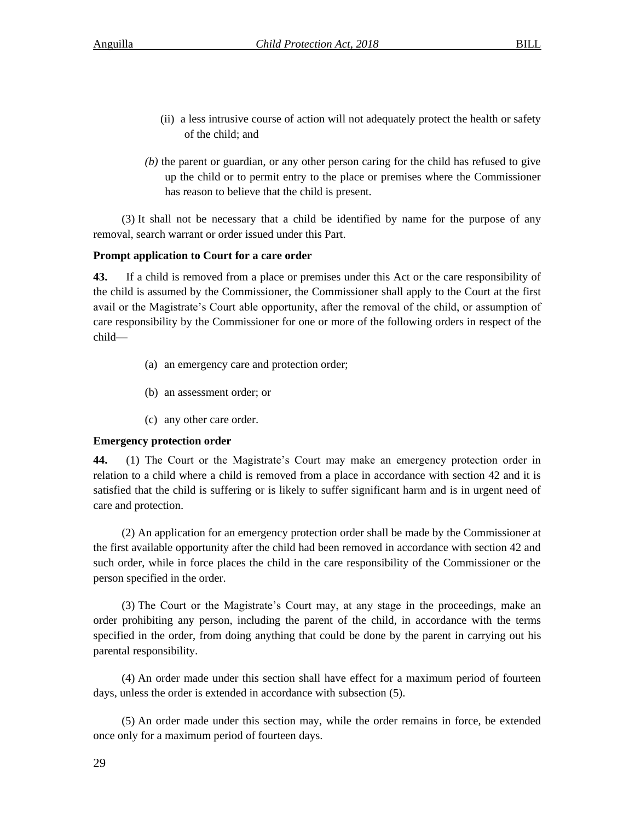- (ii) a less intrusive course of action will not adequately protect the health or safety of the child; and
- *(b)* the parent or guardian, or any other person caring for the child has refused to give up the child or to permit entry to the place or premises where the Commissioner has reason to believe that the child is present.

(3) It shall not be necessary that a child be identified by name for the purpose of any removal, search warrant or order issued under this Part.

# **Prompt application to Court for a care order**

**43.** If a child is removed from a place or premises under this Act or the care responsibility of the child is assumed by the Commissioner, the Commissioner shall apply to the Court at the first avail or the Magistrate's Court able opportunity, after the removal of the child, or assumption of care responsibility by the Commissioner for one or more of the following orders in respect of the child—

- (a) an emergency care and protection order;
- (b) an assessment order; or
- (c) any other care order.

# **Emergency protection order**

**44.** (1) The Court or the Magistrate's Court may make an emergency protection order in relation to a child where a child is removed from a place in accordance with section 42 and it is satisfied that the child is suffering or is likely to suffer significant harm and is in urgent need of care and protection.

(2) An application for an emergency protection order shall be made by the Commissioner at the first available opportunity after the child had been removed in accordance with section 42 and such order, while in force places the child in the care responsibility of the Commissioner or the person specified in the order.

(3) The Court or the Magistrate's Court may, at any stage in the proceedings, make an order prohibiting any person, including the parent of the child, in accordance with the terms specified in the order, from doing anything that could be done by the parent in carrying out his parental responsibility.

(4) An order made under this section shall have effect for a maximum period of fourteen days, unless the order is extended in accordance with subsection (5).

(5) An order made under this section may, while the order remains in force, be extended once only for a maximum period of fourteen days.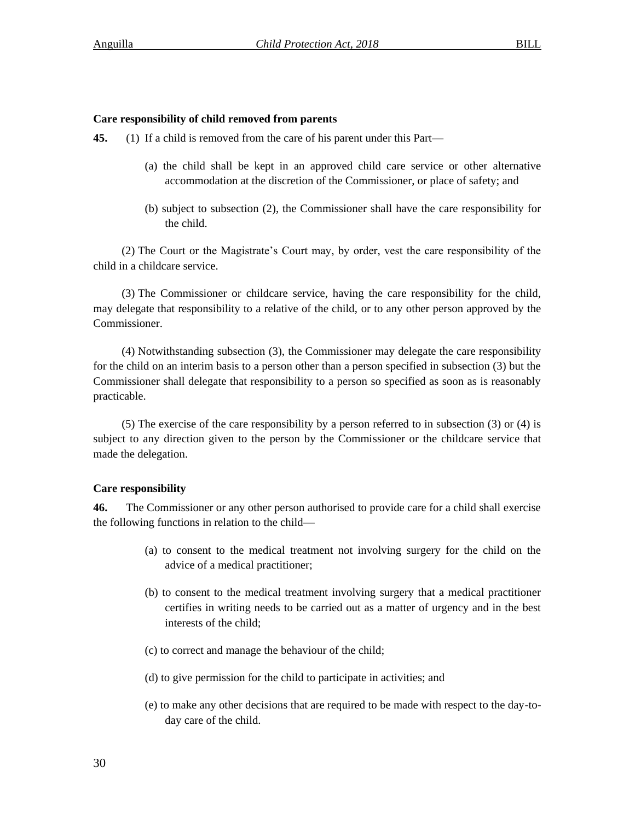#### **Care responsibility of child removed from parents**

**45.** (1) If a child is removed from the care of his parent under this Part—

- (a) the child shall be kept in an approved child care service or other alternative accommodation at the discretion of the Commissioner, or place of safety; and
- (b) subject to subsection (2), the Commissioner shall have the care responsibility for the child.

(2) The Court or the Magistrate's Court may, by order, vest the care responsibility of the child in a childcare service.

(3) The Commissioner or childcare service, having the care responsibility for the child, may delegate that responsibility to a relative of the child, or to any other person approved by the Commissioner.

(4) Notwithstanding subsection (3), the Commissioner may delegate the care responsibility for the child on an interim basis to a person other than a person specified in subsection (3) but the Commissioner shall delegate that responsibility to a person so specified as soon as is reasonably practicable.

(5) The exercise of the care responsibility by a person referred to in subsection (3) or (4) is subject to any direction given to the person by the Commissioner or the childcare service that made the delegation.

#### **Care responsibility**

**46.** The Commissioner or any other person authorised to provide care for a child shall exercise the following functions in relation to the child—

- (a) to consent to the medical treatment not involving surgery for the child on the advice of a medical practitioner;
- (b) to consent to the medical treatment involving surgery that a medical practitioner certifies in writing needs to be carried out as a matter of urgency and in the best interests of the child;
- (c) to correct and manage the behaviour of the child;
- (d) to give permission for the child to participate in activities; and
- (e) to make any other decisions that are required to be made with respect to the day-today care of the child.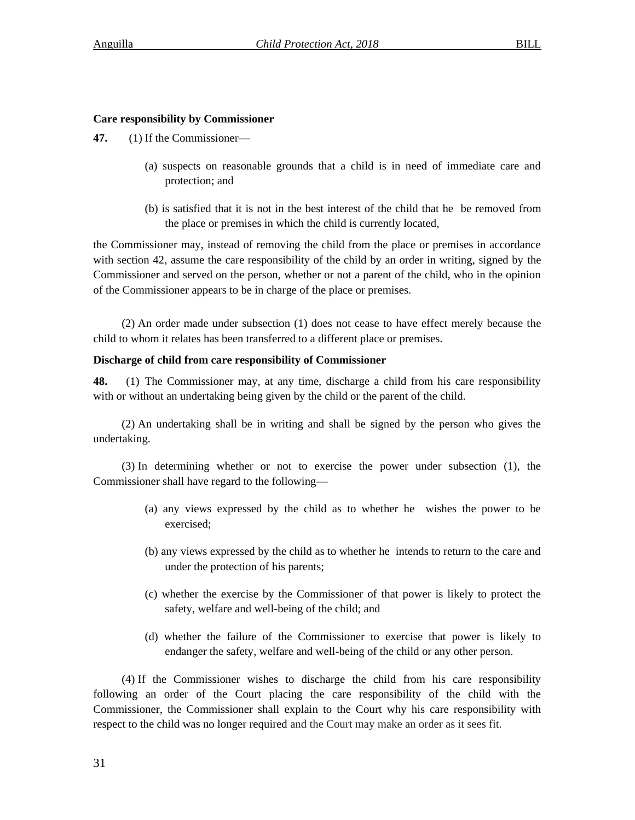### **Care responsibility by Commissioner**

- **47.** (1) If the Commissioner—
	- (a) suspects on reasonable grounds that a child is in need of immediate care and protection; and
	- (b) is satisfied that it is not in the best interest of the child that he be removed from the place or premises in which the child is currently located,

the Commissioner may, instead of removing the child from the place or premises in accordance with section 42, assume the care responsibility of the child by an order in writing, signed by the Commissioner and served on the person, whether or not a parent of the child, who in the opinion of the Commissioner appears to be in charge of the place or premises.

(2) An order made under subsection (1) does not cease to have effect merely because the child to whom it relates has been transferred to a different place or premises.

### **Discharge of child from care responsibility of Commissioner**

**48.** (1) The Commissioner may, at any time, discharge a child from his care responsibility with or without an undertaking being given by the child or the parent of the child.

(2) An undertaking shall be in writing and shall be signed by the person who gives the undertaking.

(3) In determining whether or not to exercise the power under subsection (1), the Commissioner shall have regard to the following—

- (a) any views expressed by the child as to whether he wishes the power to be exercised;
- (b) any views expressed by the child as to whether he intends to return to the care and under the protection of his parents;
- (c) whether the exercise by the Commissioner of that power is likely to protect the safety, welfare and well-being of the child; and
- (d) whether the failure of the Commissioner to exercise that power is likely to endanger the safety, welfare and well-being of the child or any other person.

(4) If the Commissioner wishes to discharge the child from his care responsibility following an order of the Court placing the care responsibility of the child with the Commissioner, the Commissioner shall explain to the Court why his care responsibility with respect to the child was no longer required and the Court may make an order as it sees fit.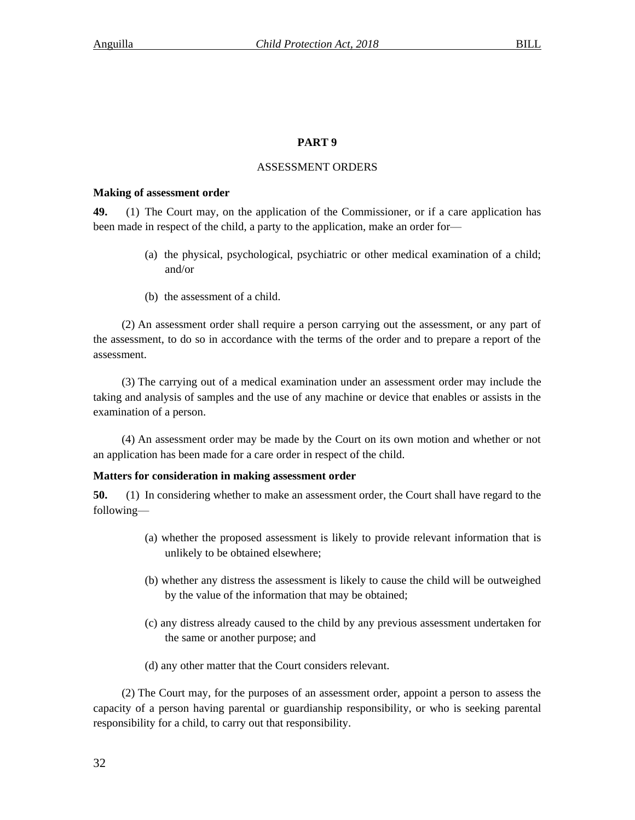# **PART 9**

# ASSESSMENT ORDERS

# **Making of assessment order**

**49.** (1) The Court may, on the application of the Commissioner, or if a care application has been made in respect of the child, a party to the application, make an order for—

- (a) the physical, psychological, psychiatric or other medical examination of a child; and/or
- (b) the assessment of a child.

(2) An assessment order shall require a person carrying out the assessment, or any part of the assessment, to do so in accordance with the terms of the order and to prepare a report of the assessment.

(3) The carrying out of a medical examination under an assessment order may include the taking and analysis of samples and the use of any machine or device that enables or assists in the examination of a person.

(4) An assessment order may be made by the Court on its own motion and whether or not an application has been made for a care order in respect of the child.

# **Matters for consideration in making assessment order**

**50.** (1) In considering whether to make an assessment order, the Court shall have regard to the following—

- (a) whether the proposed assessment is likely to provide relevant information that is unlikely to be obtained elsewhere;
- (b) whether any distress the assessment is likely to cause the child will be outweighed by the value of the information that may be obtained;
- (c) any distress already caused to the child by any previous assessment undertaken for the same or another purpose; and
- (d) any other matter that the Court considers relevant.

(2) The Court may, for the purposes of an assessment order, appoint a person to assess the capacity of a person having parental or guardianship responsibility, or who is seeking parental responsibility for a child, to carry out that responsibility.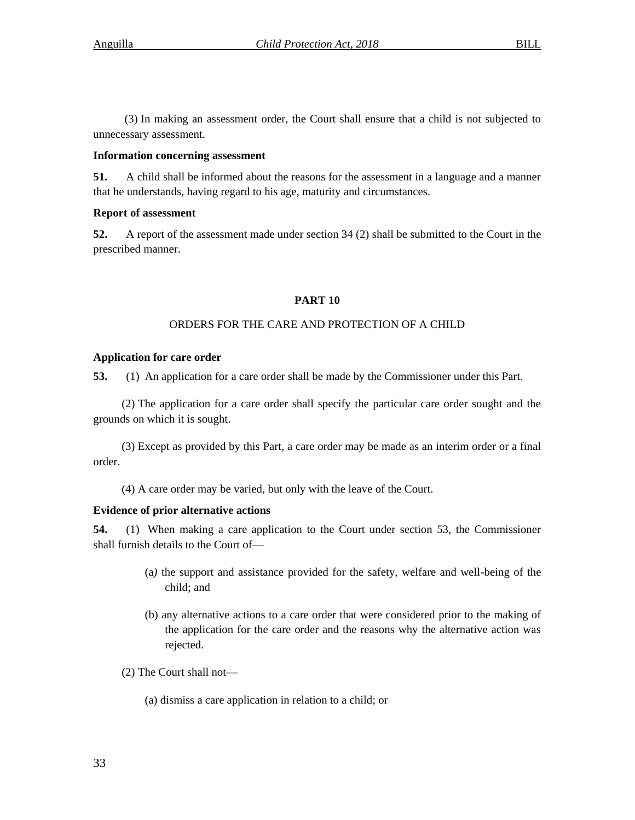(3) In making an assessment order, the Court shall ensure that a child is not subjected to unnecessary assessment.

# **Information concerning assessment**

**51.** A child shall be informed about the reasons for the assessment in a language and a manner that he understands, having regard to his age, maturity and circumstances.

# **Report of assessment**

**52.** A report of the assessment made under section 34 (2) shall be submitted to the Court in the prescribed manner.

# **PART 10**

# ORDERS FOR THE CARE AND PROTECTION OF A CHILD

# **Application for care order**

**53.** (1) An application for a care order shall be made by the Commissioner under this Part.

(2) The application for a care order shall specify the particular care order sought and the grounds on which it is sought.

(3) Except as provided by this Part, a care order may be made as an interim order or a final order.

(4) A care order may be varied, but only with the leave of the Court.

# **Evidence of prior alternative actions**

**54.** (1) When making a care application to the Court under section 53, the Commissioner shall furnish details to the Court of—

- (a*)* the support and assistance provided for the safety, welfare and well-being of the child; and
- (b) any alternative actions to a care order that were considered prior to the making of the application for the care order and the reasons why the alternative action was rejected.
- (2) The Court shall not—
	- (a) dismiss a care application in relation to a child; or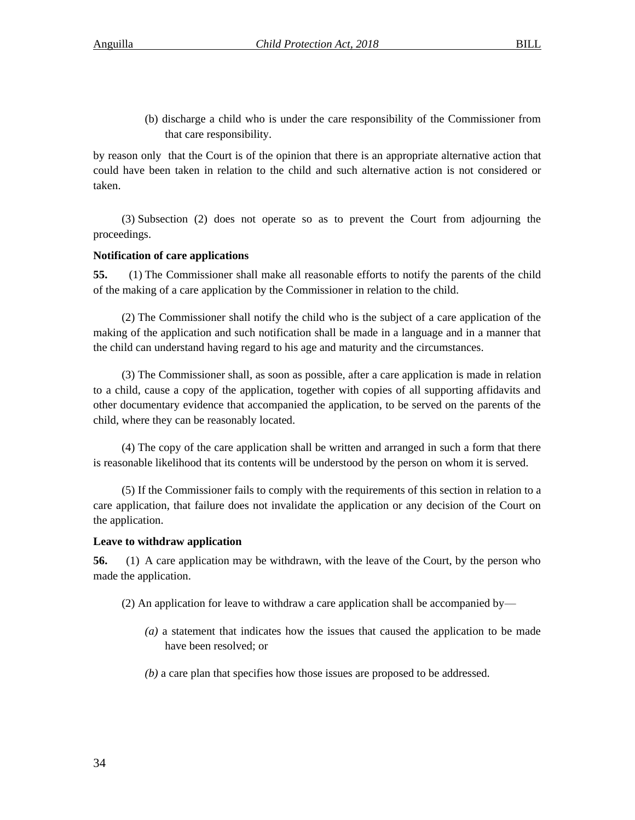(b) discharge a child who is under the care responsibility of the Commissioner from that care responsibility.

by reason only that the Court is of the opinion that there is an appropriate alternative action that could have been taken in relation to the child and such alternative action is not considered or taken.

(3) Subsection (2) does not operate so as to prevent the Court from adjourning the proceedings.

# **Notification of care applications**

**55.** (1) The Commissioner shall make all reasonable efforts to notify the parents of the child of the making of a care application by the Commissioner in relation to the child.

(2) The Commissioner shall notify the child who is the subject of a care application of the making of the application and such notification shall be made in a language and in a manner that the child can understand having regard to his age and maturity and the circumstances.

(3) The Commissioner shall, as soon as possible, after a care application is made in relation to a child, cause a copy of the application, together with copies of all supporting affidavits and other documentary evidence that accompanied the application, to be served on the parents of the child, where they can be reasonably located.

(4) The copy of the care application shall be written and arranged in such a form that there is reasonable likelihood that its contents will be understood by the person on whom it is served.

(5) If the Commissioner fails to comply with the requirements of this section in relation to a care application, that failure does not invalidate the application or any decision of the Court on the application.

# **Leave to withdraw application**

**56.** (1) A care application may be withdrawn, with the leave of the Court, by the person who made the application.

- (2) An application for leave to withdraw a care application shall be accompanied by—
	- *(a)* a statement that indicates how the issues that caused the application to be made have been resolved; or
	- *(b)* a care plan that specifies how those issues are proposed to be addressed.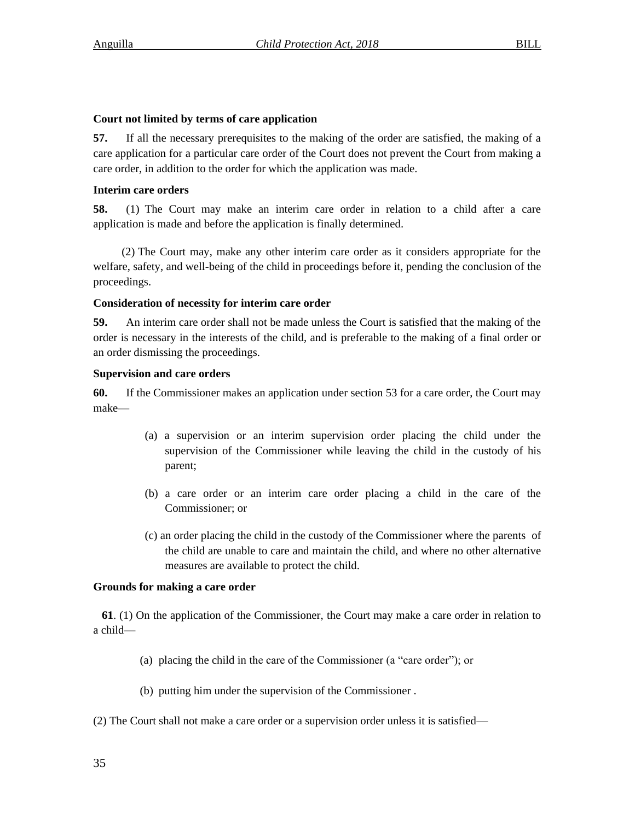### **Court not limited by terms of care application**

**57.** If all the necessary prerequisites to the making of the order are satisfied, the making of a care application for a particular care order of the Court does not prevent the Court from making a care order, in addition to the order for which the application was made.

### **Interim care orders**

**58.** (1) The Court may make an interim care order in relation to a child after a care application is made and before the application is finally determined.

(2) The Court may, make any other interim care order as it considers appropriate for the welfare, safety, and well-being of the child in proceedings before it, pending the conclusion of the proceedings.

# **Consideration of necessity for interim care order**

**59.** An interim care order shall not be made unless the Court is satisfied that the making of the order is necessary in the interests of the child, and is preferable to the making of a final order or an order dismissing the proceedings.

# **Supervision and care orders**

**60.** If the Commissioner makes an application under section 53 for a care order, the Court may make—

- (a) a supervision or an interim supervision order placing the child under the supervision of the Commissioner while leaving the child in the custody of his parent;
- (b) a care order or an interim care order placing a child in the care of the Commissioner; or
- (c) an order placing the child in the custody of the Commissioner where the parents of the child are unable to care and maintain the child, and where no other alternative measures are available to protect the child.

# **Grounds for making a care order**

 **61**. (1) On the application of the Commissioner, the Court may make a care order in relation to a child—

- (a) placing the child in the care of the Commissioner (a "care order"); or
- (b) putting him under the supervision of the Commissioner .
- (2) The Court shall not make a care order or a supervision order unless it is satisfied—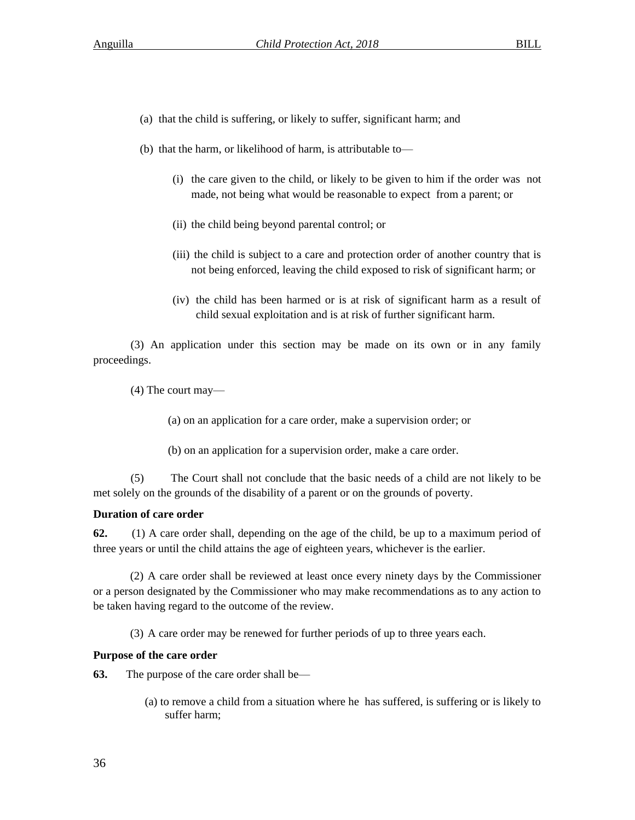- (a) that the child is suffering, or likely to suffer, significant harm; and
- (b) that the harm, or likelihood of harm, is attributable to—
	- (i) the care given to the child, or likely to be given to him if the order was not made, not being what would be reasonable to expect from a parent; or
	- (ii) the child being beyond parental control; or
	- (iii) the child is subject to a care and protection order of another country that is not being enforced, leaving the child exposed to risk of significant harm; or
	- (iv) the child has been harmed or is at risk of significant harm as a result of child sexual exploitation and is at risk of further significant harm.

(3) An application under this section may be made on its own or in any family proceedings.

(4) The court may—

(a) on an application for a care order, make a supervision order; or

(b) on an application for a supervision order, make a care order.

(5) The Court shall not conclude that the basic needs of a child are not likely to be met solely on the grounds of the disability of a parent or on the grounds of poverty.

# **Duration of care order**

**62.** (1) A care order shall, depending on the age of the child, be up to a maximum period of three years or until the child attains the age of eighteen years, whichever is the earlier.

 (2) A care order shall be reviewed at least once every ninety days by the Commissioner or a person designated by the Commissioner who may make recommendations as to any action to be taken having regard to the outcome of the review.

(3) A care order may be renewed for further periods of up to three years each.

# **Purpose of the care order**

**63.** The purpose of the care order shall be—

(a) to remove a child from a situation where he has suffered, is suffering or is likely to suffer harm;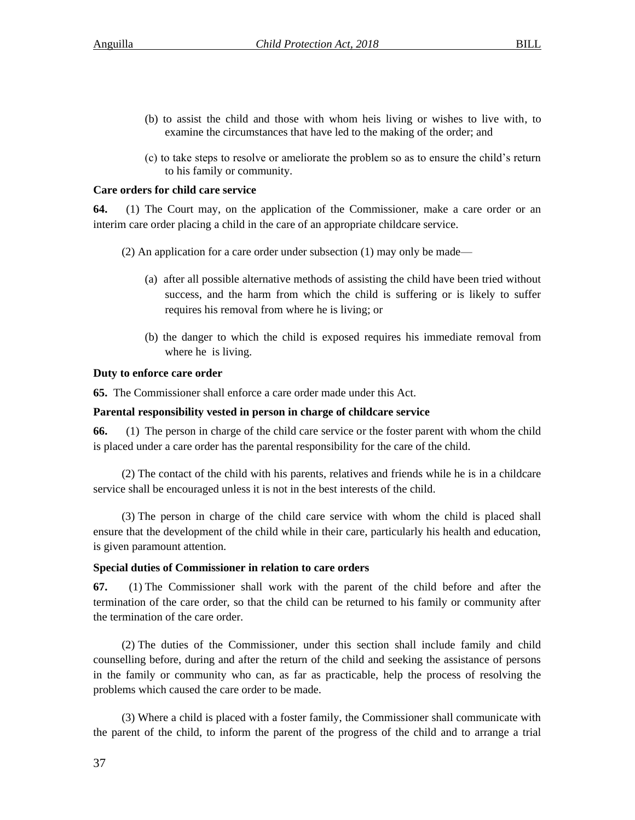- (b) to assist the child and those with whom heis living or wishes to live with, to examine the circumstances that have led to the making of the order; and
- (c) to take steps to resolve or ameliorate the problem so as to ensure the child's return to his family or community.

# **Care orders for child care service**

**64.** (1) The Court may, on the application of the Commissioner, make a care order or an interim care order placing a child in the care of an appropriate childcare service.

- (2) An application for a care order under subsection (1) may only be made—
	- (a)after all possible alternative methods of assisting the child have been tried without success, and the harm from which the child is suffering or is likely to suffer requires his removal from where he is living; or
	- (b) the danger to which the child is exposed requires his immediate removal from where he is living.

# **Duty to enforce care order**

**65.** The Commissioner shall enforce a care order made under this Act.

# **Parental responsibility vested in person in charge of childcare service**

**66.** (1) The person in charge of the child care service or the foster parent with whom the child is placed under a care order has the parental responsibility for the care of the child.

(2) The contact of the child with his parents, relatives and friends while he is in a childcare service shall be encouraged unless it is not in the best interests of the child.

(3) The person in charge of the child care service with whom the child is placed shall ensure that the development of the child while in their care, particularly his health and education, is given paramount attention.

# **Special duties of Commissioner in relation to care orders**

**67.** (1) The Commissioner shall work with the parent of the child before and after the termination of the care order, so that the child can be returned to his family or community after the termination of the care order.

(2) The duties of the Commissioner, under this section shall include family and child counselling before, during and after the return of the child and seeking the assistance of persons in the family or community who can, as far as practicable, help the process of resolving the problems which caused the care order to be made.

(3) Where a child is placed with a foster family, the Commissioner shall communicate with the parent of the child, to inform the parent of the progress of the child and to arrange a trial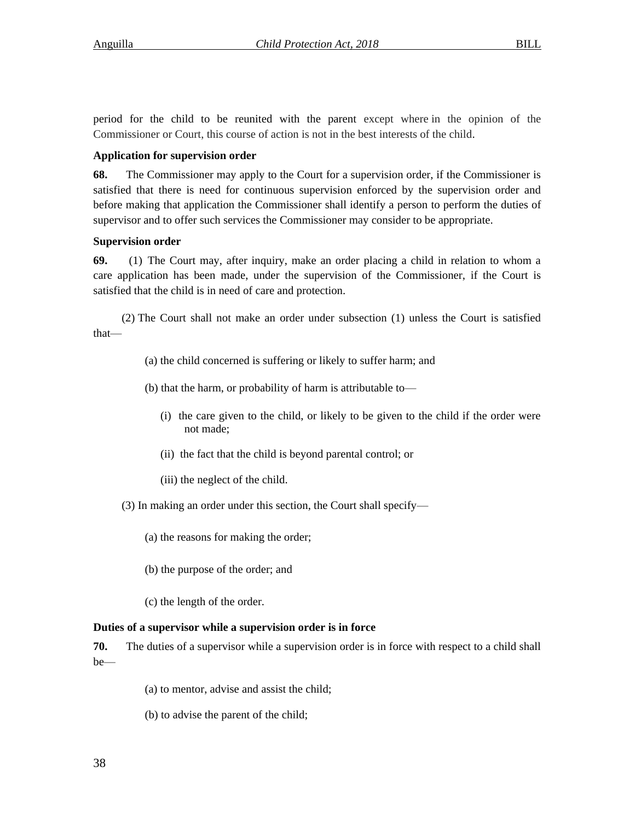period for the child to be reunited with the parent except where in the opinion of the Commissioner or Court, this course of action is not in the best interests of the child.

# **Application for supervision order**

**68.** The Commissioner may apply to the Court for a supervision order, if the Commissioner is satisfied that there is need for continuous supervision enforced by the supervision order and before making that application the Commissioner shall identify a person to perform the duties of supervisor and to offer such services the Commissioner may consider to be appropriate.

## **Supervision order**

**69.** (1) The Court may, after inquiry, make an order placing a child in relation to whom a care application has been made, under the supervision of the Commissioner, if the Court is satisfied that the child is in need of care and protection.

(2) The Court shall not make an order under subsection (1) unless the Court is satisfied that—

- (a) the child concerned is suffering or likely to suffer harm; and
- (b) that the harm, or probability of harm is attributable to—
	- (i) the care given to the child, or likely to be given to the child if the order were not made;
	- (ii) the fact that the child is beyond parental control; or
	- (iii) the neglect of the child.

(3) In making an order under this section, the Court shall specify—

- (a) the reasons for making the order;
- (b) the purpose of the order; and
- (c) the length of the order.

## **Duties of a supervisor while a supervision order is in force**

**70.** The duties of a supervisor while a supervision order is in force with respect to a child shall be—

- (a) to mentor, advise and assist the child;
- (b) to advise the parent of the child;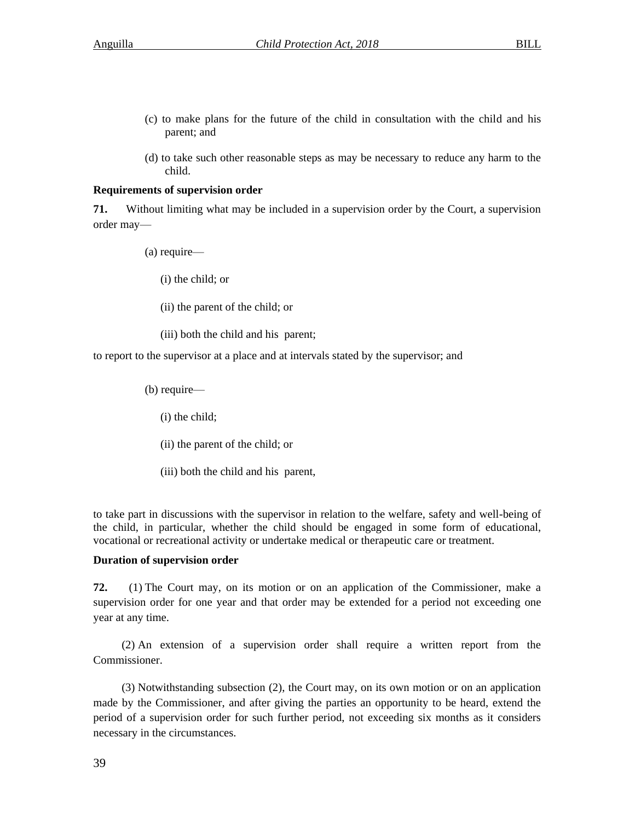- (c) to make plans for the future of the child in consultation with the child and his parent; and
- (d) to take such other reasonable steps as may be necessary to reduce any harm to the child.

## **Requirements of supervision order**

**71.** Without limiting what may be included in a supervision order by the Court, a supervision order may—

(a) require—

(i) the child; or

(ii) the parent of the child; or

(iii) both the child and his parent;

to report to the supervisor at a place and at intervals stated by the supervisor; and

(b) require—

(i) the child;

(ii) the parent of the child; or

(iii) both the child and his parent,

to take part in discussions with the supervisor in relation to the welfare, safety and well-being of the child, in particular, whether the child should be engaged in some form of educational, vocational or recreational activity or undertake medical or therapeutic care or treatment.

#### **Duration of supervision order**

**72.** (1) The Court may, on its motion or on an application of the Commissioner, make a supervision order for one year and that order may be extended for a period not exceeding one year at any time.

(2) An extension of a supervision order shall require a written report from the Commissioner.

(3) Notwithstanding subsection (2), the Court may, on its own motion or on an application made by the Commissioner, and after giving the parties an opportunity to be heard, extend the period of a supervision order for such further period, not exceeding six months as it considers necessary in the circumstances.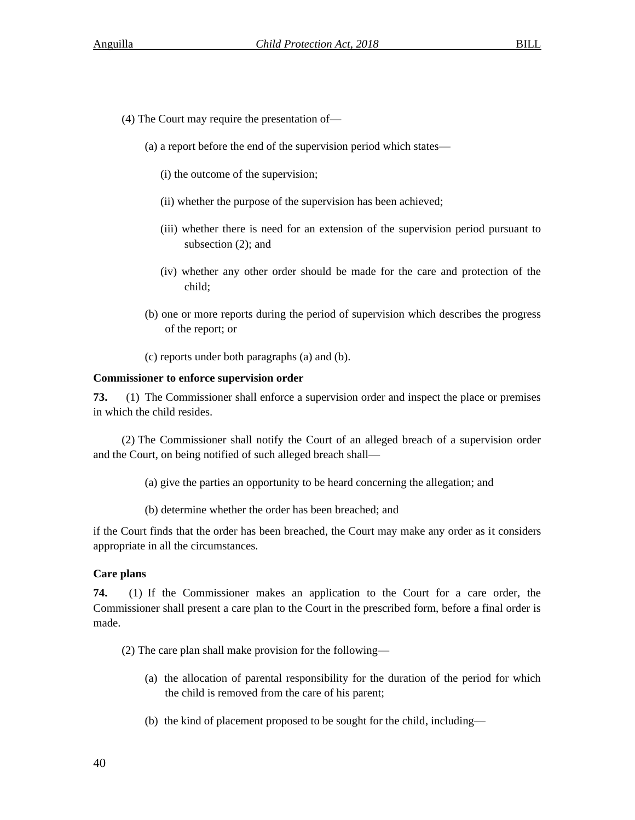- (4) The Court may require the presentation of—
	- (a) a report before the end of the supervision period which states—
		- (i) the outcome of the supervision;
		- (ii) whether the purpose of the supervision has been achieved;
		- (iii) whether there is need for an extension of the supervision period pursuant to subsection (2); and
		- (iv) whether any other order should be made for the care and protection of the child;
	- (b) one or more reports during the period of supervision which describes the progress of the report; or
	- (c) reports under both paragraphs (a) and (b).

## **Commissioner to enforce supervision order**

**73.** (1) The Commissioner shall enforce a supervision order and inspect the place or premises in which the child resides.

(2) The Commissioner shall notify the Court of an alleged breach of a supervision order and the Court, on being notified of such alleged breach shall—

- (a) give the parties an opportunity to be heard concerning the allegation; and
- (b) determine whether the order has been breached; and

if the Court finds that the order has been breached, the Court may make any order as it considers appropriate in all the circumstances.

## **Care plans**

**74.** (1) If the Commissioner makes an application to the Court for a care order, the Commissioner shall present a care plan to the Court in the prescribed form, before a final order is made.

- (2) The care plan shall make provision for the following—
	- (a) the allocation of parental responsibility for the duration of the period for which the child is removed from the care of his parent;
	- (b) the kind of placement proposed to be sought for the child, including—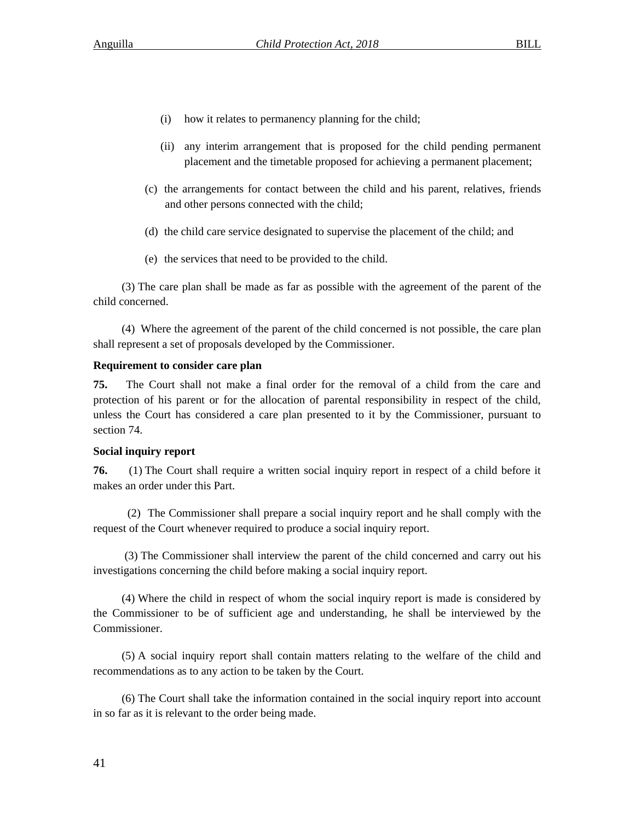- (i) how it relates to permanency planning for the child;
- (ii) any interim arrangement that is proposed for the child pending permanent placement and the timetable proposed for achieving a permanent placement;
- (c) the arrangements for contact between the child and his parent, relatives, friends and other persons connected with the child;
- (d) the child care service designated to supervise the placement of the child; and
- (e) the services that need to be provided to the child.

(3) The care plan shall be made as far as possible with the agreement of the parent of the child concerned.

(4) Where the agreement of the parent of the child concerned is not possible, the care plan shall represent a set of proposals developed by the Commissioner.

## **Requirement to consider care plan**

**75.** The Court shall not make a final order for the removal of a child from the care and protection of his parent or for the allocation of parental responsibility in respect of the child, unless the Court has considered a care plan presented to it by the Commissioner, pursuant to section 74.

## **Social inquiry report**

**76.** (1) The Court shall require a written social inquiry report in respect of a child before it makes an order under this Part.

 (2) The Commissioner shall prepare a social inquiry report and he shall comply with the request of the Court whenever required to produce a social inquiry report.

(3) The Commissioner shall interview the parent of the child concerned and carry out his investigations concerning the child before making a social inquiry report.

(4) Where the child in respect of whom the social inquiry report is made is considered by the Commissioner to be of sufficient age and understanding, he shall be interviewed by the Commissioner.

(5) A social inquiry report shall contain matters relating to the welfare of the child and recommendations as to any action to be taken by the Court.

(6) The Court shall take the information contained in the social inquiry report into account in so far as it is relevant to the order being made.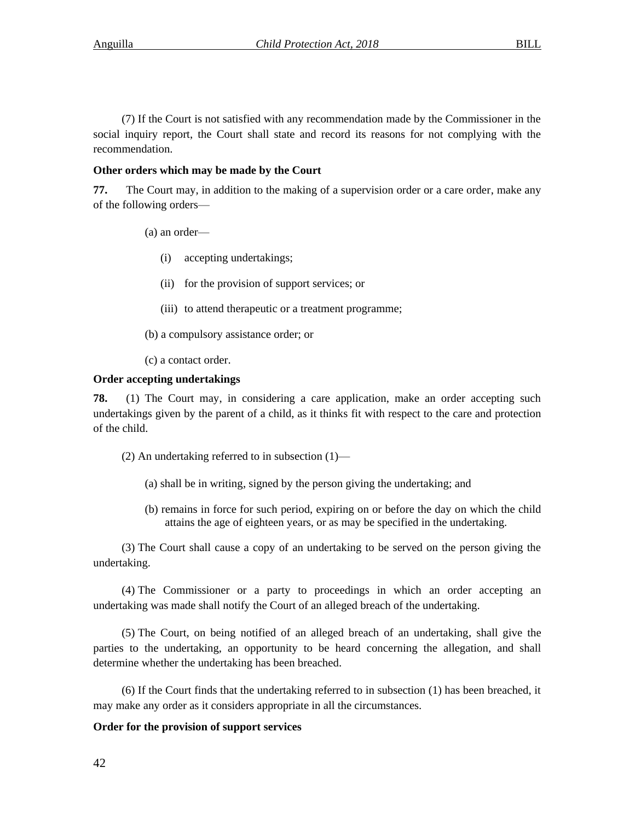(7) If the Court is not satisfied with any recommendation made by the Commissioner in the social inquiry report, the Court shall state and record its reasons for not complying with the recommendation.

## **Other orders which may be made by the Court**

**77.** The Court may, in addition to the making of a supervision order or a care order, make any of the following orders—

#### (a) an order—

- (i) accepting undertakings;
- (ii) for the provision of support services; or
- (iii) to attend therapeutic or a treatment programme;
- (b) a compulsory assistance order; or
- (c) a contact order.

#### **Order accepting undertakings**

**78.** (1) The Court may, in considering a care application, make an order accepting such undertakings given by the parent of a child, as it thinks fit with respect to the care and protection of the child.

- (2) An undertaking referred to in subsection  $(1)$ 
	- (a) shall be in writing, signed by the person giving the undertaking; and
	- (b) remains in force for such period, expiring on or before the day on which the child attains the age of eighteen years, or as may be specified in the undertaking.

(3) The Court shall cause a copy of an undertaking to be served on the person giving the undertaking.

(4) The Commissioner or a party to proceedings in which an order accepting an undertaking was made shall notify the Court of an alleged breach of the undertaking.

(5) The Court, on being notified of an alleged breach of an undertaking, shall give the parties to the undertaking, an opportunity to be heard concerning the allegation, and shall determine whether the undertaking has been breached.

(6) If the Court finds that the undertaking referred to in subsection (1) has been breached, it may make any order as it considers appropriate in all the circumstances.

#### **Order for the provision of support services**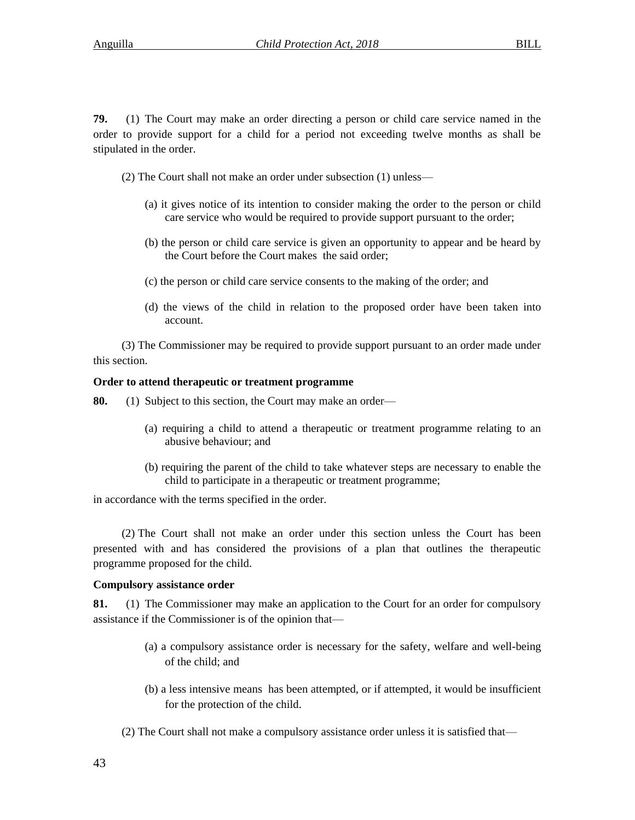**79.** (1) The Court may make an order directing a person or child care service named in the order to provide support for a child for a period not exceeding twelve months as shall be stipulated in the order.

- (2) The Court shall not make an order under subsection (1) unless—
	- (a) it gives notice of its intention to consider making the order to the person or child care service who would be required to provide support pursuant to the order;
	- (b) the person or child care service is given an opportunity to appear and be heard by the Court before the Court makes the said order;
	- (c) the person or child care service consents to the making of the order; and
	- (d) the views of the child in relation to the proposed order have been taken into account.

(3) The Commissioner may be required to provide support pursuant to an order made under this section.

## **Order to attend therapeutic or treatment programme**

**80.** (1) Subject to this section, the Court may make an order—

- (a) requiring a child to attend a therapeutic or treatment programme relating to an abusive behaviour; and
- (b) requiring the parent of the child to take whatever steps are necessary to enable the child to participate in a therapeutic or treatment programme;

in accordance with the terms specified in the order.

(2) The Court shall not make an order under this section unless the Court has been presented with and has considered the provisions of a plan that outlines the therapeutic programme proposed for the child.

#### **Compulsory assistance order**

**81.** (1) The Commissioner may make an application to the Court for an order for compulsory assistance if the Commissioner is of the opinion that—

- (a) a compulsory assistance order is necessary for the safety, welfare and well-being of the child; and
- (b) a less intensive means has been attempted, or if attempted, it would be insufficient for the protection of the child.
- (2) The Court shall not make a compulsory assistance order unless it is satisfied that—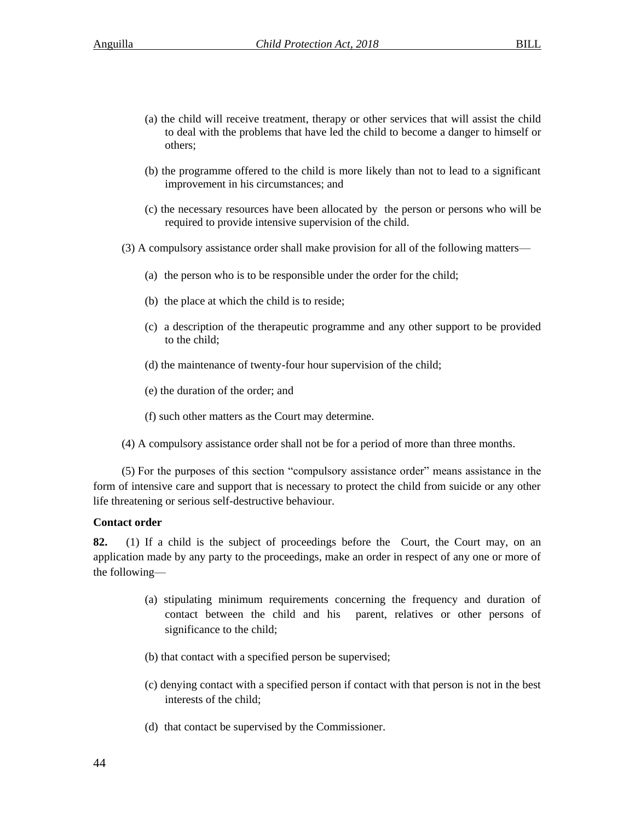- (a) the child will receive treatment, therapy or other services that will assist the child to deal with the problems that have led the child to become a danger to himself or others;
- (b) the programme offered to the child is more likely than not to lead to a significant improvement in his circumstances; and
- (c) the necessary resources have been allocated by the person or persons who will be required to provide intensive supervision of the child.
- (3) A compulsory assistance order shall make provision for all of the following matters—
	- (a) the person who is to be responsible under the order for the child;
	- (b) the place at which the child is to reside;
	- (c) a description of the therapeutic programme and any other support to be provided to the child;
	- (d) the maintenance of twenty-four hour supervision of the child;
	- (e) the duration of the order; and
	- (f) such other matters as the Court may determine.
- (4) A compulsory assistance order shall not be for a period of more than three months.

(5) For the purposes of this section "compulsory assistance order" means assistance in the form of intensive care and support that is necessary to protect the child from suicide or any other life threatening or serious self-destructive behaviour.

## **Contact order**

**82.** (1) If a child is the subject of proceedings before the Court, the Court may, on an application made by any party to the proceedings, make an order in respect of any one or more of the following—

- (a) stipulating minimum requirements concerning the frequency and duration of contact between the child and his parent, relatives or other persons of significance to the child;
- (b) that contact with a specified person be supervised;
- (c) denying contact with a specified person if contact with that person is not in the best interests of the child;
- (d) that contact be supervised by the Commissioner.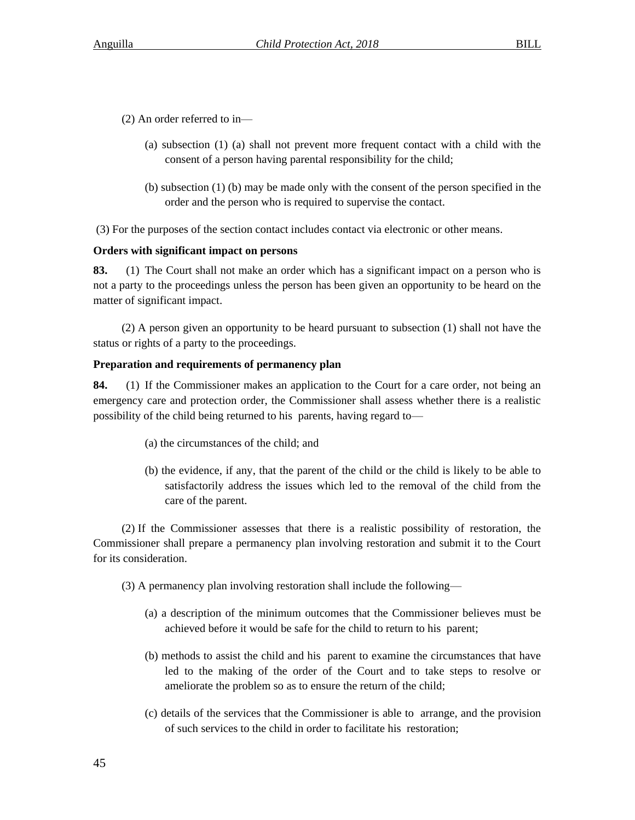- (2) An order referred to in—
	- (a) subsection (1) (a) shall not prevent more frequent contact with a child with the consent of a person having parental responsibility for the child;
	- (b) subsection (1) (b) may be made only with the consent of the person specified in the order and the person who is required to supervise the contact.

(3) For the purposes of the section contact includes contact via electronic or other means.

## **Orders with significant impact on persons**

**83.** (1) The Court shall not make an order which has a significant impact on a person who is not a party to the proceedings unless the person has been given an opportunity to be heard on the matter of significant impact.

(2) A person given an opportunity to be heard pursuant to subsection (1) shall not have the status or rights of a party to the proceedings.

## **Preparation and requirements of permanency plan**

**84.** (1) If the Commissioner makes an application to the Court for a care order, not being an emergency care and protection order, the Commissioner shall assess whether there is a realistic possibility of the child being returned to his parents, having regard to—

- (a) the circumstances of the child; and
- (b) the evidence, if any, that the parent of the child or the child is likely to be able to satisfactorily address the issues which led to the removal of the child from the care of the parent.

(2) If the Commissioner assesses that there is a realistic possibility of restoration, the Commissioner shall prepare a permanency plan involving restoration and submit it to the Court for its consideration.

(3) A permanency plan involving restoration shall include the following—

- (a) a description of the minimum outcomes that the Commissioner believes must be achieved before it would be safe for the child to return to his parent;
- (b) methods to assist the child and his parent to examine the circumstances that have led to the making of the order of the Court and to take steps to resolve or ameliorate the problem so as to ensure the return of the child;
- (c) details of the services that the Commissioner is able to arrange, and the provision of such services to the child in order to facilitate his restoration;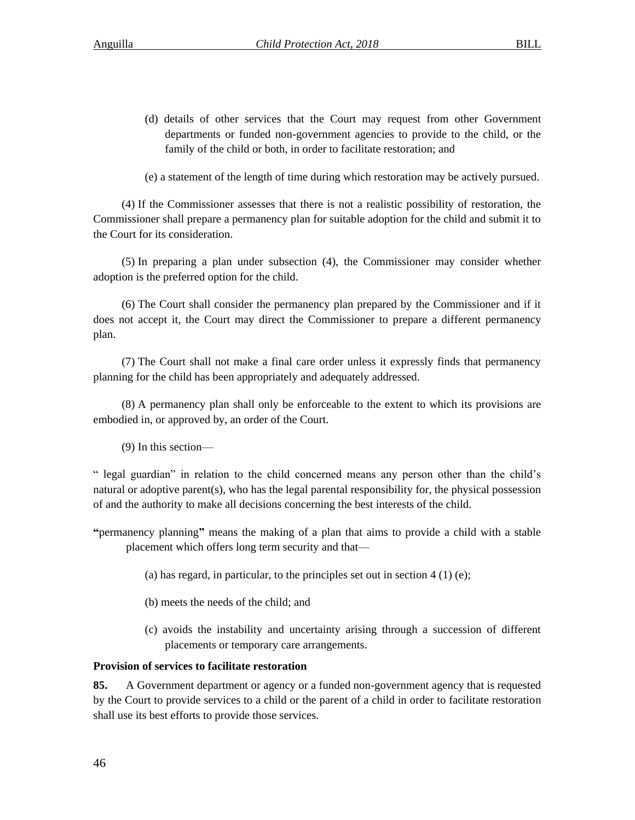(d) details of other services that the Court may request from other Government departments or funded non-government agencies to provide to the child, or the family of the child or both, in order to facilitate restoration; and

(e) a statement of the length of time during which restoration may be actively pursued.

(4) If the Commissioner assesses that there is not a realistic possibility of restoration, the Commissioner shall prepare a permanency plan for suitable adoption for the child and submit it to the Court for its consideration.

(5) In preparing a plan under subsection (4), the Commissioner may consider whether adoption is the preferred option for the child.

(6) The Court shall consider the permanency plan prepared by the Commissioner and if it does not accept it, the Court may direct the Commissioner to prepare a different permanency plan.

(7) The Court shall not make a final care order unless it expressly finds that permanency planning for the child has been appropriately and adequately addressed.

(8) A permanency plan shall only be enforceable to the extent to which its provisions are embodied in, or approved by, an order of the Court.

(9) In this section—

" legal guardian" in relation to the child concerned means any person other than the child's natural or adoptive parent(s), who has the legal parental responsibility for, the physical possession of and the authority to make all decisions concerning the best interests of the child.

**"**permanency planning**"** means the making of a plan that aims to provide a child with a stable placement which offers long term security and that—

- (a) has regard, in particular, to the principles set out in section  $4(1)(e)$ ;
- (b) meets the needs of the child; and
- (c) avoids the instability and uncertainty arising through a succession of different placements or temporary care arrangements.

# **Provision of services to facilitate restoration**

**85.** A Government department or agency or a funded non-government agency that is requested by the Court to provide services to a child or the parent of a child in order to facilitate restoration shall use its best efforts to provide those services.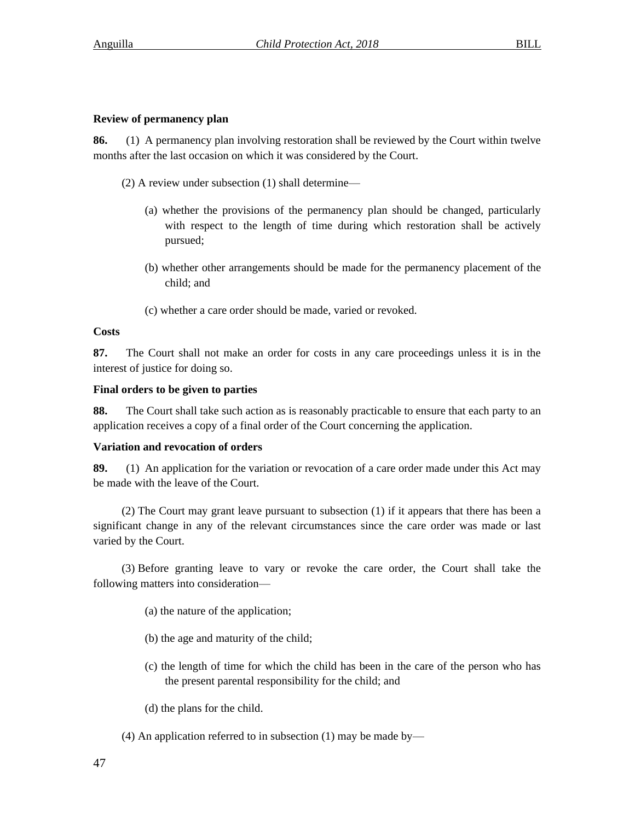# **Review of permanency plan**

**86.** (1) A permanency plan involving restoration shall be reviewed by the Court within twelve months after the last occasion on which it was considered by the Court.

- (2) A review under subsection (1) shall determine—
	- (a) whether the provisions of the permanency plan should be changed, particularly with respect to the length of time during which restoration shall be actively pursued;
	- (b) whether other arrangements should be made for the permanency placement of the child; and
	- (c) whether a care order should be made, varied or revoked.

# **Costs**

**87.** The Court shall not make an order for costs in any care proceedings unless it is in the interest of justice for doing so.

## **Final orders to be given to parties**

**88.** The Court shall take such action as is reasonably practicable to ensure that each party to an application receives a copy of a final order of the Court concerning the application.

## **Variation and revocation of orders**

**89.** (1) An application for the variation or revocation of a care order made under this Act may be made with the leave of the Court.

(2) The Court may grant leave pursuant to subsection (1) if it appears that there has been a significant change in any of the relevant circumstances since the care order was made or last varied by the Court.

(3) Before granting leave to vary or revoke the care order, the Court shall take the following matters into consideration—

- (a) the nature of the application;
- (b) the age and maturity of the child;
- (c) the length of time for which the child has been in the care of the person who has the present parental responsibility for the child; and
- (d) the plans for the child.
- (4) An application referred to in subsection (1) may be made by—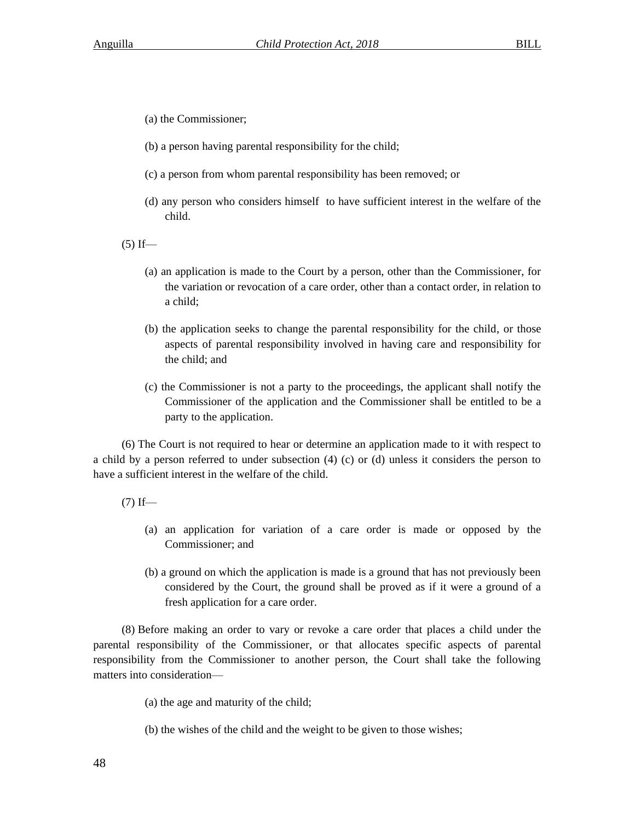- (a) the Commissioner;
- (b) a person having parental responsibility for the child;
- (c) a person from whom parental responsibility has been removed; or
- (d) any person who considers himself to have sufficient interest in the welfare of the child.

 $(5)$  If—

- (a) an application is made to the Court by a person, other than the Commissioner, for the variation or revocation of a care order, other than a contact order, in relation to a child;
- (b) the application seeks to change the parental responsibility for the child, or those aspects of parental responsibility involved in having care and responsibility for the child; and
- (c) the Commissioner is not a party to the proceedings, the applicant shall notify the Commissioner of the application and the Commissioner shall be entitled to be a party to the application.

(6) The Court is not required to hear or determine an application made to it with respect to a child by a person referred to under subsection (4) (c) or (d) unless it considers the person to have a sufficient interest in the welfare of the child.

 $(7)$  If—

- (a) an application for variation of a care order is made or opposed by the Commissioner; and
- (b) a ground on which the application is made is a ground that has not previously been considered by the Court, the ground shall be proved as if it were a ground of a fresh application for a care order.

(8) Before making an order to vary or revoke a care order that places a child under the parental responsibility of the Commissioner, or that allocates specific aspects of parental responsibility from the Commissioner to another person, the Court shall take the following matters into consideration—

(a) the age and maturity of the child;

(b) the wishes of the child and the weight to be given to those wishes;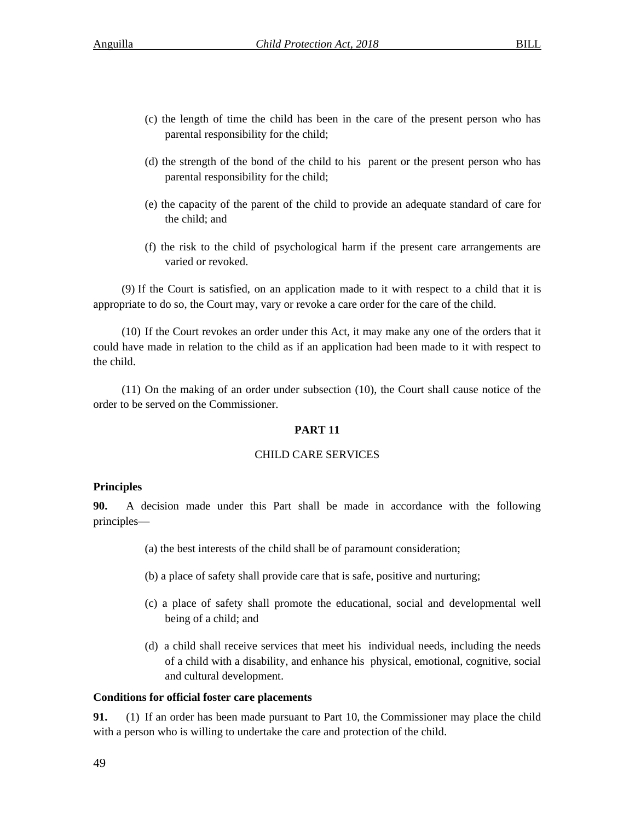- (c) the length of time the child has been in the care of the present person who has parental responsibility for the child;
- (d) the strength of the bond of the child to his parent or the present person who has parental responsibility for the child;
- (e) the capacity of the parent of the child to provide an adequate standard of care for the child; and
- (f) the risk to the child of psychological harm if the present care arrangements are varied or revoked.

(9) If the Court is satisfied, on an application made to it with respect to a child that it is appropriate to do so, the Court may, vary or revoke a care order for the care of the child.

(10) If the Court revokes an order under this Act, it may make any one of the orders that it could have made in relation to the child as if an application had been made to it with respect to the child.

(11) On the making of an order under subsection (10), the Court shall cause notice of the order to be served on the Commissioner.

# **PART 11**

## CHILD CARE SERVICES

# **Principles**

**90.** A decision made under this Part shall be made in accordance with the following principles—

- (a) the best interests of the child shall be of paramount consideration;
- (b) a place of safety shall provide care that is safe, positive and nurturing;
- (c) a place of safety shall promote the educational, social and developmental well being of a child; and
- (d) a child shall receive services that meet his individual needs, including the needs of a child with a disability, and enhance his physical, emotional, cognitive, social and cultural development.

## **Conditions for official foster care placements**

**91.** (1) If an order has been made pursuant to Part 10, the Commissioner may place the child with a person who is willing to undertake the care and protection of the child.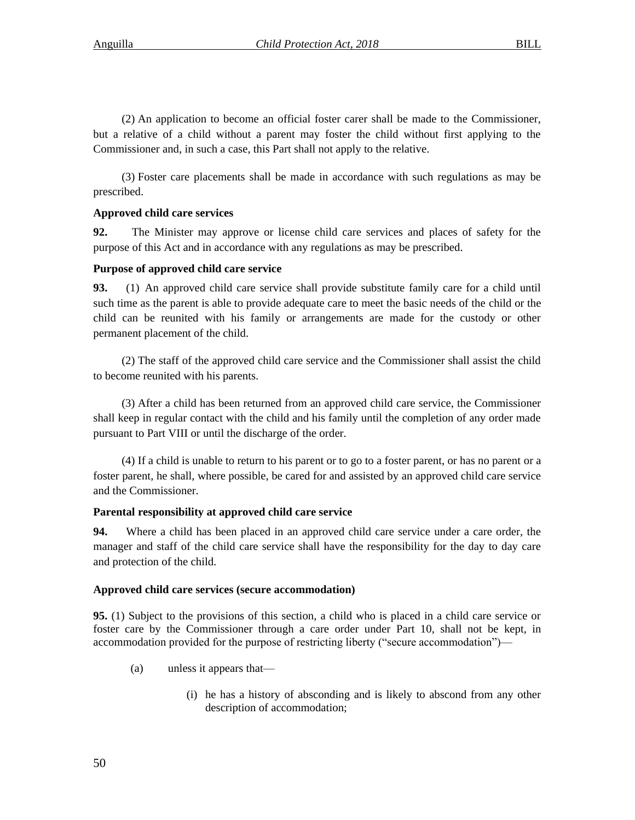(2) An application to become an official foster carer shall be made to the Commissioner, but a relative of a child without a parent may foster the child without first applying to the Commissioner and, in such a case, this Part shall not apply to the relative.

(3) Foster care placements shall be made in accordance with such regulations as may be prescribed.

# **Approved child care services**

**92.** The Minister may approve or license child care services and places of safety for the purpose of this Act and in accordance with any regulations as may be prescribed.

# **Purpose of approved child care service**

**93.** (1) An approved child care service shall provide substitute family care for a child until such time as the parent is able to provide adequate care to meet the basic needs of the child or the child can be reunited with his family or arrangements are made for the custody or other permanent placement of the child.

(2) The staff of the approved child care service and the Commissioner shall assist the child to become reunited with his parents.

(3) After a child has been returned from an approved child care service, the Commissioner shall keep in regular contact with the child and his family until the completion of any order made pursuant to Part VIII or until the discharge of the order.

(4) If a child is unable to return to his parent or to go to a foster parent, or has no parent or a foster parent, he shall, where possible, be cared for and assisted by an approved child care service and the Commissioner.

# **Parental responsibility at approved child care service**

**94.** Where a child has been placed in an approved child care service under a care order, the manager and staff of the child care service shall have the responsibility for the day to day care and protection of the child.

# **Approved child care services (secure accommodation)**

**95.** (1) Subject to the provisions of this section, a child who is placed in a child care service or foster care by the Commissioner through a care order under Part 10, shall not be kept, in accommodation provided for the purpose of restricting liberty ("secure accommodation")—

- (a) unless it appears that—
	- (i) he has a history of absconding and is likely to abscond from any other description of accommodation;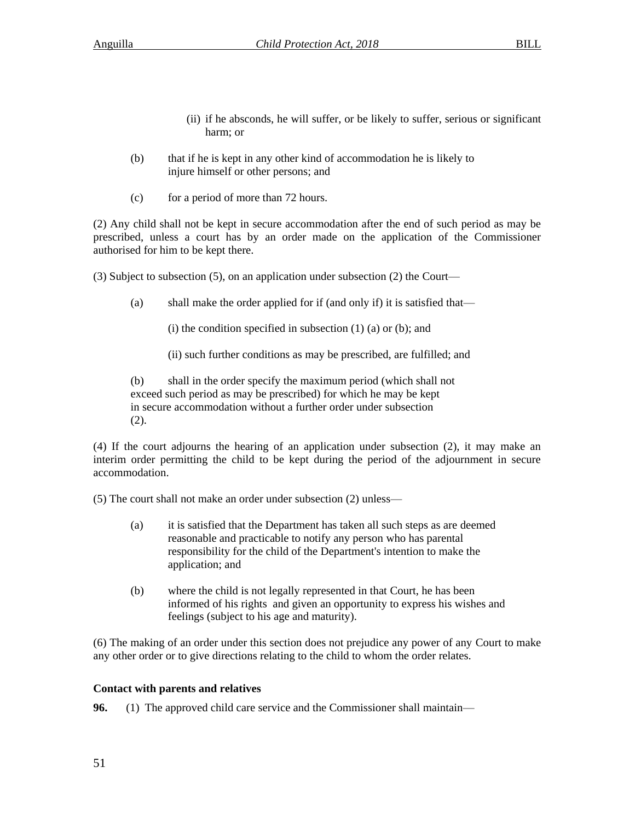- (ii) if he absconds, he will suffer, or be likely to suffer, serious or significant harm; or
- (b) that if he is kept in any other kind of accommodation he is likely to injure himself or other persons; and
- (c) for a period of more than 72 hours.

(2) Any child shall not be kept in secure accommodation after the end of such period as may be prescribed, unless a court has by an order made on the application of the Commissioner authorised for him to be kept there.

(3) Subject to subsection (5), on an application under subsection (2) the Court—

(a) shall make the order applied for if (and only if) it is satisfied that—

(i) the condition specified in subsection  $(1)$   $(a)$  or  $(b)$ ; and

(ii) such further conditions as may be prescribed, are fulfilled; and

(b) shall in the order specify the maximum period (which shall not exceed such period as may be prescribed) for which he may be kept in secure accommodation without a further order under subsection (2).

(4) If the court adjourns the hearing of an application under subsection (2), it may make an interim order permitting the child to be kept during the period of the adjournment in secure accommodation.

(5) The court shall not make an order under subsection (2) unless—

- (a) it is satisfied that the Department has taken all such steps as are deemed reasonable and practicable to notify any person who has parental responsibility for the child of the Department's intention to make the application; and
- (b) where the child is not legally represented in that Court, he has been informed of his rights and given an opportunity to express his wishes and feelings (subject to his age and maturity).

(6) The making of an order under this section does not prejudice any power of any Court to make any other order or to give directions relating to the child to whom the order relates.

## **Contact with parents and relatives**

**96.** (1) The approved child care service and the Commissioner shall maintain—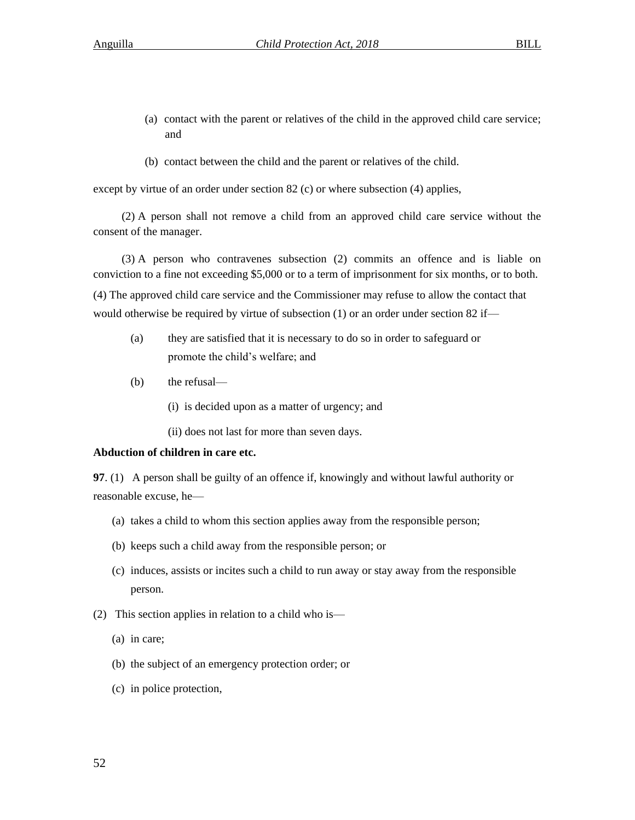- (a) contact with the parent or relatives of the child in the approved child care service; and
- (b) contact between the child and the parent or relatives of the child.

except by virtue of an order under section 82 (c) or where subsection (4) applies,

(2) A person shall not remove a child from an approved child care service without the consent of the manager.

(3) A person who contravenes subsection (2) commits an offence and is liable on conviction to a fine not exceeding \$5,000 or to a term of imprisonment for six months, or to both.

(4) The approved child care service and the Commissioner may refuse to allow the contact that would otherwise be required by virtue of subsection (1) or an order under section 82 if—

- (a) they are satisfied that it is necessary to do so in order to safeguard or promote the child's welfare; and
- (b) the refusal—
	- (i) is decided upon as a matter of urgency; and
	- (ii) does not last for more than seven days.

#### **Abduction of children in care etc.**

**97**. (1) A person shall be guilty of an offence if, knowingly and without lawful authority or reasonable excuse, he—

- (a) takes a child to whom this section applies away from the responsible person;
- (b) keeps such a child away from the responsible person; or
- (c) induces, assists or incites such a child to run away or stay away from the responsible person.
- (2) This section applies in relation to a child who is—
	- (a) in care;
	- (b) the subject of an emergency protection order; or
	- (c) in police protection,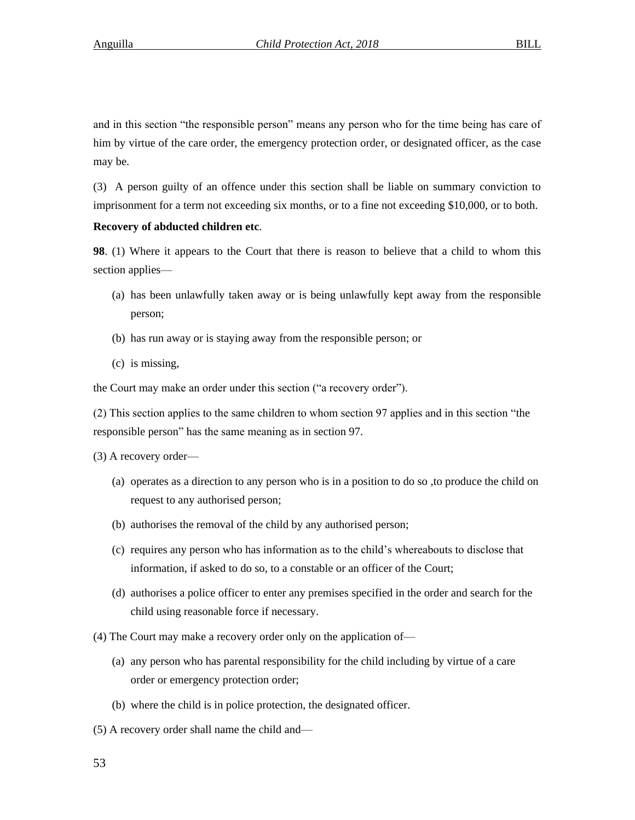and in this section "the responsible person" means any person who for the time being has care of him by virtue of the care order, the emergency protection order, or designated officer, as the case may be.

(3) A person guilty of an offence under this section shall be liable on summary conviction to imprisonment for a term not exceeding six months, or to a fine not exceeding \$10,000, or to both.

#### **Recovery of abducted children etc**.

**98**. (1) Where it appears to the Court that there is reason to believe that a child to whom this section applies—

- (a) has been unlawfully taken away or is being unlawfully kept away from the responsible person;
- (b) has run away or is staying away from the responsible person; or
- (c) is missing,

the Court may make an order under this section ("a recovery order").

(2) This section applies to the same children to whom section 97 applies and in this section "the responsible person" has the same meaning as in section 97.

(3) A recovery order—

- (a) operates as a direction to any person who is in a position to do so ,to produce the child on request to any authorised person;
- (b) authorises the removal of the child by any authorised person;
- (c) requires any person who has information as to the child's whereabouts to disclose that information, if asked to do so, to a constable or an officer of the Court;
- (d) authorises a police officer to enter any premises specified in the order and search for the child using reasonable force if necessary.
- (4) The Court may make a recovery order only on the application of—
	- (a) any person who has parental responsibility for the child including by virtue of a care order or emergency protection order;
	- (b) where the child is in police protection, the designated officer.
- (5) A recovery order shall name the child and—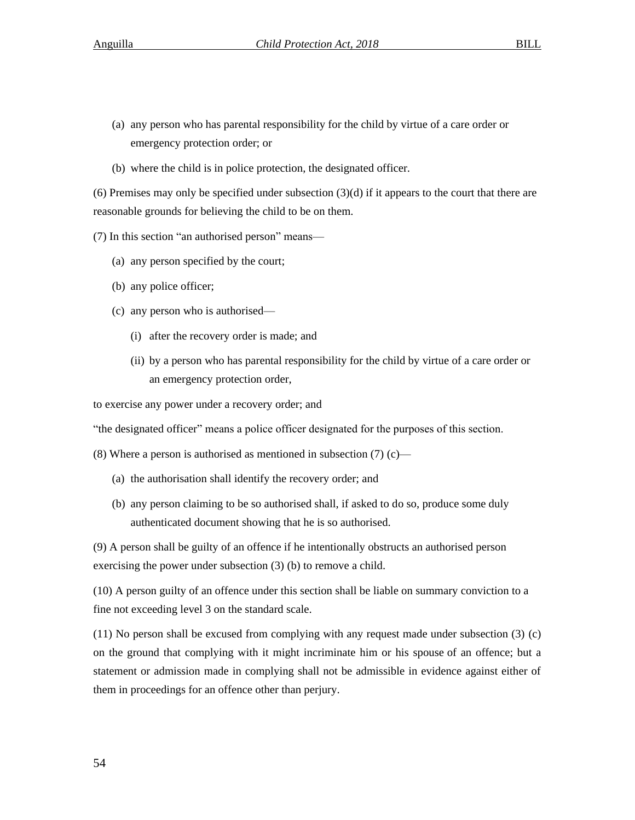- (a) any person who has parental responsibility for the child by virtue of a care order or emergency protection order; or
- (b) where the child is in police protection, the designated officer.

(6) Premises may only be specified under subsection  $(3)(d)$  if it appears to the court that there are reasonable grounds for believing the child to be on them.

(7) In this section "an authorised person" means—

- (a) any person specified by the court;
- (b) any police officer;
- (c) any person who is authorised—
	- (i) after the recovery order is made; and
	- (ii) by a person who has parental responsibility for the child by virtue of a care order or an emergency protection order,

to exercise any power under a recovery order; and

"the designated officer" means a police officer designated for the purposes of this section.

(8) Where a person is authorised as mentioned in subsection  $(7)$  (c)—

- (a) the authorisation shall identify the recovery order; and
- (b) any person claiming to be so authorised shall, if asked to do so, produce some duly authenticated document showing that he is so authorised.

(9) A person shall be guilty of an offence if he intentionally obstructs an authorised person exercising the power under subsection (3) (b) to remove a child.

(10) A person guilty of an offence under this section shall be liable on summary conviction to a fine not exceeding level 3 on the standard scale.

(11) No person shall be excused from complying with any request made under subsection (3) (c) on the ground that complying with it might incriminate him or his spouse of an offence; but a statement or admission made in complying shall not be admissible in evidence against either of them in proceedings for an offence other than perjury.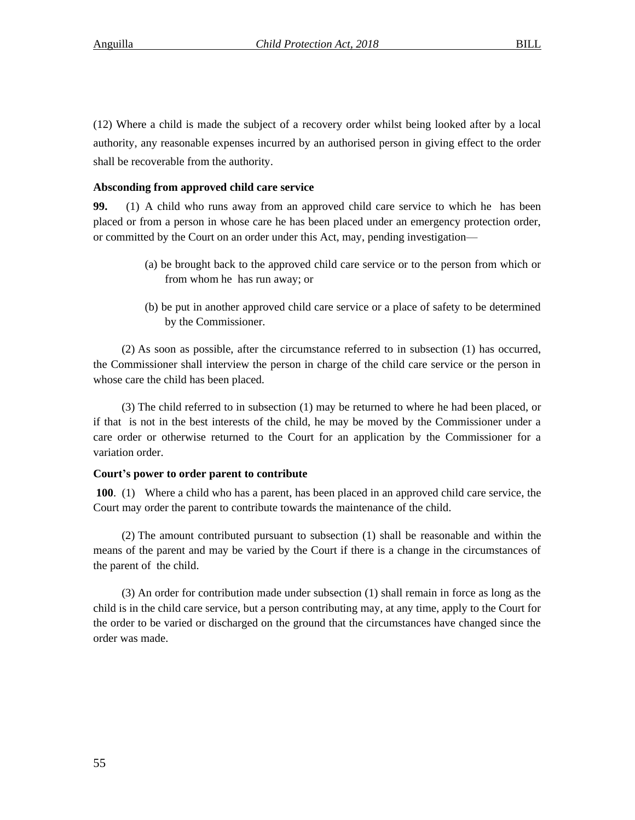(12) Where a child is made the subject of a recovery order whilst being looked after by a local authority, any reasonable expenses incurred by an authorised person in giving effect to the order shall be recoverable from the authority.

## **Absconding from approved child care service**

**99.** (1) A child who runs away from an approved child care service to which he has been placed or from a person in whose care he has been placed under an emergency protection order, or committed by the Court on an order under this Act, may, pending investigation—

- (a) be brought back to the approved child care service or to the person from which or from whom he has run away; or
- (b) be put in another approved child care service or a place of safety to be determined by the Commissioner.

(2) As soon as possible, after the circumstance referred to in subsection (1) has occurred, the Commissioner shall interview the person in charge of the child care service or the person in whose care the child has been placed.

(3) The child referred to in subsection (1) may be returned to where he had been placed, or if that is not in the best interests of the child, he may be moved by the Commissioner under a care order or otherwise returned to the Court for an application by the Commissioner for a variation order.

#### **Court's power to order parent to contribute**

**100**. (1) Where a child who has a parent, has been placed in an approved child care service, the Court may order the parent to contribute towards the maintenance of the child.

(2) The amount contributed pursuant to subsection (1) shall be reasonable and within the means of the parent and may be varied by the Court if there is a change in the circumstances of the parent of the child.

(3) An order for contribution made under subsection (1) shall remain in force as long as the child is in the child care service, but a person contributing may, at any time, apply to the Court for the order to be varied or discharged on the ground that the circumstances have changed since the order was made.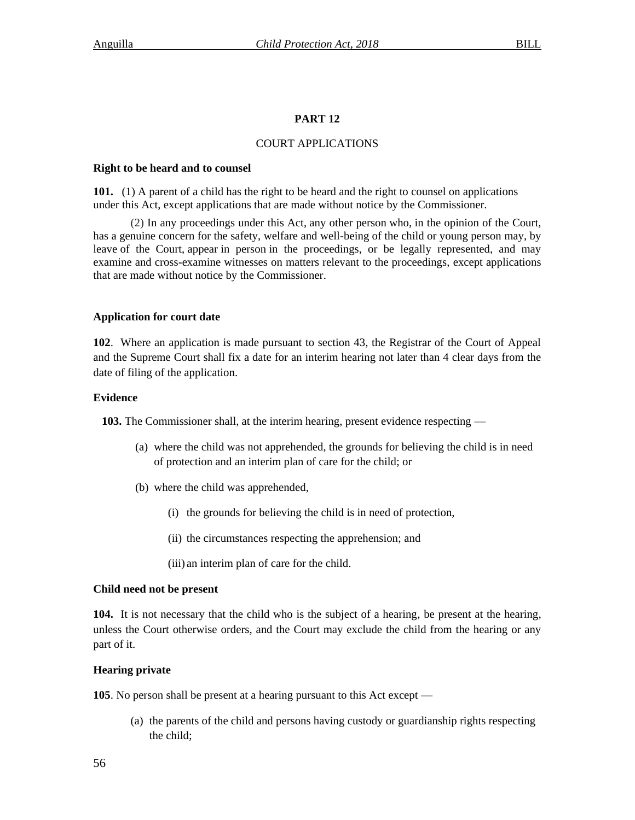# **PART 12**

### COURT APPLICATIONS

#### **Right to be heard and to counsel**

**101.** (1) A parent of a child has the right to be heard and the right to counsel on applications under this Act, except applications that are made without notice by the Commissioner.

(2) In any proceedings under this Act, any other person who, in the opinion of the Court, has a genuine concern for the safety, welfare and well-being of the child or young person may, by leave of the Court, appear in person in the proceedings, or be legally represented, and may examine and cross-examine witnesses on matters relevant to the proceedings, except applications that are made without notice by the Commissioner.

## **Application for court date**

**102**. Where an application is made pursuant to section 43, the Registrar of the Court of Appeal and the Supreme Court shall fix a date for an interim hearing not later than 4 clear days from the date of filing of the application.

## **Evidence**

**103.** The Commissioner shall, at the interim hearing, present evidence respecting —

- (a) where the child was not apprehended, the grounds for believing the child is in need of protection and an interim plan of care for the child; or
- (b) where the child was apprehended,
	- (i) the grounds for believing the child is in need of protection,
	- (ii) the circumstances respecting the apprehension; and
	- (iii) an interim plan of care for the child.

#### **Child need not be present**

**104.** It is not necessary that the child who is the subject of a hearing, be present at the hearing, unless the Court otherwise orders, and the Court may exclude the child from the hearing or any part of it.

## **Hearing private**

**105**. No person shall be present at a hearing pursuant to this Act except —

(a) the parents of the child and persons having custody or guardianship rights respecting the child;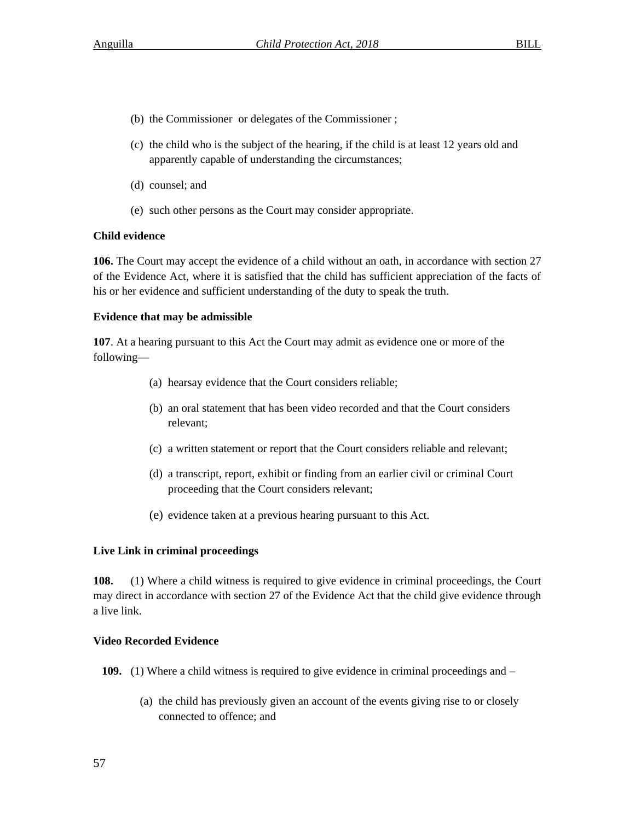- (b) the Commissioner or delegates of the Commissioner ;
- (c) the child who is the subject of the hearing, if the child is at least 12 years old and apparently capable of understanding the circumstances;
- (d) counsel; and
- (e) such other persons as the Court may consider appropriate.

# **Child evidence**

**106.** The Court may accept the evidence of a child without an oath, in accordance with section 27 of the Evidence Act, where it is satisfied that the child has sufficient appreciation of the facts of his or her evidence and sufficient understanding of the duty to speak the truth.

# **Evidence that may be admissible**

**107**. At a hearing pursuant to this Act the Court may admit as evidence one or more of the following—

- (a) hearsay evidence that the Court considers reliable;
- (b) an oral statement that has been video recorded and that the Court considers relevant;
- (c) a written statement or report that the Court considers reliable and relevant;
- (d) a transcript, report, exhibit or finding from an earlier civil or criminal Court proceeding that the Court considers relevant;
- (e) evidence taken at a previous hearing pursuant to this Act.

## **Live Link in criminal proceedings**

**108.** (1) Where a child witness is required to give evidence in criminal proceedings, the Court may direct in accordance with section 27 of the Evidence Act that the child give evidence through a live link.

# **Video Recorded Evidence**

**109.** (1) Where a child witness is required to give evidence in criminal proceedings and –

(a) the child has previously given an account of the events giving rise to or closely connected to offence; and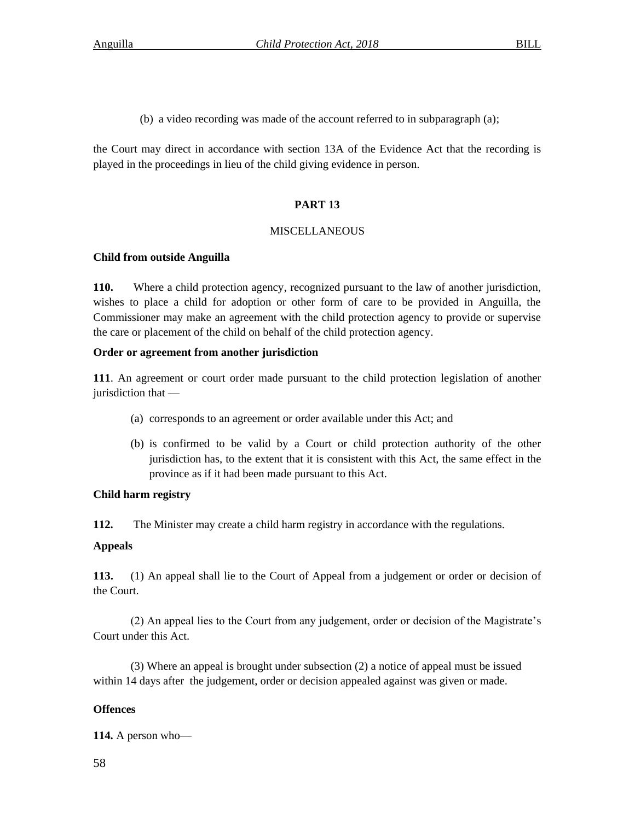(b) a video recording was made of the account referred to in subparagraph (a);

the Court may direct in accordance with section 13A of the Evidence Act that the recording is played in the proceedings in lieu of the child giving evidence in person.

# **PART 13**

# **MISCELLANEOUS**

# **Child from outside Anguilla**

**110.** Where a child protection agency, recognized pursuant to the law of another jurisdiction, wishes to place a child for adoption or other form of care to be provided in Anguilla, the Commissioner may make an agreement with the child protection agency to provide or supervise the care or placement of the child on behalf of the child protection agency.

# **Order or agreement from another jurisdiction**

**111**. An agreement or court order made pursuant to the child protection legislation of another jurisdiction that —

- (a) corresponds to an agreement or order available under this Act; and
- (b) is confirmed to be valid by a Court or child protection authority of the other jurisdiction has, to the extent that it is consistent with this Act, the same effect in the province as if it had been made pursuant to this Act.

# **Child harm registry**

**112.** The Minister may create a child harm registry in accordance with the regulations.

# **Appeals**

**113.** (1) An appeal shall lie to the Court of Appeal from a judgement or order or decision of the Court.

(2) An appeal lies to the Court from any judgement, order or decision of the Magistrate's Court under this Act.

(3) Where an appeal is brought under subsection (2) a notice of appeal must be issued within 14 days after the judgement, order or decision appealed against was given or made.

# **Offences**

**114.** A person who—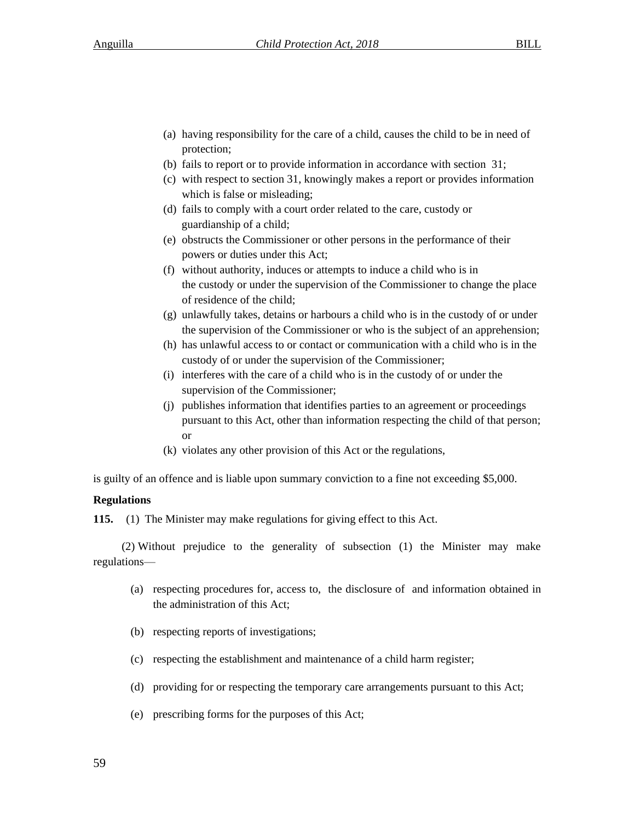- (a) having responsibility for the care of a child, causes the child to be in need of protection;
- (b) fails to report or to provide information in accordance with section 31;
- (c) with respect to section 31, knowingly makes a report or provides information which is false or misleading;
- (d) fails to comply with a court order related to the care, custody or guardianship of a child;
- (e) obstructs the Commissioner or other persons in the performance of their powers or duties under this Act;
- (f) without authority, induces or attempts to induce a child who is in the custody or under the supervision of the Commissioner to change the place of residence of the child;
- (g) unlawfully takes, detains or harbours a child who is in the custody of or under the supervision of the Commissioner or who is the subject of an apprehension;
- (h) has unlawful access to or contact or communication with a child who is in the custody of or under the supervision of the Commissioner;
- (i) interferes with the care of a child who is in the custody of or under the supervision of the Commissioner;
- (j) publishes information that identifies parties to an agreement or proceedings pursuant to this Act, other than information respecting the child of that person; or
- (k) violates any other provision of this Act or the regulations,

is guilty of an offence and is liable upon summary conviction to a fine not exceeding \$5,000.

### **Regulations**

**115.** (1) The Minister may make regulations for giving effect to this Act.

(2) Without prejudice to the generality of subsection (1) the Minister may make regulations—

- (a) respecting procedures for, access to, the disclosure of and information obtained in the administration of this Act;
- (b) respecting reports of investigations;
- (c) respecting the establishment and maintenance of a child harm register;
- (d) providing for or respecting the temporary care arrangements pursuant to this Act;
- (e) prescribing forms for the purposes of this Act;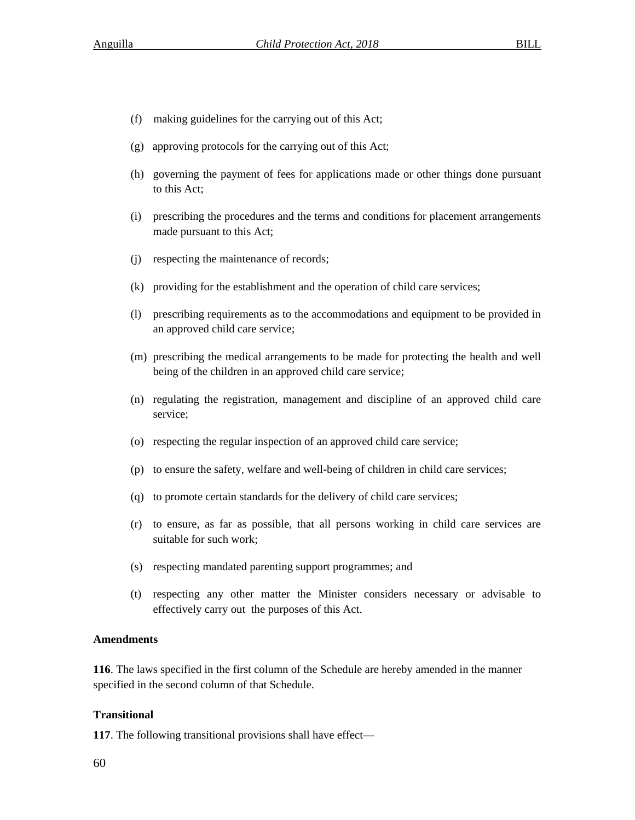- (f) making guidelines for the carrying out of this Act;
- (g) approving protocols for the carrying out of this Act;
- (h) governing the payment of fees for applications made or other things done pursuant to this Act;
- (i) prescribing the procedures and the terms and conditions for placement arrangements made pursuant to this Act;
- (j) respecting the maintenance of records;
- (k) providing for the establishment and the operation of child care services;
- (l) prescribing requirements as to the accommodations and equipment to be provided in an approved child care service;
- (m) prescribing the medical arrangements to be made for protecting the health and well being of the children in an approved child care service;
- (n) regulating the registration, management and discipline of an approved child care service;
- (o) respecting the regular inspection of an approved child care service;
- (p) to ensure the safety, welfare and well-being of children in child care services;
- (q) to promote certain standards for the delivery of child care services;
- (r) to ensure, as far as possible, that all persons working in child care services are suitable for such work;
- (s) respecting mandated parenting support programmes; and
- (t) respecting any other matter the Minister considers necessary or advisable to effectively carry out the purposes of this Act.

# **Amendments**

**116**. The laws specified in the first column of the Schedule are hereby amended in the manner specified in the second column of that Schedule.

# **Transitional**

**117**. The following transitional provisions shall have effect—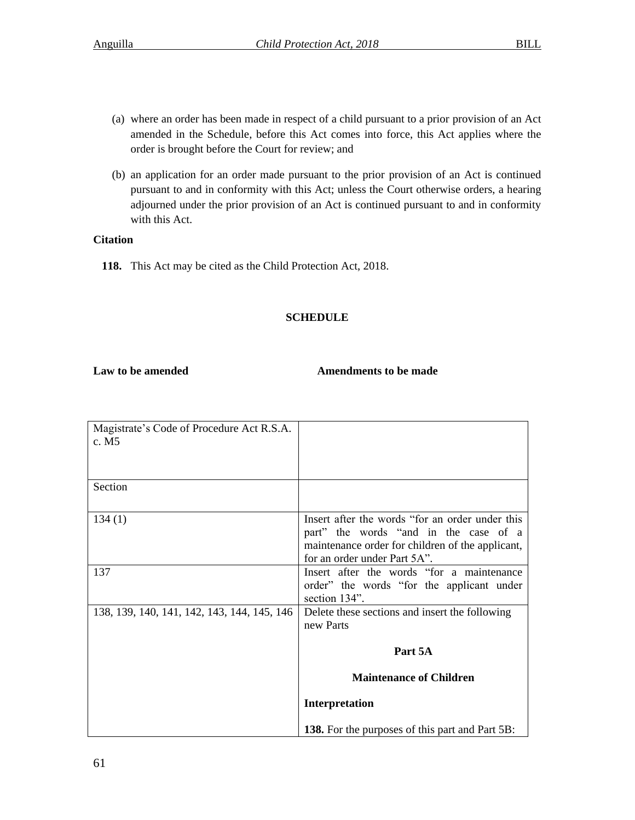- (a) where an order has been made in respect of a child pursuant to a prior provision of an Act amended in the Schedule, before this Act comes into force, this Act applies where the order is brought before the Court for review; and
- (b) an application for an order made pursuant to the prior provision of an Act is continued pursuant to and in conformity with this Act; unless the Court otherwise orders, a hearing adjourned under the prior provision of an Act is continued pursuant to and in conformity with this Act.

# **Citation**

 **118.** This Act may be cited as the Child Protection Act, 2018.

# **SCHEDULE**

# Law to be amended **Amendments to be made**

| Magistrate's Code of Procedure Act R.S.A.   |                                                            |
|---------------------------------------------|------------------------------------------------------------|
| c. M5                                       |                                                            |
|                                             |                                                            |
|                                             |                                                            |
| Section                                     |                                                            |
| 134(1)                                      | Insert after the words "for an order under this            |
|                                             | part" the words "and in the case of a                      |
|                                             | maintenance order for children of the applicant,           |
|                                             | for an order under Part 5A".                               |
| 137                                         | Insert after the words "for a maintenance"                 |
|                                             | order" the words "for the applicant under<br>section 134". |
| 138, 139, 140, 141, 142, 143, 144, 145, 146 | Delete these sections and insert the following             |
|                                             | new Parts                                                  |
|                                             |                                                            |
|                                             | Part 5A                                                    |
|                                             | <b>Maintenance of Children</b>                             |
|                                             | Interpretation                                             |
|                                             | <b>138.</b> For the purposes of this part and Part 5B:     |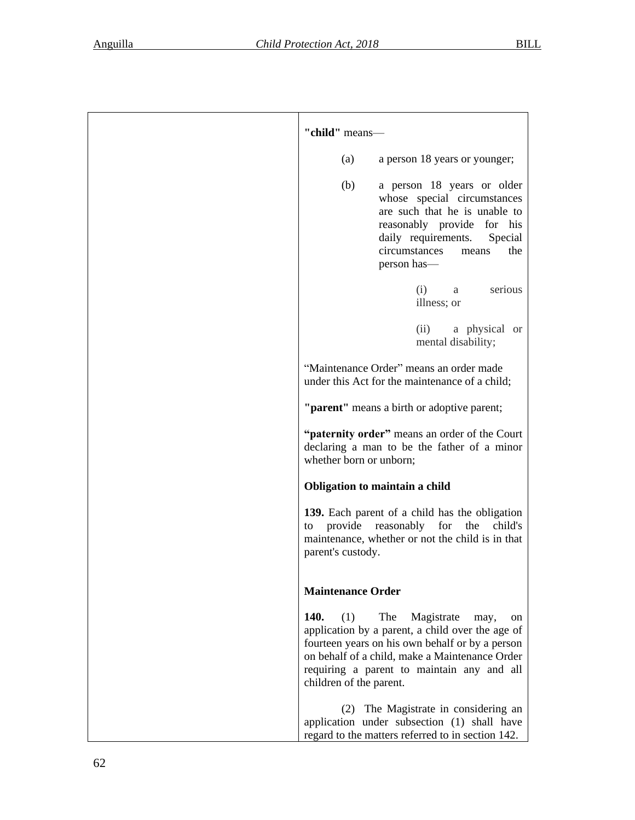| "child" means-                                                                                                                                                                                                                                                                   |  |
|----------------------------------------------------------------------------------------------------------------------------------------------------------------------------------------------------------------------------------------------------------------------------------|--|
| a person 18 years or younger;<br>(a)                                                                                                                                                                                                                                             |  |
| a person 18 years or older<br>(b)<br>whose special circumstances<br>are such that he is unable to<br>reasonably provide for his<br>daily requirements.<br>Special<br>circumstances<br>the<br>means<br>person has—                                                                |  |
| serious<br>(i)<br>a<br>illness; or                                                                                                                                                                                                                                               |  |
| (ii)<br>a physical or<br>mental disability;                                                                                                                                                                                                                                      |  |
| "Maintenance Order" means an order made<br>under this Act for the maintenance of a child;                                                                                                                                                                                        |  |
| "parent" means a birth or adoptive parent;                                                                                                                                                                                                                                       |  |
| "paternity order" means an order of the Court<br>declaring a man to be the father of a minor<br>whether born or unborn;                                                                                                                                                          |  |
| Obligation to maintain a child                                                                                                                                                                                                                                                   |  |
| 139. Each parent of a child has the obligation<br>provide<br>reasonably<br>for<br>the<br>child's<br>to<br>maintenance, whether or not the child is in that<br>parent's custody.                                                                                                  |  |
| <b>Maintenance Order</b>                                                                                                                                                                                                                                                         |  |
| 140.<br>(1)<br>The<br>Magistrate<br>may,<br>on<br>application by a parent, a child over the age of<br>fourteen years on his own behalf or by a person<br>on behalf of a child, make a Maintenance Order<br>requiring a parent to maintain any and all<br>children of the parent. |  |
| (2) The Magistrate in considering an<br>application under subsection (1) shall have<br>regard to the matters referred to in section 142.                                                                                                                                         |  |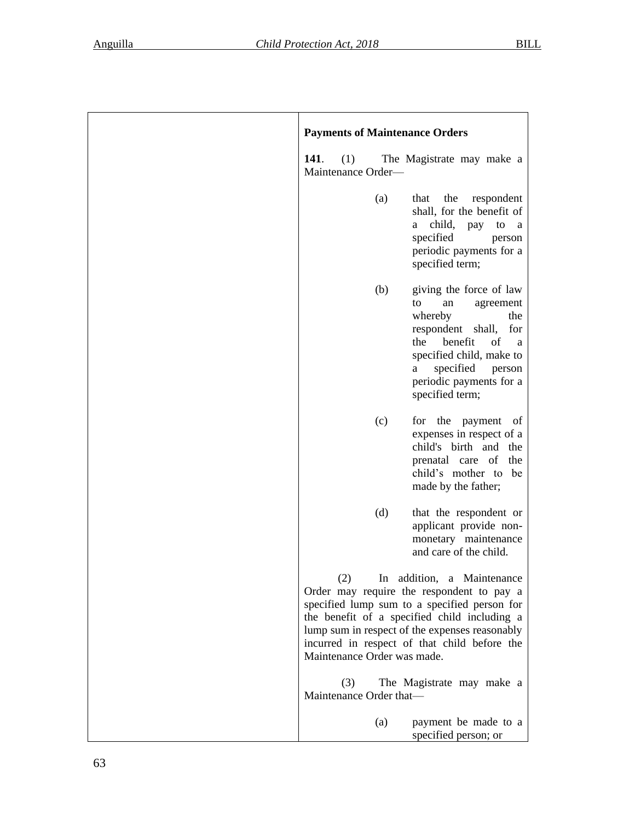| <b>Payments of Maintenance Orders</b>                                                                                                                                                                                                                                                                           |
|-----------------------------------------------------------------------------------------------------------------------------------------------------------------------------------------------------------------------------------------------------------------------------------------------------------------|
| 141.<br>The Magistrate may make a<br>(1)<br>Maintenance Order-                                                                                                                                                                                                                                                  |
| the<br>(a)<br>that<br>respondent<br>shall, for the benefit of<br>child, pay<br>to a<br>a -<br>specified<br>person<br>periodic payments for a<br>specified term;                                                                                                                                                 |
| (b)<br>giving the force of law<br>an<br>agreement<br>to<br>whereby<br>the<br>respondent<br>shall,<br>for<br>benefit<br>the<br>of<br>a<br>specified child, make to<br>specified person<br>a<br>periodic payments for a<br>specified term;                                                                        |
| (c)<br>the<br>for<br>payment<br>of<br>expenses in respect of a<br>child's birth and the<br>prenatal care of the<br>child's mother to be<br>made by the father;                                                                                                                                                  |
| (d)<br>that the respondent or<br>applicant provide non-<br>monetary maintenance<br>and care of the child.                                                                                                                                                                                                       |
| (2)<br>In addition, a Maintenance<br>Order may require the respondent to pay a<br>specified lump sum to a specified person for<br>the benefit of a specified child including a<br>lump sum in respect of the expenses reasonably<br>incurred in respect of that child before the<br>Maintenance Order was made. |
| The Magistrate may make a<br>(3)<br>Maintenance Order that-                                                                                                                                                                                                                                                     |
| payment be made to a<br>(a)<br>specified person; or                                                                                                                                                                                                                                                             |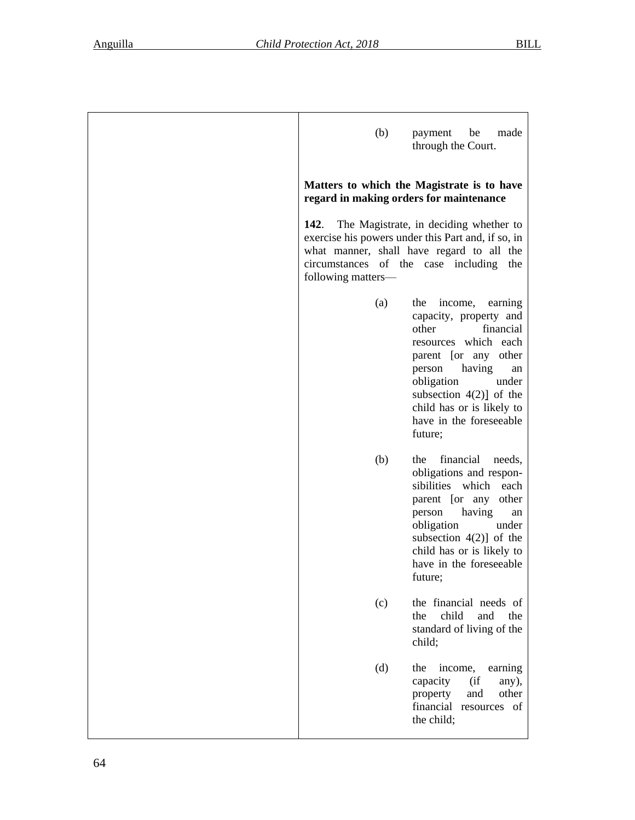| (b)                                                               | payment<br>be<br>made<br>through the Court.                                                                                                                                                                                                                                 |
|-------------------------------------------------------------------|-----------------------------------------------------------------------------------------------------------------------------------------------------------------------------------------------------------------------------------------------------------------------------|
| regard in making orders for maintenance                           | Matters to which the Magistrate is to have                                                                                                                                                                                                                                  |
| 142.<br>circumstances of the case including<br>following matters- | The Magistrate, in deciding whether to<br>exercise his powers under this Part and, if so, in<br>what manner, shall have regard to all the<br>the                                                                                                                            |
| (a)                                                               | the<br>income,<br>earning<br>capacity, property and<br>other<br>financial<br>resources which each<br>parent [or any other<br>having<br>person<br>an<br>obligation<br>under<br>subsection $4(2)$ ] of the<br>child has or is likely to<br>have in the foreseeable<br>future; |
| (b)                                                               | financial<br>the<br>needs,<br>obligations and respon-<br>sibilities which each<br>parent [or any<br>other<br>having<br>person<br>an<br>obligation<br>under<br>subsection $4(2)$ ] of the<br>child has or is likely to<br>have in the foreseeable<br>future;                 |
| (c)                                                               | the financial needs of<br>child<br>and<br>the<br>the<br>standard of living of the<br>child;                                                                                                                                                                                 |
| (d)                                                               | the<br>income,<br>earning<br>capacity<br>(i f)<br>any),<br>other<br>and<br>property<br>financial resources of<br>the child;                                                                                                                                                 |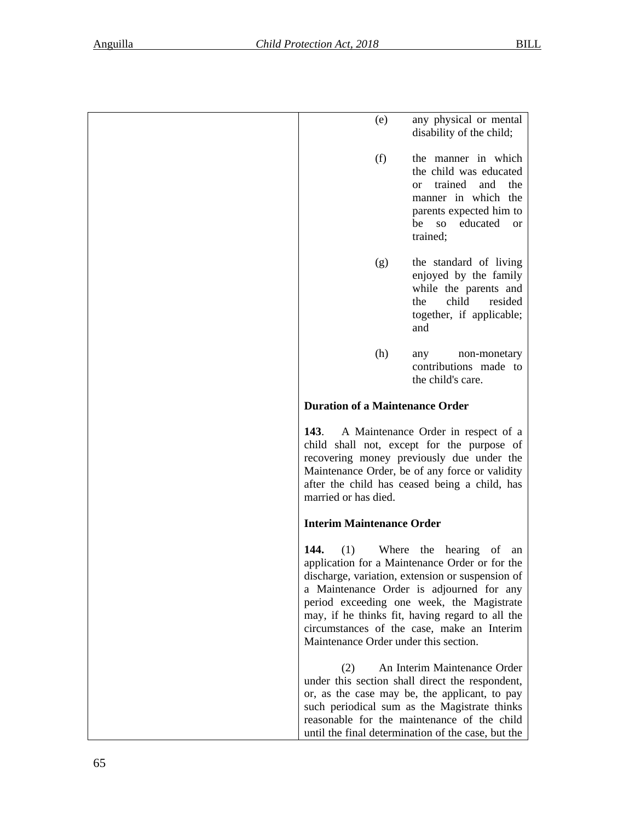| (e)                                                  | any physical or mental<br>disability of the child;                                                                                                                                                                                                                                                                            |
|------------------------------------------------------|-------------------------------------------------------------------------------------------------------------------------------------------------------------------------------------------------------------------------------------------------------------------------------------------------------------------------------|
| (f)                                                  | the manner in which<br>the child was educated<br>trained<br>and<br>the<br><sub>O</sub> r<br>manner in which the<br>parents expected him to<br>educated<br>be<br>SO <sub>1</sub><br><b>or</b><br>trained;                                                                                                                      |
| (g)                                                  | the standard of living<br>enjoyed by the family<br>while the parents and<br>child<br>resided<br>the<br>together, if applicable;<br>and                                                                                                                                                                                        |
| (h)                                                  | non-monetary<br>any<br>contributions made to<br>the child's care.                                                                                                                                                                                                                                                             |
| <b>Duration of a Maintenance Order</b>               |                                                                                                                                                                                                                                                                                                                               |
| <b>143.</b><br>married or has died.                  | A Maintenance Order in respect of a<br>child shall not, except for the purpose of<br>recovering money previously due under the<br>Maintenance Order, be of any force or validity<br>after the child has ceased being a child, has                                                                                             |
| <b>Interim Maintenance Order</b>                     |                                                                                                                                                                                                                                                                                                                               |
| 144.<br>(1)<br>Maintenance Order under this section. | Where the hearing<br>of<br>an<br>application for a Maintenance Order or for the<br>discharge, variation, extension or suspension of<br>a Maintenance Order is adjourned for any<br>period exceeding one week, the Magistrate<br>may, if he thinks fit, having regard to all the<br>circumstances of the case, make an Interim |
| (2)                                                  | An Interim Maintenance Order<br>under this section shall direct the respondent,<br>or, as the case may be, the applicant, to pay<br>such periodical sum as the Magistrate thinks<br>reasonable for the maintenance of the child<br>until the final determination of the case, but the                                         |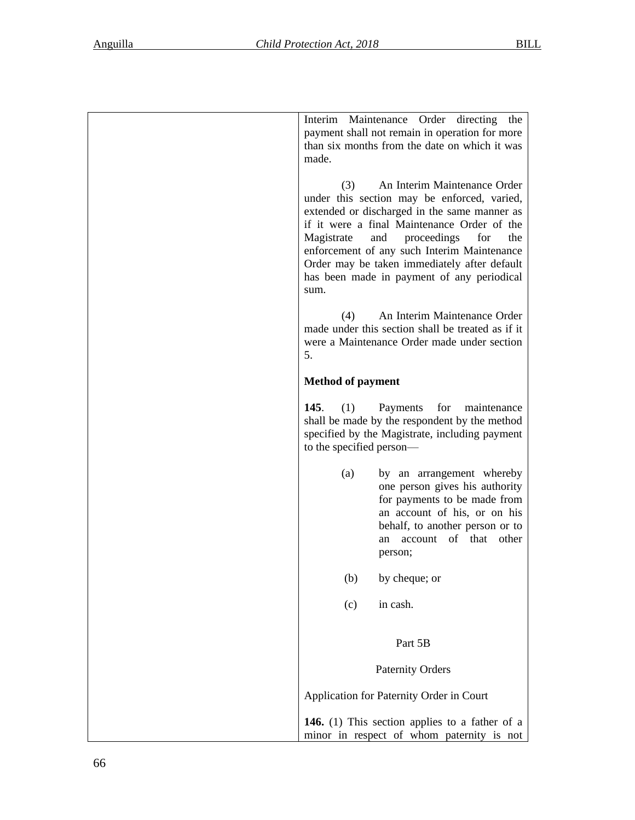| Interim Maintenance Order directing<br>the<br>payment shall not remain in operation for more<br>than six months from the date on which it was<br>made.                                                                                                                                                                                                                                   |
|------------------------------------------------------------------------------------------------------------------------------------------------------------------------------------------------------------------------------------------------------------------------------------------------------------------------------------------------------------------------------------------|
| An Interim Maintenance Order<br>(3)<br>under this section may be enforced, varied,<br>extended or discharged in the same manner as<br>if it were a final Maintenance Order of the<br>and<br>proceedings<br>for<br>the<br>Magistrate<br>enforcement of any such Interim Maintenance<br>Order may be taken immediately after default<br>has been made in payment of any periodical<br>sum. |
| (4)<br>An Interim Maintenance Order<br>made under this section shall be treated as if it<br>were a Maintenance Order made under section<br>5.                                                                                                                                                                                                                                            |
| <b>Method of payment</b>                                                                                                                                                                                                                                                                                                                                                                 |
| 145.<br>(1)<br>Payments<br>for<br>maintenance<br>shall be made by the respondent by the method<br>specified by the Magistrate, including payment<br>to the specified person—                                                                                                                                                                                                             |
| (a)<br>by an arrangement whereby<br>one person gives his authority<br>for payments to be made from<br>an account of his, or on his<br>behalf, to another person or to<br>of that other<br>account<br>an<br>person;                                                                                                                                                                       |
| (b)<br>by cheque; or                                                                                                                                                                                                                                                                                                                                                                     |
| in cash.<br>(c)                                                                                                                                                                                                                                                                                                                                                                          |
| Part 5B                                                                                                                                                                                                                                                                                                                                                                                  |
| <b>Paternity Orders</b>                                                                                                                                                                                                                                                                                                                                                                  |
| Application for Paternity Order in Court                                                                                                                                                                                                                                                                                                                                                 |
| <b>146.</b> (1) This section applies to a father of a<br>minor in respect of whom paternity is not                                                                                                                                                                                                                                                                                       |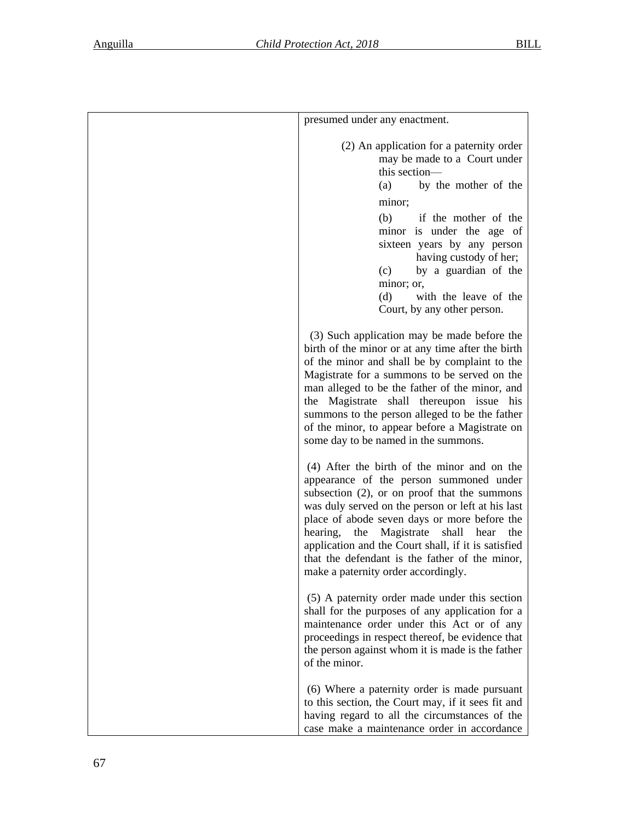| presumed under any enactment.                                                                                                                                                                                                                                                                                                                                                                                                                           |
|---------------------------------------------------------------------------------------------------------------------------------------------------------------------------------------------------------------------------------------------------------------------------------------------------------------------------------------------------------------------------------------------------------------------------------------------------------|
| (2) An application for a paternity order<br>may be made to a Court under<br>this section-<br>by the mother of the<br>(a)                                                                                                                                                                                                                                                                                                                                |
| minor;                                                                                                                                                                                                                                                                                                                                                                                                                                                  |
| (b)<br>if the mother of the<br>minor is under the age of<br>sixteen years by any person<br>having custody of her;<br>by a guardian of the<br>(c)<br>minor; or,<br>with the leave of the<br>(d)<br>Court, by any other person.                                                                                                                                                                                                                           |
| (3) Such application may be made before the<br>birth of the minor or at any time after the birth<br>of the minor and shall be by complaint to the<br>Magistrate for a summons to be served on the<br>man alleged to be the father of the minor, and<br>the Magistrate shall thereupon issue his<br>summons to the person alleged to be the father<br>of the minor, to appear before a Magistrate on<br>some day to be named in the summons.             |
| (4) After the birth of the minor and on the<br>appearance of the person summoned under<br>subsection $(2)$ , or on proof that the summons<br>was duly served on the person or left at his last<br>place of abode seven days or more before the<br>Magistrate<br>hearing,<br>the<br>shall<br>hear<br>the<br>application and the Court shall, if it is satisfied<br>that the defendant is the father of the minor,<br>make a paternity order accordingly. |
| (5) A paternity order made under this section<br>shall for the purposes of any application for a<br>maintenance order under this Act or of any<br>proceedings in respect thereof, be evidence that<br>the person against whom it is made is the father<br>of the minor.                                                                                                                                                                                 |
| (6) Where a paternity order is made pursuant<br>to this section, the Court may, if it sees fit and<br>having regard to all the circumstances of the<br>case make a maintenance order in accordance                                                                                                                                                                                                                                                      |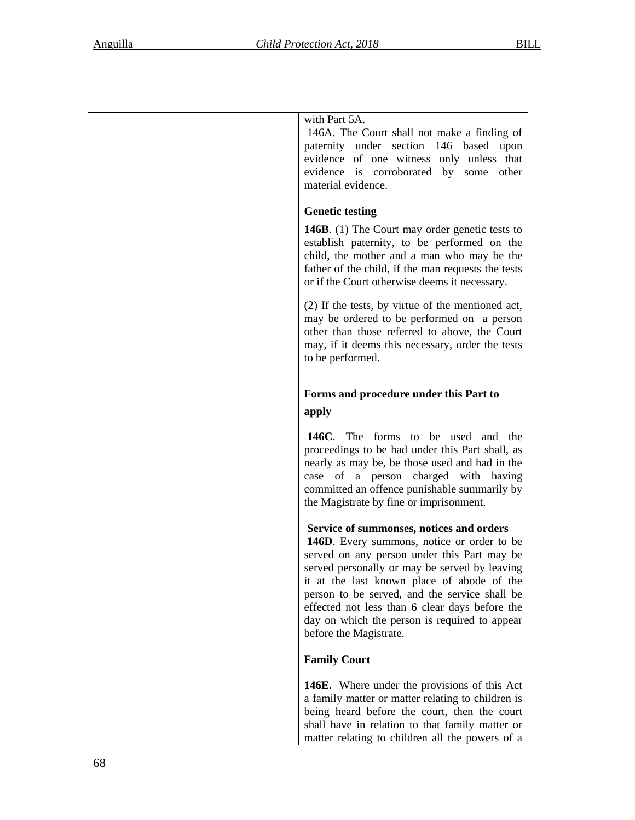| with Part 5A.                                                                                                                                                                                                                                                              |
|----------------------------------------------------------------------------------------------------------------------------------------------------------------------------------------------------------------------------------------------------------------------------|
| 146A. The Court shall not make a finding of<br>paternity under section 146 based upon<br>evidence of one witness only unless that<br>evidence is corroborated by some other                                                                                                |
| material evidence.                                                                                                                                                                                                                                                         |
| <b>Genetic testing</b>                                                                                                                                                                                                                                                     |
| 146B. (1) The Court may order genetic tests to<br>establish paternity, to be performed on the<br>child, the mother and a man who may be the<br>father of the child, if the man requests the tests<br>or if the Court otherwise deems it necessary.                         |
| (2) If the tests, by virtue of the mentioned act,<br>may be ordered to be performed on a person<br>other than those referred to above, the Court<br>may, if it deems this necessary, order the tests<br>to be performed.                                                   |
|                                                                                                                                                                                                                                                                            |
| Forms and procedure under this Part to<br>apply                                                                                                                                                                                                                            |
|                                                                                                                                                                                                                                                                            |
| 146C. The forms to be used and the<br>proceedings to be had under this Part shall, as<br>nearly as may be, be those used and had in the<br>case of a person charged with having<br>committed an offence punishable summarily by<br>the Magistrate by fine or imprisonment. |
| Service of summonses, notices and orders                                                                                                                                                                                                                                   |
| 146D. Every summons, notice or order to be<br>served on any person under this Part may be                                                                                                                                                                                  |
| served personally or may be served by leaving                                                                                                                                                                                                                              |
| it at the last known place of abode of the<br>person to be served, and the service shall be                                                                                                                                                                                |
| effected not less than 6 clear days before the<br>day on which the person is required to appear                                                                                                                                                                            |
| before the Magistrate.                                                                                                                                                                                                                                                     |
| <b>Family Court</b>                                                                                                                                                                                                                                                        |
| 146E. Where under the provisions of this Act                                                                                                                                                                                                                               |
| a family matter or matter relating to children is<br>being heard before the court, then the court                                                                                                                                                                          |
| shall have in relation to that family matter or                                                                                                                                                                                                                            |
| matter relating to children all the powers of a                                                                                                                                                                                                                            |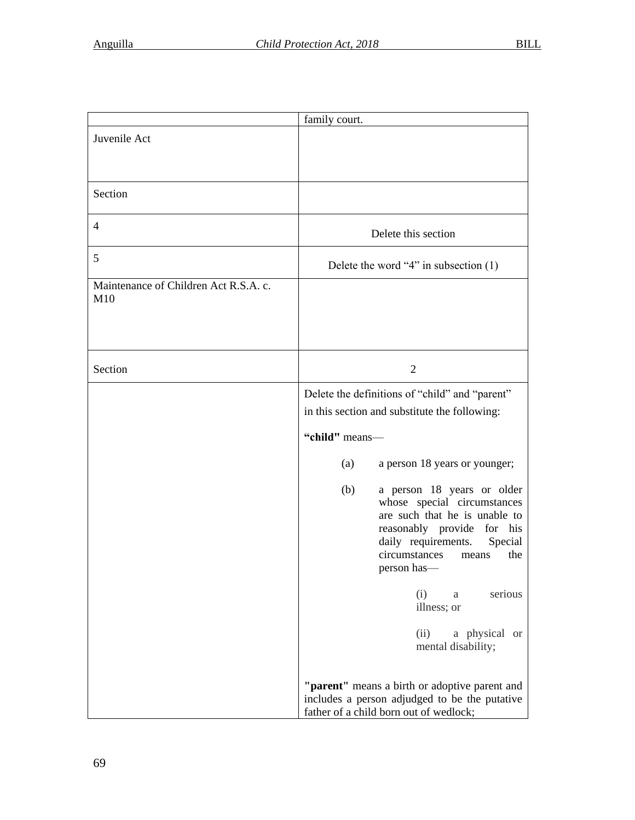|                                              | family court.                                                                                                                                                                                                     |
|----------------------------------------------|-------------------------------------------------------------------------------------------------------------------------------------------------------------------------------------------------------------------|
| Juvenile Act                                 |                                                                                                                                                                                                                   |
| Section                                      |                                                                                                                                                                                                                   |
| $\overline{4}$                               | Delete this section                                                                                                                                                                                               |
| 5                                            | Delete the word "4" in subsection $(1)$                                                                                                                                                                           |
| Maintenance of Children Act R.S.A. c.<br>M10 |                                                                                                                                                                                                                   |
| Section                                      | $\overline{2}$                                                                                                                                                                                                    |
|                                              | Delete the definitions of "child" and "parent"<br>in this section and substitute the following:                                                                                                                   |
|                                              | "child" means-                                                                                                                                                                                                    |
|                                              | a person 18 years or younger;<br>(a)                                                                                                                                                                              |
|                                              | a person 18 years or older<br>(b)<br>whose special circumstances<br>are such that he is unable to<br>reasonably provide for his<br>daily requirements.<br>Special<br>circumstances<br>the<br>means<br>person has— |
|                                              | serious<br>(i)<br>a<br>illness; or                                                                                                                                                                                |
|                                              | (ii)<br>a physical or<br>mental disability;                                                                                                                                                                       |
|                                              | "parent" means a birth or adoptive parent and<br>includes a person adjudged to be the putative<br>father of a child born out of wedlock;                                                                          |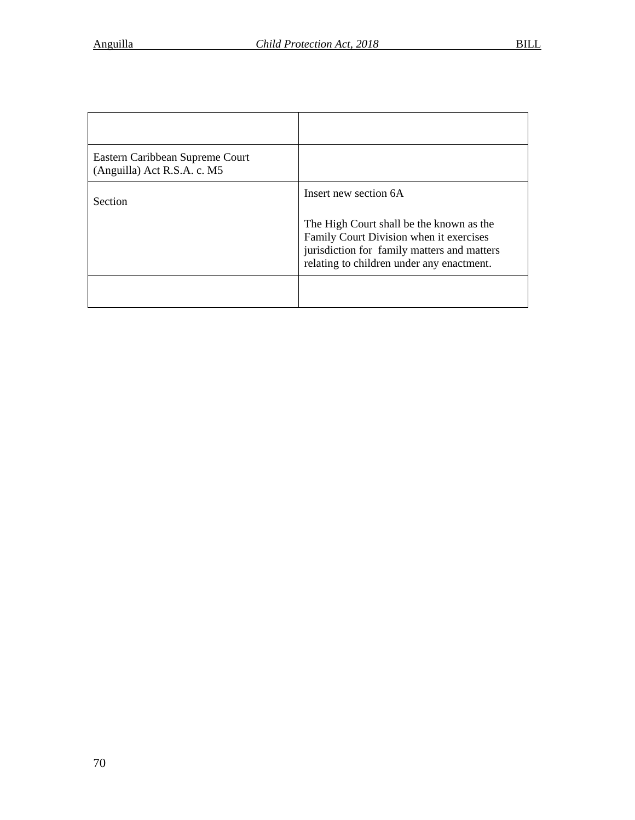| Eastern Caribbean Supreme Court<br>(Anguilla) Act R.S.A. c. M5 |                                                                                                                                                                                 |
|----------------------------------------------------------------|---------------------------------------------------------------------------------------------------------------------------------------------------------------------------------|
| <b>Section</b>                                                 | Insert new section 6A                                                                                                                                                           |
|                                                                | The High Court shall be the known as the<br>Family Court Division when it exercises<br>jurisdiction for family matters and matters<br>relating to children under any enactment. |
|                                                                |                                                                                                                                                                                 |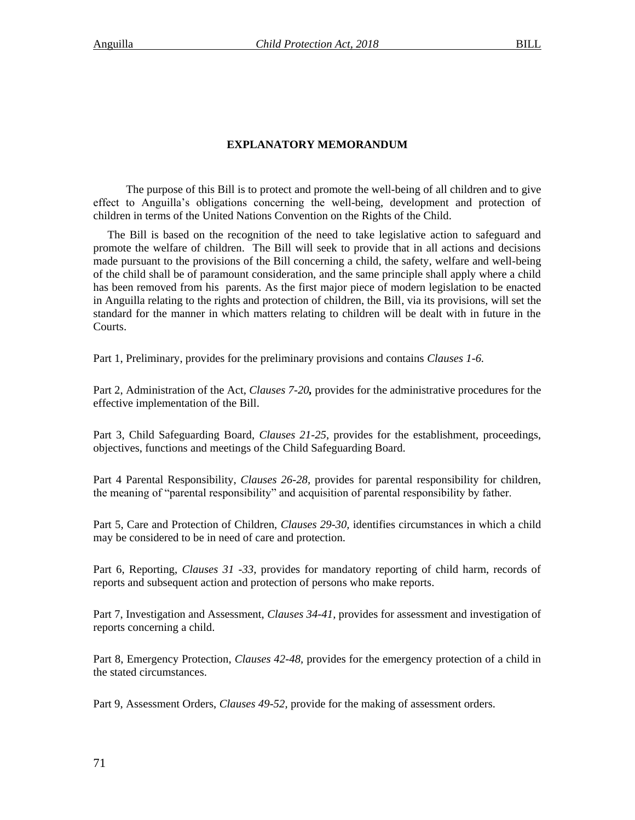# **EXPLANATORY MEMORANDUM**

The purpose of this Bill is to protect and promote the well-being of all children and to give effect to Anguilla's obligations concerning the well-being, development and protection of children in terms of the United Nations Convention on the Rights of the Child.

The Bill is based on the recognition of the need to take legislative action to safeguard and promote the welfare of children. The Bill will seek to provide that in all actions and decisions made pursuant to the provisions of the Bill concerning a child, the safety, welfare and well-being of the child shall be of paramount consideration, and the same principle shall apply where a child has been removed from his parents. As the first major piece of modern legislation to be enacted in Anguilla relating to the rights and protection of children, the Bill, via its provisions, will set the standard for the manner in which matters relating to children will be dealt with in future in the Courts.

Part 1, Preliminary, provides for the preliminary provisions and contains *Clauses 1-6.*

Part 2, Administration of the Act, *Clauses 7-20,* provides for the administrative procedures for the effective implementation of the Bill.

Part 3, Child Safeguarding Board, *Clauses 21-25*, provides for the establishment, proceedings, objectives, functions and meetings of the Child Safeguarding Board.

Part 4 Parental Responsibility, *Clauses 26-28,* provides for parental responsibility for children, the meaning of "parental responsibility" and acquisition of parental responsibility by father.

Part 5, Care and Protection of Children, *Clauses 29-30,* identifies circumstances in which a child may be considered to be in need of care and protection.

Part 6, Reporting, *Clauses 31 -33,* provides for mandatory reporting of child harm, records of reports and subsequent action and protection of persons who make reports.

Part 7, Investigation and Assessment, *Clauses 34-41,* provides for assessment and investigation of reports concerning a child.

Part 8, Emergency Protection, *Clauses 42-48,* provides for the emergency protection of a child in the stated circumstances.

Part 9, Assessment Orders, *Clauses 49-52,* provide for the making of assessment orders.